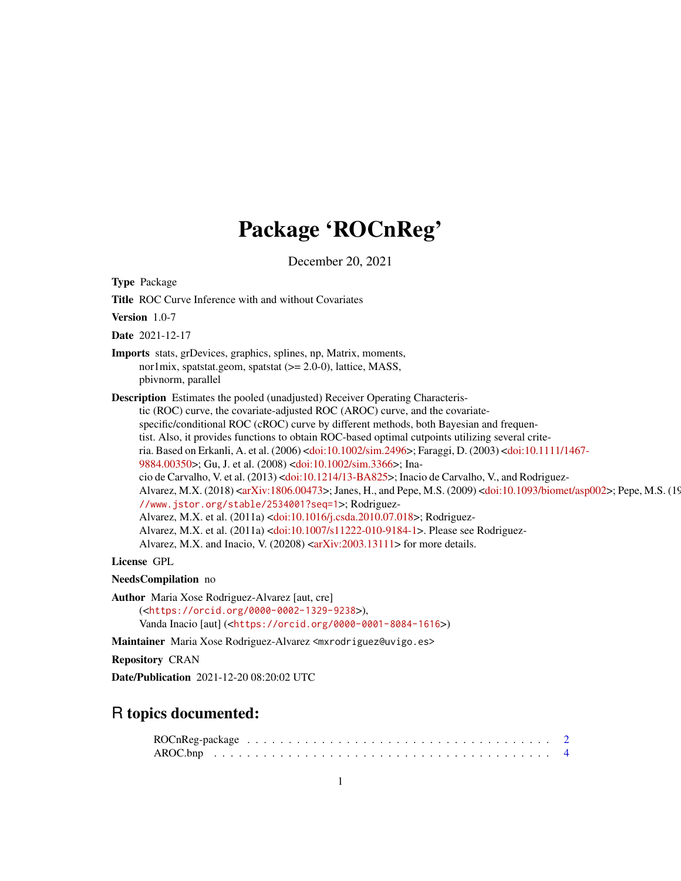# Package 'ROCnReg'

December 20, 2021

<span id="page-0-0"></span>Type Package

Title ROC Curve Inference with and without Covariates

Version 1.0-7

Date 2021-12-17

Imports stats, grDevices, graphics, splines, np, Matrix, moments, nor1mix, spatstat.geom, spatstat (>= 2.0-0), lattice, MASS, pbivnorm, parallel

Description Estimates the pooled (unadjusted) Receiver Operating Characteristic (ROC) curve, the covariate-adjusted ROC (AROC) curve, and the covariatespecific/conditional ROC (cROC) curve by different methods, both Bayesian and frequentist. Also, it provides functions to obtain ROC-based optimal cutpoints utilizing several criteria. Based on Erkanli, A. et al. (2006) [<doi:10.1002/sim.2496>](https://doi.org/10.1002/sim.2496); Faraggi, D. (2003) [<doi:10.1111/14](https://doi.org/10.1111/1467-9884.00350)67- [9884.00350>](https://doi.org/10.1111/1467-9884.00350); Gu, J. et al. (2008) [<doi:10.1002/sim.3366>](https://doi.org/10.1002/sim.3366); Inacio de Carvalho, V. et al. (2013) [<doi:10.1214/13-BA825>](https://doi.org/10.1214/13-BA825); Inacio de Carvalho, V., and Rodriguez-Alvarez, M.X. (2018) [<arXiv:1806.00473>](https://arxiv.org/abs/1806.00473); Janes, H., and Pepe, M.S. (2009) [<doi:10.1093/biomet/asp002](https://doi.org/10.1093/biomet/asp002)>; Pepe, M.S. (19 [//www.jstor.org/stable/2534001?seq=1](http://www.jstor.org/stable/2534001?seq=1)>; Rodriguez-Alvarez, M.X. et al. (2011a) [<doi:10.1016/j.csda.2010.07.018>](https://doi.org/10.1016/j.csda.2010.07.018); Rodriguez-Alvarez, M.X. et al. (2011a) [<doi:10.1007/s11222-010-9184-1>](https://doi.org/10.1007/s11222-010-9184-1). Please see Rodriguez-Alvarez, M.X. and Inacio, V. (20208)  $\langle \text{arXiv:} 2003.13111 \rangle$  for more details.

License GPL

NeedsCompilation no

Author Maria Xose Rodriguez-Alvarez [aut, cre] (<<https://orcid.org/0000-0002-1329-9238>>), Vanda Inacio [aut] (<<https://orcid.org/0000-0001-8084-1616>>)

Maintainer Maria Xose Rodriguez-Alvarez <mxrodriguez@uvigo.es>

Repository CRAN

Date/Publication 2021-12-20 08:20:02 UTC

# R topics documented: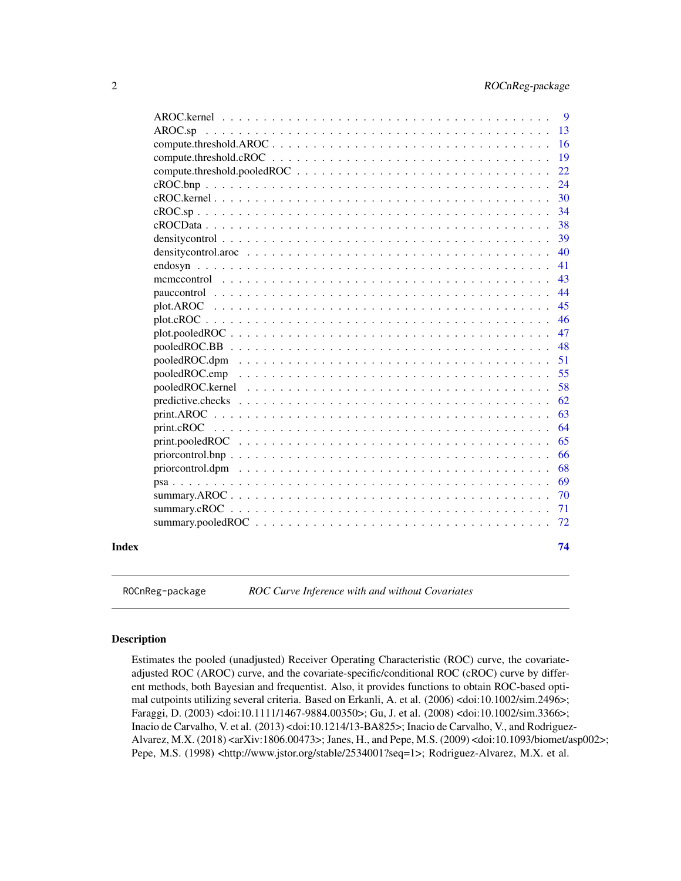<span id="page-1-0"></span>

|                                                                                                            | 9  |
|------------------------------------------------------------------------------------------------------------|----|
|                                                                                                            | 13 |
|                                                                                                            | 16 |
|                                                                                                            | 19 |
| compute.threshold.pooledROC $\ldots \ldots \ldots \ldots \ldots \ldots \ldots \ldots \ldots \ldots \ldots$ | 22 |
|                                                                                                            | 24 |
| cROC.kernel                                                                                                | 30 |
|                                                                                                            | 34 |
|                                                                                                            | 38 |
|                                                                                                            | 39 |
|                                                                                                            | 40 |
|                                                                                                            | 41 |
|                                                                                                            | 43 |
|                                                                                                            | 44 |
| plot.AROC                                                                                                  | 45 |
|                                                                                                            | 46 |
|                                                                                                            | 47 |
|                                                                                                            | 48 |
|                                                                                                            | 51 |
|                                                                                                            | 55 |
|                                                                                                            | 58 |
|                                                                                                            | 62 |
|                                                                                                            | 63 |
|                                                                                                            | 64 |
|                                                                                                            | 65 |
| $priorcontrol.bnp \ldots \ldots \ldots \ldots \ldots \ldots \ldots \ldots \ldots \ldots \ldots \ldots$     | 66 |
| priorcontrol.dpm                                                                                           | 68 |
|                                                                                                            | 69 |
|                                                                                                            | 70 |
|                                                                                                            | 71 |
|                                                                                                            | 72 |
|                                                                                                            | 74 |
|                                                                                                            |    |

ROCnReg-package *ROC Curve Inference with and without Covariates*

# Description

Estimates the pooled (unadjusted) Receiver Operating Characteristic (ROC) curve, the covariateadjusted ROC (AROC) curve, and the covariate-specific/conditional ROC (cROC) curve by different methods, both Bayesian and frequentist. Also, it provides functions to obtain ROC-based optimal cutpoints utilizing several criteria. Based on Erkanli, A. et al. (2006) <doi:10.1002/sim.2496>; Faraggi, D. (2003) <doi:10.1111/1467-9884.00350>; Gu, J. et al. (2008) <doi:10.1002/sim.3366>; Inacio de Carvalho, V. et al. (2013) <doi:10.1214/13-BA825>; Inacio de Carvalho, V., and Rodriguez-Alvarez, M.X. (2018) <arXiv:1806.00473>; Janes, H., and Pepe, M.S. (2009) <doi:10.1093/biomet/asp002>; Pepe, M.S. (1998) <http://www.jstor.org/stable/2534001?seq=1>; Rodriguez-Alvarez, M.X. et al.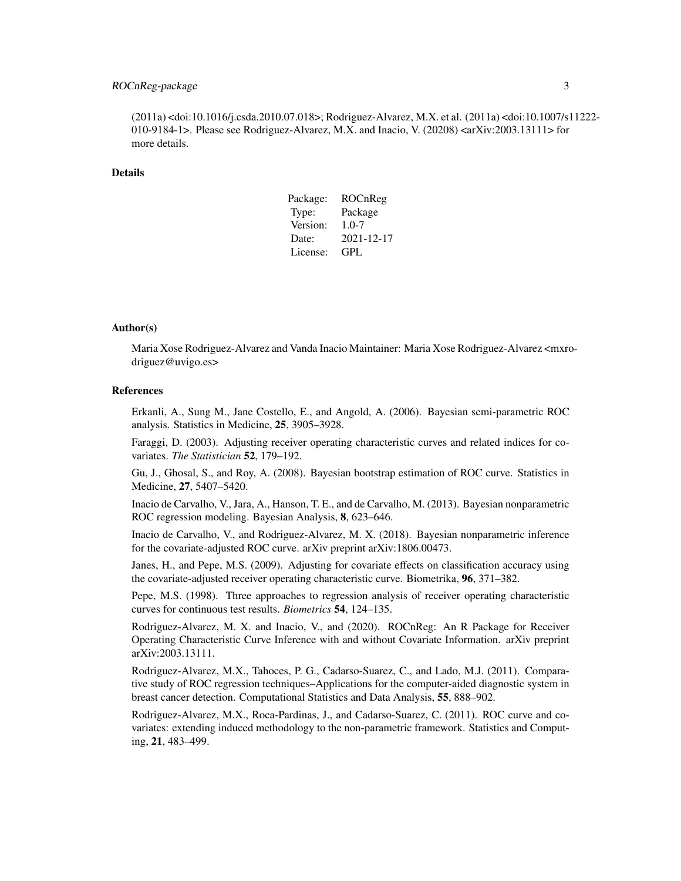# ROCnReg-package 3

(2011a) <doi:10.1016/j.csda.2010.07.018>; Rodriguez-Alvarez, M.X. et al. (2011a) <doi:10.1007/s11222- 010-9184-1>. Please see Rodriguez-Alvarez, M.X. and Inacio, V. (20208)  $\langle \text{arXiv:} 2003.13111 \rangle$  for more details.

## Details

| Package: | ROCnReg    |
|----------|------------|
| Type:    | Package    |
| Version: | $1.0 - 7$  |
| Date:    | 2021-12-17 |
| License: | GPL        |

#### Author(s)

Maria Xose Rodriguez-Alvarez and Vanda Inacio Maintainer: Maria Xose Rodriguez-Alvarez <mxrodriguez@uvigo.es>

# References

Erkanli, A., Sung M., Jane Costello, E., and Angold, A. (2006). Bayesian semi-parametric ROC analysis. Statistics in Medicine, 25, 3905–3928.

Faraggi, D. (2003). Adjusting receiver operating characteristic curves and related indices for covariates. *The Statistician* 52, 179–192.

Gu, J., Ghosal, S., and Roy, A. (2008). Bayesian bootstrap estimation of ROC curve. Statistics in Medicine, 27, 5407–5420.

Inacio de Carvalho, V., Jara, A., Hanson, T. E., and de Carvalho, M. (2013). Bayesian nonparametric ROC regression modeling. Bayesian Analysis, 8, 623–646.

Inacio de Carvalho, V., and Rodriguez-Alvarez, M. X. (2018). Bayesian nonparametric inference for the covariate-adjusted ROC curve. arXiv preprint arXiv:1806.00473.

Janes, H., and Pepe, M.S. (2009). Adjusting for covariate effects on classification accuracy using the covariate-adjusted receiver operating characteristic curve. Biometrika, 96, 371–382.

Pepe, M.S. (1998). Three approaches to regression analysis of receiver operating characteristic curves for continuous test results. *Biometrics* 54, 124–135.

Rodriguez-Alvarez, M. X. and Inacio, V., and (2020). ROCnReg: An R Package for Receiver Operating Characteristic Curve Inference with and without Covariate Information. arXiv preprint arXiv:2003.13111.

Rodriguez-Alvarez, M.X., Tahoces, P. G., Cadarso-Suarez, C., and Lado, M.J. (2011). Comparative study of ROC regression techniques–Applications for the computer-aided diagnostic system in breast cancer detection. Computational Statistics and Data Analysis, 55, 888–902.

Rodriguez-Alvarez, M.X., Roca-Pardinas, J., and Cadarso-Suarez, C. (2011). ROC curve and covariates: extending induced methodology to the non-parametric framework. Statistics and Computing, 21, 483–499.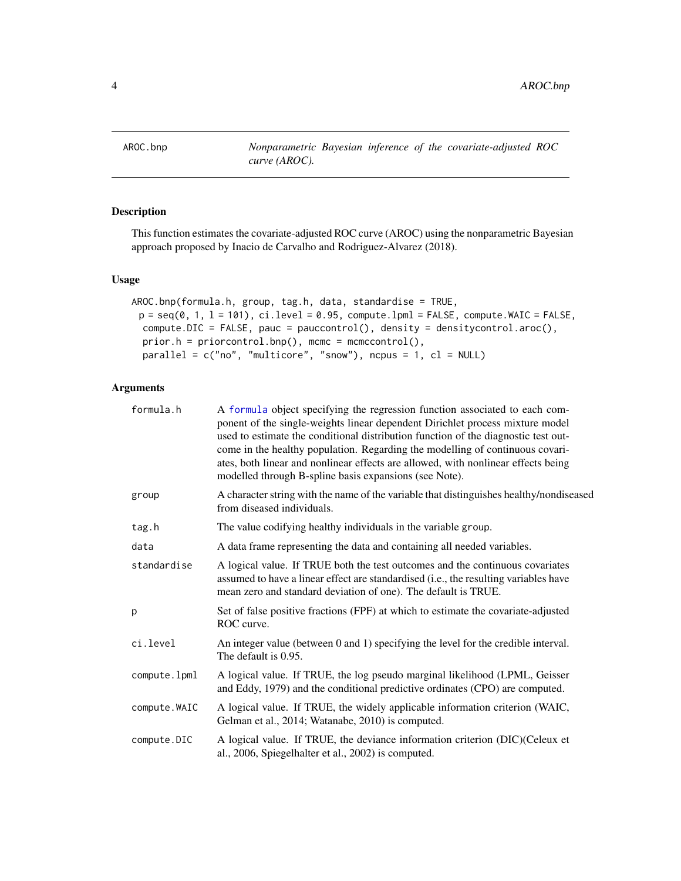<span id="page-3-1"></span><span id="page-3-0"></span>

# Description

This function estimates the covariate-adjusted ROC curve (AROC) using the nonparametric Bayesian approach proposed by Inacio de Carvalho and Rodriguez-Alvarez (2018).

# Usage

```
AROC.bnp(formula.h, group, tag.h, data, standardise = TRUE,
 p = seq(0, 1, 1 = 101), ci. level = 0.95, compute.1pm = FALSE, compute.WAIC = FALSE,
 compute.DIC = FALSE, pauc = pauccontrol(), density = densitycontrol.aroc(),
 prior.h = priorcontrol.bnp(), mcmc = mcmccontrol(),
 parallel = c("no", "multicore", "snow"), ncpus = 1, cl = NULL)
```

| formula.h     | A formula object specifying the regression function associated to each com-<br>ponent of the single-weights linear dependent Dirichlet process mixture model<br>used to estimate the conditional distribution function of the diagnostic test out-<br>come in the healthy population. Regarding the modelling of continuous covari-<br>ates, both linear and nonlinear effects are allowed, with nonlinear effects being<br>modelled through B-spline basis expansions (see Note). |
|---------------|------------------------------------------------------------------------------------------------------------------------------------------------------------------------------------------------------------------------------------------------------------------------------------------------------------------------------------------------------------------------------------------------------------------------------------------------------------------------------------|
| group         | A character string with the name of the variable that distinguishes healthy/nondiseased<br>from diseased individuals.                                                                                                                                                                                                                                                                                                                                                              |
| tag.h         | The value codifying healthy individuals in the variable group.                                                                                                                                                                                                                                                                                                                                                                                                                     |
| data          | A data frame representing the data and containing all needed variables.                                                                                                                                                                                                                                                                                                                                                                                                            |
| standardise   | A logical value. If TRUE both the test outcomes and the continuous covariates<br>assumed to have a linear effect are standardised (i.e., the resulting variables have<br>mean zero and standard deviation of one). The default is TRUE.                                                                                                                                                                                                                                            |
| р             | Set of false positive fractions (FPF) at which to estimate the covariate-adjusted<br>ROC curve.                                                                                                                                                                                                                                                                                                                                                                                    |
| ci.level      | An integer value (between 0 and 1) specifying the level for the credible interval.<br>The default is 0.95.                                                                                                                                                                                                                                                                                                                                                                         |
| compute.lpml  | A logical value. If TRUE, the log pseudo marginal likelihood (LPML, Geisser<br>and Eddy, 1979) and the conditional predictive ordinates (CPO) are computed.                                                                                                                                                                                                                                                                                                                        |
| compute. WAIC | A logical value. If TRUE, the widely applicable information criterion (WAIC,<br>Gelman et al., 2014; Watanabe, 2010) is computed.                                                                                                                                                                                                                                                                                                                                                  |
| compute.DIC   | A logical value. If TRUE, the deviance information criterion (DIC)(Celeux et<br>al., 2006, Spiegelhalter et al., 2002) is computed.                                                                                                                                                                                                                                                                                                                                                |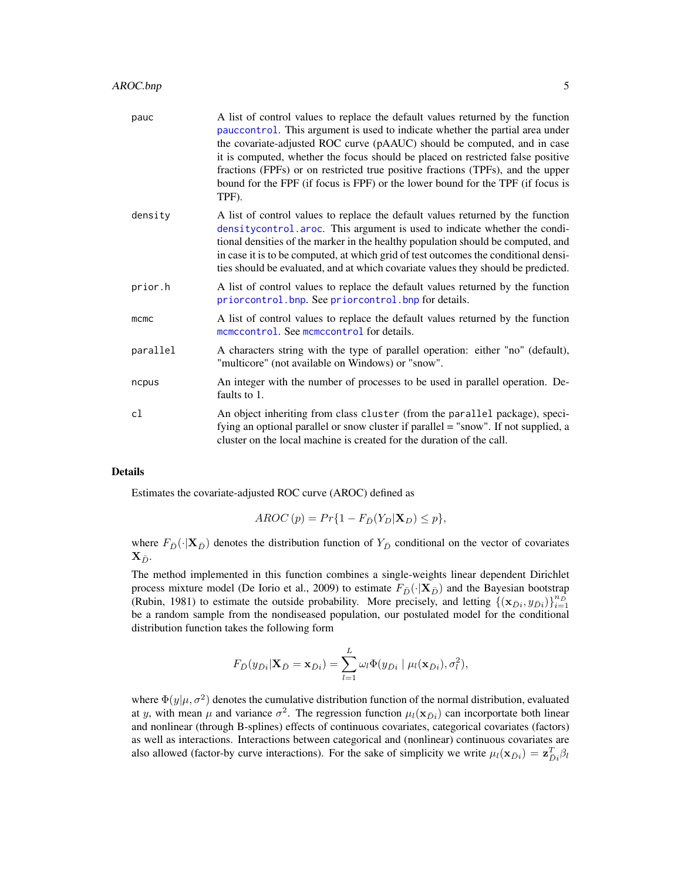| pauc     | A list of control values to replace the default values returned by the function<br>pauccontrol. This argument is used to indicate whether the partial area under<br>the covariate-adjusted ROC curve (pAAUC) should be computed, and in case<br>it is computed, whether the focus should be placed on restricted false positive<br>fractions (FPFs) or on restricted true positive fractions (TPFs), and the upper<br>bound for the FPF (if focus is FPF) or the lower bound for the TPF (if focus is<br>TPF). |
|----------|----------------------------------------------------------------------------------------------------------------------------------------------------------------------------------------------------------------------------------------------------------------------------------------------------------------------------------------------------------------------------------------------------------------------------------------------------------------------------------------------------------------|
| density  | A list of control values to replace the default values returned by the function<br>density control. aroc. This argument is used to indicate whether the condi-<br>tional densities of the marker in the healthy population should be computed, and<br>in case it is to be computed, at which grid of test outcomes the conditional densi-<br>ties should be evaluated, and at which covariate values they should be predicted.                                                                                 |
| prior.h  | A list of control values to replace the default values returned by the function<br>priorcontrol.bnp. See priorcontrol.bnp for details.                                                                                                                                                                                                                                                                                                                                                                         |
| mcmc     | A list of control values to replace the default values returned by the function<br>momocontrol. See momocontrol for details.                                                                                                                                                                                                                                                                                                                                                                                   |
| parallel | A characters string with the type of parallel operation: either "no" (default),<br>"multicore" (not available on Windows) or "snow".                                                                                                                                                                                                                                                                                                                                                                           |
| ncpus    | An integer with the number of processes to be used in parallel operation. De-<br>faults to 1.                                                                                                                                                                                                                                                                                                                                                                                                                  |
| cl       | An object inheriting from class cluster (from the parallel package), speci-<br>fying an optional parallel or snow cluster if parallel = "snow". If not supplied, a<br>cluster on the local machine is created for the duration of the call.                                                                                                                                                                                                                                                                    |
|          |                                                                                                                                                                                                                                                                                                                                                                                                                                                                                                                |

Estimates the covariate-adjusted ROC curve (AROC) defined as

$$
AROC(p) = Pr\{1 - F_{\bar{D}}(Y_D | \mathbf{X}_D) \le p\},\
$$

where  $F_{\bar{D}}(\cdot|\mathbf{X}_{\bar{D}})$  denotes the distribution function of  $Y_{\bar{D}}$  conditional on the vector of covariates  $\mathbf{X}_{\bar{D}}$ .

The method implemented in this function combines a single-weights linear dependent Dirichlet process mixture model (De Iorio et al., 2009) to estimate  $F_{\bar{D}}(\cdot|\mathbf{X}_{\bar{D}})$  and the Bayesian bootstrap (Rubin, 1981) to estimate the outside probability. More precisely, and letting  $\{(\mathbf{x}_{\bar{D}i}, y_{\bar{D}i})\}_{i=1}^{n_{\bar{D}}}$ be a random sample from the nondiseased population, our postulated model for the conditional distribution function takes the following form

$$
F_{\bar{D}}(y_{\bar{D}i}|\mathbf{X}_{\bar{D}}=\mathbf{x}_{\bar{D}i})=\sum_{l=1}^{L}\omega_{l}\Phi(y_{\bar{D}i}|\mu_{l}(\mathbf{x}_{\bar{D}i}),\sigma_{l}^{2}),
$$

where  $\Phi(y|\mu, \sigma^2)$  denotes the cumulative distribution function of the normal distribution, evaluated at y, with mean  $\mu$  and variance  $\sigma^2$ . The regression function  $\mu_l(\mathbf{x}_{\bar{D}i})$  can incorportate both linear and nonlinear (through B-splines) effects of continuous covariates, categorical covariates (factors) as well as interactions. Interactions between categorical and (nonlinear) continuous covariates are also allowed (factor-by curve interactions). For the sake of simplicity we write  $\mu_l(\mathbf{x}_{\bar{D}i}) = \mathbf{z}_{\bar{D}i}^T \beta_l$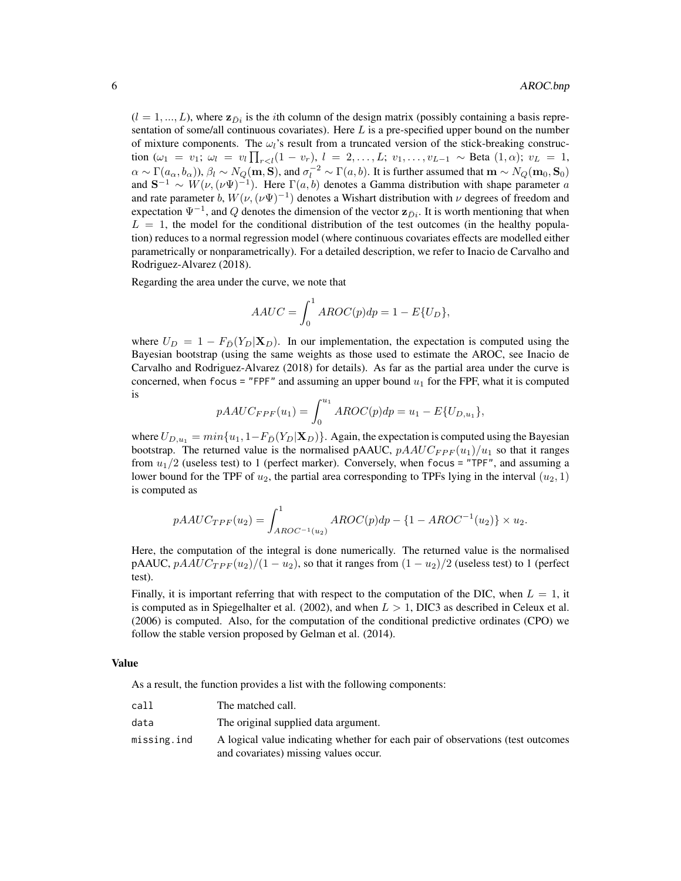$(l = 1, ..., L)$ , where  $\mathbf{z}_{\bar{D}i}$  is the *i*th column of the design matrix (possibly containing a basis representation of some/all continuous covariates). Here  $L$  is a pre-specified upper bound on the number of mixture components. The  $\omega_l$ 's result from a truncated version of the stick-breaking construction  $(\omega_1 = v_1; \omega_l = v_l \prod_{r < l} (1 - v_r), l = 2, \ldots, L; v_1, \ldots, v_{L-1} \sim \text{Beta}(1, \alpha); v_L = 1,$  $\alpha \sim \Gamma(a_{\alpha}, b_{\alpha})$ ),  $\beta_l \sim N_Q(\mathbf{m}, \mathbf{S})$ , and  $\sigma_l^{-2} \sim \Gamma(a, b)$ . It is further assumed that  $\mathbf{m} \sim N_Q(\mathbf{m}_0, \mathbf{S}_0)$ and  $S^{-1} \sim W(\nu, (\nu \Psi)^{-1})$ . Here  $\Gamma(a, b)$  denotes a Gamma distribution with shape parameter a and rate parameter b,  $W(\nu, (\nu\Psi)^{-1})$  denotes a Wishart distribution with  $\nu$  degrees of freedom and expectation  $\Psi^{-1}$ , and Q denotes the dimension of the vector  $\mathbf{z}_{\bar{D}i}$ . It is worth mentioning that when  $L = 1$ , the model for the conditional distribution of the test outcomes (in the healthy population) reduces to a normal regression model (where continuous covariates effects are modelled either parametrically or nonparametrically). For a detailed description, we refer to Inacio de Carvalho and Rodriguez-Alvarez (2018).

Regarding the area under the curve, we note that

$$
AAUC = \int_0^1 AROC(p)dp = 1 - E\{U_D\},\,
$$

where  $U_D = 1 - F_{\bar{D}}(Y_D | \mathbf{X}_D)$ . In our implementation, the expectation is computed using the Bayesian bootstrap (using the same weights as those used to estimate the AROC, see Inacio de Carvalho and Rodriguez-Alvarez (2018) for details). As far as the partial area under the curve is concerned, when focus = "FPF" and assuming an upper bound  $u_1$  for the FPF, what it is computed is

$$
pAAUC_{FPF}(u_1) = \int_0^{u_1} AROC(p)dp = u_1 - E\{U_{D,u_1}\},
$$

where  $U_{D,u_1} = min\{u_1, 1-F_{\bar{D}}(Y_D|\mathbf{X}_D)\}\.$  Again, the expectation is computed using the Bayesian bootstrap. The returned value is the normalised pAAUC,  $pAAUC_{FPF}(u_1)/u_1$  so that it ranges from  $u_1/2$  (useless test) to 1 (perfect marker). Conversely, when focus = "TPF", and assuming a lower bound for the TPF of  $u_2$ , the partial area corresponding to TPFs lying in the interval  $(u_2, 1)$ is computed as

$$
pAAUC_{TPF}(u_2) = \int_{AROC^{-1}(u_2)}^{1} AROC(p)dp - \{1 - AROC^{-1}(u_2)\} \times u_2.
$$

Here, the computation of the integral is done numerically. The returned value is the normalised pAAUC,  $pA A U C_{T P F} (u_2)/(1 - u_2)$ , so that it ranges from  $(1 - u_2)/2$  (useless test) to 1 (perfect test).

Finally, it is important referring that with respect to the computation of the DIC, when  $L = 1$ , it is computed as in Spiegelhalter et al. (2002), and when  $L > 1$ , DIC3 as described in Celeux et al. (2006) is computed. Also, for the computation of the conditional predictive ordinates (CPO) we follow the stable version proposed by Gelman et al. (2014).

#### Value

As a result, the function provides a list with the following components:

| call        | The matched call.                                                               |
|-------------|---------------------------------------------------------------------------------|
| data        | The original supplied data argument.                                            |
| missing.ind | A logical value indicating whether for each pair of observations (test outcomes |
|             | and covariates) missing values occur.                                           |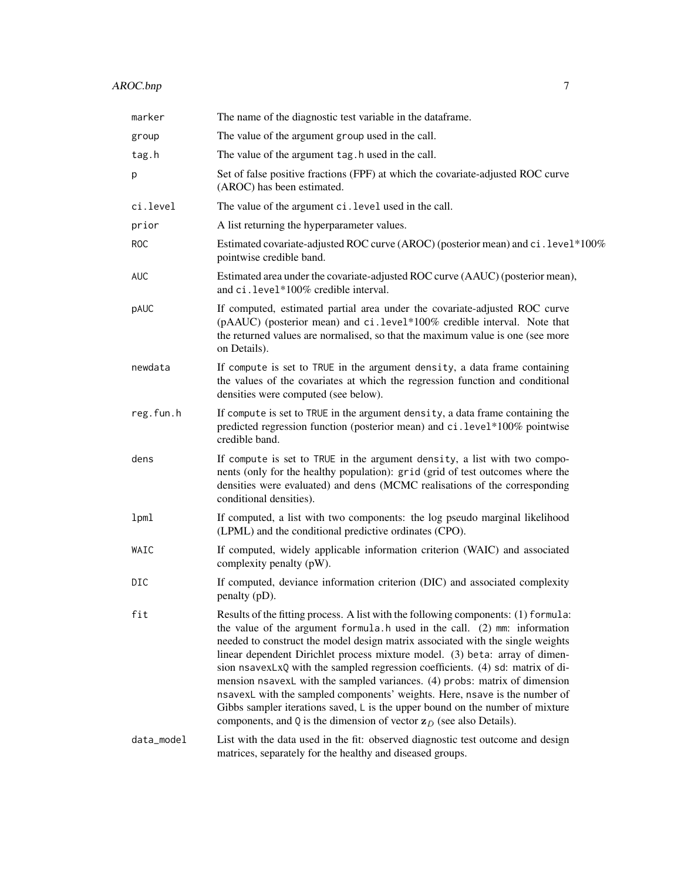| marker     | The name of the diagnostic test variable in the dataframe.                                                                                                                                                                                                                                                                                                                                                                                                                                                                                                                                                                                                                                                                                                  |
|------------|-------------------------------------------------------------------------------------------------------------------------------------------------------------------------------------------------------------------------------------------------------------------------------------------------------------------------------------------------------------------------------------------------------------------------------------------------------------------------------------------------------------------------------------------------------------------------------------------------------------------------------------------------------------------------------------------------------------------------------------------------------------|
| group      | The value of the argument group used in the call.                                                                                                                                                                                                                                                                                                                                                                                                                                                                                                                                                                                                                                                                                                           |
| tag.h      | The value of the argument tag. h used in the call.                                                                                                                                                                                                                                                                                                                                                                                                                                                                                                                                                                                                                                                                                                          |
| р          | Set of false positive fractions (FPF) at which the covariate-adjusted ROC curve<br>(AROC) has been estimated.                                                                                                                                                                                                                                                                                                                                                                                                                                                                                                                                                                                                                                               |
| ci.level   | The value of the argument ci. level used in the call.                                                                                                                                                                                                                                                                                                                                                                                                                                                                                                                                                                                                                                                                                                       |
| prior      | A list returning the hyperparameter values.                                                                                                                                                                                                                                                                                                                                                                                                                                                                                                                                                                                                                                                                                                                 |
| <b>ROC</b> | Estimated covariate-adjusted ROC curve (AROC) (posterior mean) and ci. level*100%<br>pointwise credible band.                                                                                                                                                                                                                                                                                                                                                                                                                                                                                                                                                                                                                                               |
| <b>AUC</b> | Estimated area under the covariate-adjusted ROC curve (AAUC) (posterior mean),<br>and ci.level*100% credible interval.                                                                                                                                                                                                                                                                                                                                                                                                                                                                                                                                                                                                                                      |
| pAUC       | If computed, estimated partial area under the covariate-adjusted ROC curve<br>(pAAUC) (posterior mean) and ci.level*100% credible interval. Note that<br>the returned values are normalised, so that the maximum value is one (see more<br>on Details).                                                                                                                                                                                                                                                                                                                                                                                                                                                                                                     |
| newdata    | If compute is set to TRUE in the argument density, a data frame containing<br>the values of the covariates at which the regression function and conditional<br>densities were computed (see below).                                                                                                                                                                                                                                                                                                                                                                                                                                                                                                                                                         |
| reg.fun.h  | If compute is set to TRUE in the argument density, a data frame containing the<br>predicted regression function (posterior mean) and ci.level*100% pointwise<br>credible band.                                                                                                                                                                                                                                                                                                                                                                                                                                                                                                                                                                              |
| dens       | If compute is set to TRUE in the argument density, a list with two compo-<br>nents (only for the healthy population): grid (grid of test outcomes where the<br>densities were evaluated) and dens (MCMC realisations of the corresponding<br>conditional densities).                                                                                                                                                                                                                                                                                                                                                                                                                                                                                        |
| lpml       | If computed, a list with two components: the log pseudo marginal likelihood<br>(LPML) and the conditional predictive ordinates (CPO).                                                                                                                                                                                                                                                                                                                                                                                                                                                                                                                                                                                                                       |
| WAIC       | If computed, widely applicable information criterion (WAIC) and associated<br>complexity penalty (pW).                                                                                                                                                                                                                                                                                                                                                                                                                                                                                                                                                                                                                                                      |
| DIC        | If computed, deviance information criterion (DIC) and associated complexity<br>penalty (pD).                                                                                                                                                                                                                                                                                                                                                                                                                                                                                                                                                                                                                                                                |
| fit        | Results of the fitting process. A list with the following components: (1) formula:<br>the value of the argument formula. h used in the call. (2) mm: information<br>needed to construct the model design matrix associated with the single weights<br>linear dependent Dirichlet process mixture model. (3) beta: array of dimen-<br>sion nsavexLxQ with the sampled regression coefficients. (4) sd: matrix of di-<br>mension nsavexL with the sampled variances. (4) probs: matrix of dimension<br>nsavexL with the sampled components' weights. Here, nsave is the number of<br>Gibbs sampler iterations saved, L is the upper bound on the number of mixture<br>components, and Q is the dimension of vector $\mathbf{z}_{\bar{D}}$ (see also Details). |
| data_model | List with the data used in the fit: observed diagnostic test outcome and design<br>matrices, separately for the healthy and diseased groups.                                                                                                                                                                                                                                                                                                                                                                                                                                                                                                                                                                                                                |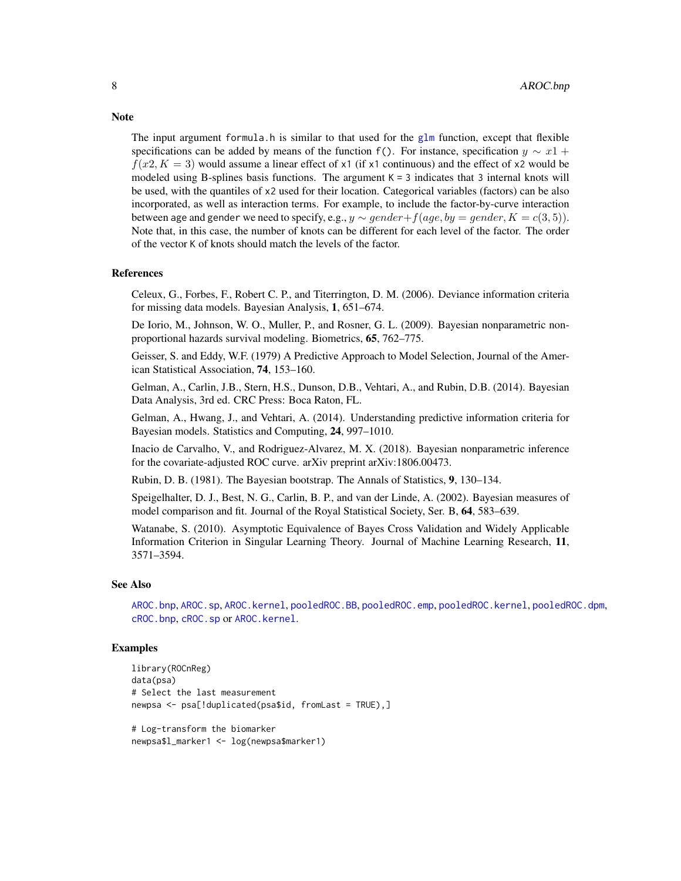The input argument formula.h is similar to that used for the [glm](#page-0-0) function, except that flexible specifications can be added by means of the function f(). For instance, specification  $y \sim x\mathbb{1} +$  $f(x2, K = 3)$  would assume a linear effect of x1 (if x1 continuous) and the effect of x2 would be modeled using B-splines basis functions. The argument  $K = 3$  indicates that 3 internal knots will be used, with the quantiles of x2 used for their location. Categorical variables (factors) can be also incorporated, as well as interaction terms. For example, to include the factor-by-curve interaction between age and gender we need to specify, e.g.,  $y \sim \text{gender} + f(\text{age}, \text{by} = \text{gender}, K = \text{c}(3, 5)).$ Note that, in this case, the number of knots can be different for each level of the factor. The order of the vector K of knots should match the levels of the factor.

## References

Celeux, G., Forbes, F., Robert C. P., and Titerrington, D. M. (2006). Deviance information criteria for missing data models. Bayesian Analysis, 1, 651–674.

De Iorio, M., Johnson, W. O., Muller, P., and Rosner, G. L. (2009). Bayesian nonparametric nonproportional hazards survival modeling. Biometrics, 65, 762–775.

Geisser, S. and Eddy, W.F. (1979) A Predictive Approach to Model Selection, Journal of the American Statistical Association, 74, 153–160.

Gelman, A., Carlin, J.B., Stern, H.S., Dunson, D.B., Vehtari, A., and Rubin, D.B. (2014). Bayesian Data Analysis, 3rd ed. CRC Press: Boca Raton, FL.

Gelman, A., Hwang, J., and Vehtari, A. (2014). Understanding predictive information criteria for Bayesian models. Statistics and Computing, 24, 997–1010.

Inacio de Carvalho, V., and Rodriguez-Alvarez, M. X. (2018). Bayesian nonparametric inference for the covariate-adjusted ROC curve. arXiv preprint arXiv:1806.00473.

Rubin, D. B. (1981). The Bayesian bootstrap. The Annals of Statistics, 9, 130–134.

Speigelhalter, D. J., Best, N. G., Carlin, B. P., and van der Linde, A. (2002). Bayesian measures of model comparison and fit. Journal of the Royal Statistical Society, Ser. B, 64, 583–639.

Watanabe, S. (2010). Asymptotic Equivalence of Bayes Cross Validation and Widely Applicable Information Criterion in Singular Learning Theory. Journal of Machine Learning Research, 11, 3571–3594.

# See Also

[AROC.bnp](#page-3-1), [AROC.sp](#page-12-1), [AROC.kernel](#page-8-1), [pooledROC.BB](#page-47-1), [pooledROC.emp](#page-54-1), [pooledROC.kernel](#page-57-1), [pooledROC.dpm](#page-50-1), [cROC.bnp](#page-23-1), [cROC.sp](#page-33-1) or [AROC.kernel](#page-8-1).

# Examples

```
library(ROCnReg)
data(psa)
# Select the last measurement
newpsa <- psa[!duplicated(psa$id, fromLast = TRUE),]
# Log-transform the biomarker
```
# **Note**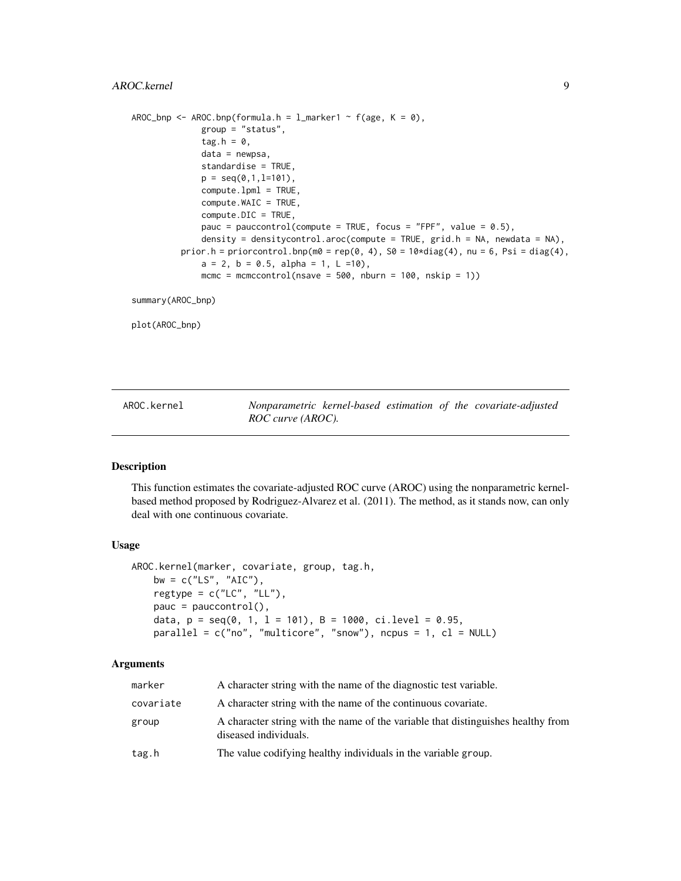```
AROC_bnp <- AROC.bnp(formula.h = l_marker1 ~ f(age, K = 0),
              group = "status",
              tag.h = 0,
              data = newpsa,
              standardise = TRUE,
              p = seq(0, 1, 1=101),
              compute.lpml = TRUE,
              compute.WAIC = TRUE,
              compute.DIC = TRUE,
              pauc = pauccontrol(compute = TRUE, focus = "FPF", value = 0.5),
              density = densitycontrol.aroc(compute = TRUE, grid.h = NA, newdata = NA),
         prior.h = priorcontrol.bnp(m0 = rep(0, 4), S0 = 10*diag(4), nu = 6, Psi = diag(4),
              a = 2, b = 0.5, alpha = 1, L = 10),
              mcmc = mcmccontrol(nsave = 500, nburn = 100, nskip = 1))
```
summary(AROC\_bnp)

plot(AROC\_bnp)

<span id="page-8-1"></span>AROC.kernel *Nonparametric kernel-based estimation of the covariate-adjusted ROC curve (AROC).*

# Description

This function estimates the covariate-adjusted ROC curve (AROC) using the nonparametric kernelbased method proposed by Rodriguez-Alvarez et al. (2011). The method, as it stands now, can only deal with one continuous covariate.

# Usage

```
AROC.kernel(marker, covariate, group, tag.h,
    bw = c("LS", "AIC"),regtype = c("LC", "LL"),pauc = pauccontrol(),
    data, p = \text{seq}(0, 1, 1 = 101), B = 1000, ci.level = 0.95,
    parallel = c("no", "multicore", "snow"), ncpus = 1, cl = NULL)
```

| marker    | A character string with the name of the diagnostic test variable.                                         |
|-----------|-----------------------------------------------------------------------------------------------------------|
| covariate | A character string with the name of the continuous covariate.                                             |
| group     | A character string with the name of the variable that distinguishes healthy from<br>diseased individuals. |
| tag.h     | The value codifying healthy individuals in the variable group.                                            |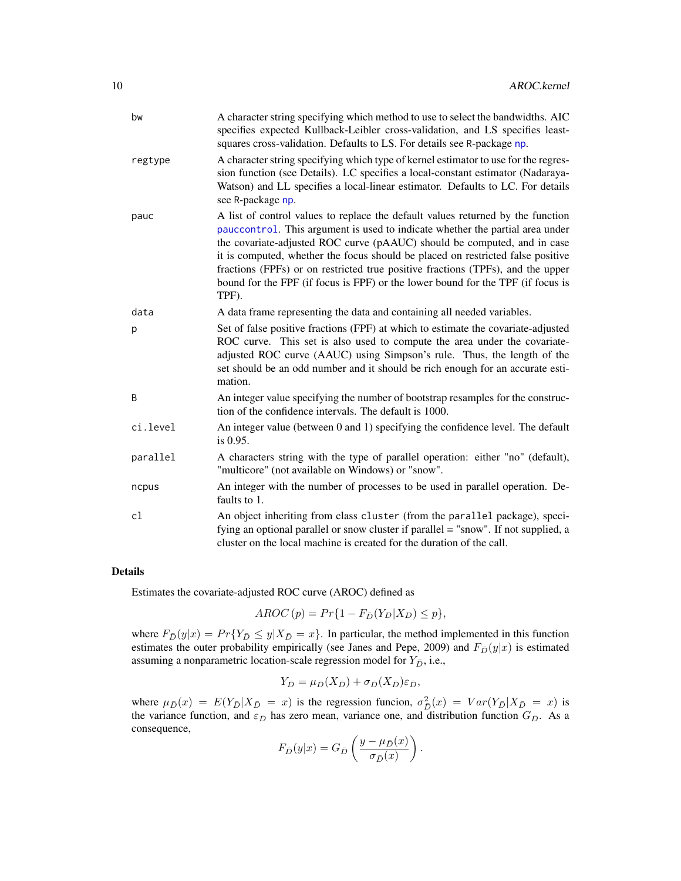| bw       | A character string specifying which method to use to select the bandwidths. AIC<br>specifies expected Kullback-Leibler cross-validation, and LS specifies least-<br>squares cross-validation. Defaults to LS. For details see R-package np.                                                                                                                                                                                                                                                                    |
|----------|----------------------------------------------------------------------------------------------------------------------------------------------------------------------------------------------------------------------------------------------------------------------------------------------------------------------------------------------------------------------------------------------------------------------------------------------------------------------------------------------------------------|
| regtype  | A character string specifying which type of kernel estimator to use for the regres-<br>sion function (see Details). LC specifies a local-constant estimator (Nadaraya-<br>Watson) and LL specifies a local-linear estimator. Defaults to LC. For details<br>see R-package np.                                                                                                                                                                                                                                  |
| pauc     | A list of control values to replace the default values returned by the function<br>pauccontrol. This argument is used to indicate whether the partial area under<br>the covariate-adjusted ROC curve (pAAUC) should be computed, and in case<br>it is computed, whether the focus should be placed on restricted false positive<br>fractions (FPFs) or on restricted true positive fractions (TPFs), and the upper<br>bound for the FPF (if focus is FPF) or the lower bound for the TPF (if focus is<br>TPF). |
| data     | A data frame representing the data and containing all needed variables.                                                                                                                                                                                                                                                                                                                                                                                                                                        |
| р        | Set of false positive fractions (FPF) at which to estimate the covariate-adjusted<br>ROC curve. This set is also used to compute the area under the covariate-<br>adjusted ROC curve (AAUC) using Simpson's rule. Thus, the length of the<br>set should be an odd number and it should be rich enough for an accurate esti-<br>mation.                                                                                                                                                                         |
| B        | An integer value specifying the number of bootstrap resamples for the construc-<br>tion of the confidence intervals. The default is 1000.                                                                                                                                                                                                                                                                                                                                                                      |
| ci.level | An integer value (between 0 and 1) specifying the confidence level. The default<br>is 0.95.                                                                                                                                                                                                                                                                                                                                                                                                                    |
| parallel | A characters string with the type of parallel operation: either "no" (default),<br>"multicore" (not available on Windows) or "snow".                                                                                                                                                                                                                                                                                                                                                                           |
| ncpus    | An integer with the number of processes to be used in parallel operation. De-<br>faults to 1.                                                                                                                                                                                                                                                                                                                                                                                                                  |
| cl       | An object inheriting from class cluster (from the parallel package), speci-<br>fying an optional parallel or snow cluster if parallel = "snow". If not supplied, a<br>cluster on the local machine is created for the duration of the call.                                                                                                                                                                                                                                                                    |

Estimates the covariate-adjusted ROC curve (AROC) defined as

$$
AROC(p) = Pr\{1 - F_{\bar{D}}(Y_D|X_D) \le p\},\
$$

where  $F_{\bar{D}}(y|x) = Pr{Y_{\bar{D}} \le y|X_{\bar{D}} = x}$ . In particular, the method implemented in this function estimates the outer probability empirically (see Janes and Pepe, 2009) and  $F_{\bar{D}}(y|x)$  is estimated assuming a nonparametric location-scale regression model for  $Y_{\bar{D}}$ , i.e.,

$$
Y_{\bar{D}} = \mu_{\bar{D}}(X_{\bar{D}}) + \sigma_{\bar{D}}(X_{\bar{D}})\varepsilon_{\bar{D}},
$$

where  $\mu_{\bar{D}}(x) = E(Y_{\bar{D}} | X_{\bar{D}} = x)$  is the regression funcion,  $\sigma_{\bar{D}}^2(x) = Var(Y_{\bar{D}} | X_{\bar{D}} = x)$  is the variance function, and  $\varepsilon_{\bar{D}}$  has zero mean, variance one, and distribution function  $G_{\bar{D}}$ . As a consequence,

$$
F_{\bar{D}}(y|x) = G_{\bar{D}}\left(\frac{y - \mu_{\bar{D}}(x)}{\sigma_{\bar{D}}(x)}\right)
$$

.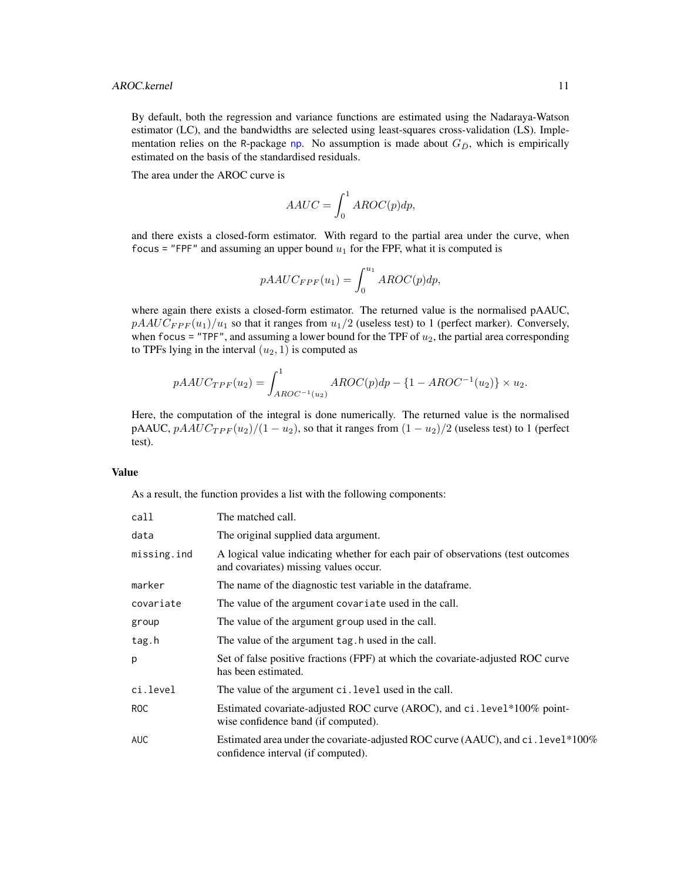By default, both the regression and variance functions are estimated using the Nadaraya-Watson estimator (LC), and the bandwidths are selected using least-squares cross-validation (LS). Implementation relies on the R-package [np](#page-0-0). No assumption is made about  $G_{\bar{D}}$ , which is empirically estimated on the basis of the standardised residuals.

The area under the AROC curve is

$$
AAUC = \int_0^1 AROC(p)dp,
$$

and there exists a closed-form estimator. With regard to the partial area under the curve, when focus = "FPF" and assuming an upper bound  $u_1$  for the FPF, what it is computed is

$$
pAAUC_{FPF}(u_1) = \int_0^{u_1} AROC(p)dp,
$$

where again there exists a closed-form estimator. The returned value is the normalised pAAUC,  $pAAUC_{FPF}(u_1)/u_1$  so that it ranges from  $u_1/2$  (useless test) to 1 (perfect marker). Conversely, when focus = "TPF", and assuming a lower bound for the TPF of  $u_2$ , the partial area corresponding to TPFs lying in the interval  $(u_2, 1)$  is computed as

$$
pAAUC_{TPF}(u_2) = \int_{AROC^{-1}(u_2)}^{1} AROC(p)dp - \{1 - AROC^{-1}(u_2)\} \times u_2.
$$

Here, the computation of the integral is done numerically. The returned value is the normalised pAAUC,  $pA A U C_{T P F} (u_2)/(1 - u_2)$ , so that it ranges from  $(1 - u_2)/2$  (useless test) to 1 (perfect test).

#### Value

As a result, the function provides a list with the following components:

| call        | The matched call.                                                                                                        |
|-------------|--------------------------------------------------------------------------------------------------------------------------|
| data        | The original supplied data argument.                                                                                     |
| missing.ind | A logical value indicating whether for each pair of observations (test outcomes<br>and covariates) missing values occur. |
| marker      | The name of the diagnostic test variable in the dataframe.                                                               |
| covariate   | The value of the argument covariate used in the call.                                                                    |
| group       | The value of the argument group used in the call.                                                                        |
| tag.h       | The value of the argument tag. h used in the call.                                                                       |
| p           | Set of false positive fractions (FPF) at which the covariate-adjusted ROC curve<br>has been estimated.                   |
| ci.level    | The value of the argument ci. level used in the call.                                                                    |
| ROC         | Estimated covariate-adjusted ROC curve (AROC), and ci.level*100% point-<br>wise confidence band (if computed).           |
| AUC         | Estimated area under the covariate-adjusted ROC curve (AAUC), and ci. level*100%<br>confidence interval (if computed).   |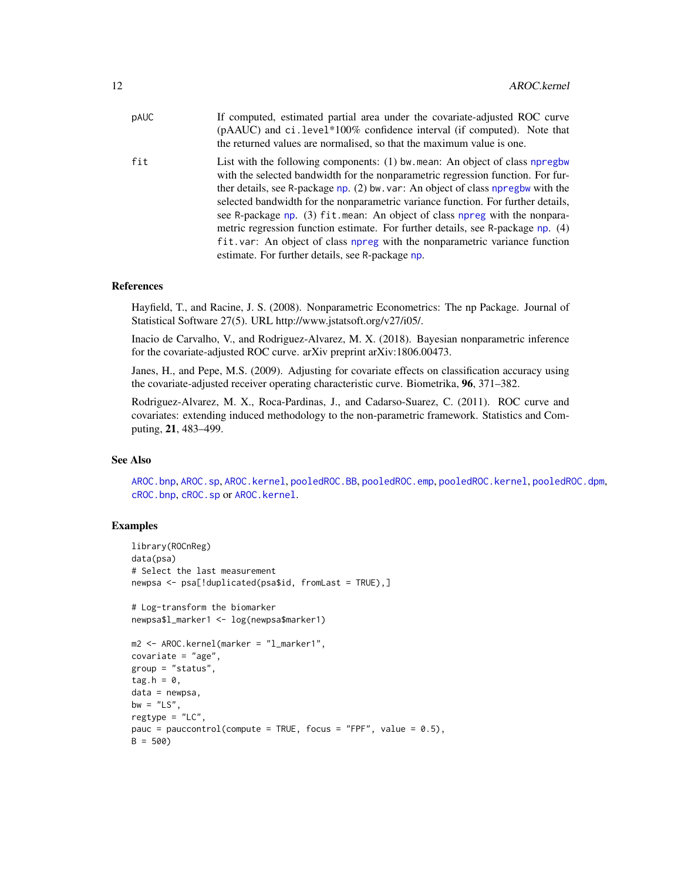| pAUC | If computed, estimated partial area under the covariate-adjusted ROC curve<br>(pAAUC) and ci.level*100% confidence interval (if computed). Note that<br>the returned values are normalised, so that the maximum value is one.                                                                                                                                                                                                                                                                                                                                                                                                               |
|------|---------------------------------------------------------------------------------------------------------------------------------------------------------------------------------------------------------------------------------------------------------------------------------------------------------------------------------------------------------------------------------------------------------------------------------------------------------------------------------------------------------------------------------------------------------------------------------------------------------------------------------------------|
| fit  | List with the following components: (1) bw. mean: An object of class npregbw<br>with the selected bandwidth for the nonparametric regression function. For fur-<br>ther details, see R-package np. (2) bw. var: An object of class npregbw with the<br>selected bandwidth for the nonparametric variance function. For further details,<br>see R-package np. (3) fit mean: An object of class npreg with the nonpara-<br>metric regression function estimate. For further details, see R-package np. (4)<br>fit. var: An object of class npreg with the nonparametric variance function<br>estimate. For further details, see R-package np. |

#### References

Hayfield, T., and Racine, J. S. (2008). Nonparametric Econometrics: The np Package. Journal of Statistical Software 27(5). URL http://www.jstatsoft.org/v27/i05/.

Inacio de Carvalho, V., and Rodriguez-Alvarez, M. X. (2018). Bayesian nonparametric inference for the covariate-adjusted ROC curve. arXiv preprint arXiv:1806.00473.

Janes, H., and Pepe, M.S. (2009). Adjusting for covariate effects on classification accuracy using the covariate-adjusted receiver operating characteristic curve. Biometrika, 96, 371–382.

Rodriguez-Alvarez, M. X., Roca-Pardinas, J., and Cadarso-Suarez, C. (2011). ROC curve and covariates: extending induced methodology to the non-parametric framework. Statistics and Computing, 21, 483–499.

#### See Also

[AROC.bnp](#page-3-1), [AROC.sp](#page-12-1), [AROC.kernel](#page-8-1), [pooledROC.BB](#page-47-1), [pooledROC.emp](#page-54-1), [pooledROC.kernel](#page-57-1), [pooledROC.dpm](#page-50-1), [cROC.bnp](#page-23-1), [cROC.sp](#page-33-1) or [AROC.kernel](#page-8-1).

# Examples

```
library(ROCnReg)
data(psa)
# Select the last measurement
newpsa <- psa[!duplicated(psa$id, fromLast = TRUE),]
# Log-transform the biomarker
newpsa$l_marker1 <- log(newpsa$marker1)
m2 <- AROC.kernel(marker = "l_marker1",
covariate = "age",
group = "status",
tag.h = 0,data = newpsa,
bw = "LS",
rectype = "LC".pauc = pauccontrol(compute = TRUE, focus = "FPF", value = 0.5),
B = 500
```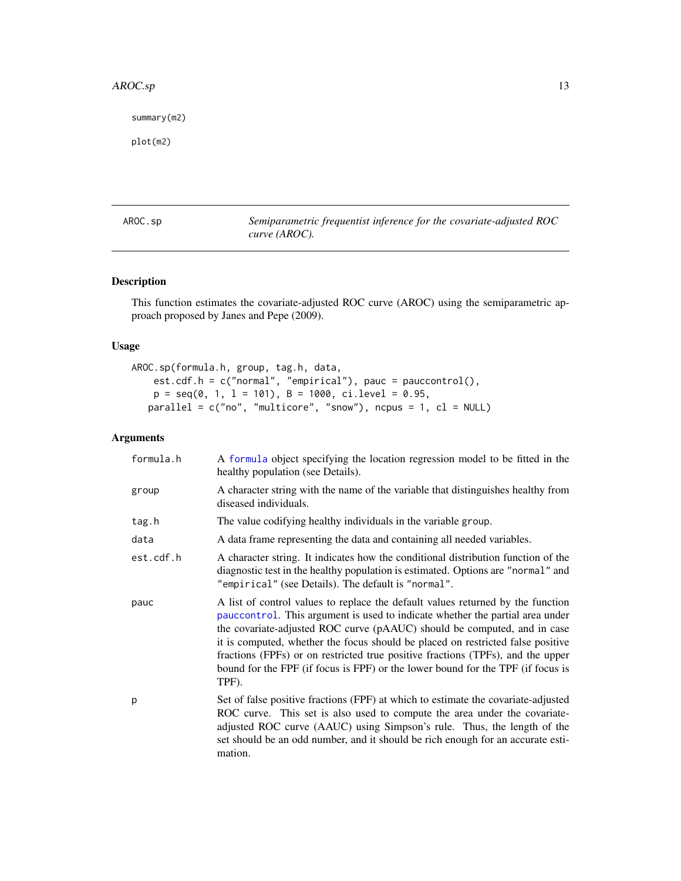#### <span id="page-12-0"></span> $\triangle$ AROC.sp 13

summary(m2)

plot(m2)

<span id="page-12-1"></span>AROC.sp *Semiparametric frequentist inference for the covariate-adjusted ROC curve (AROC).*

# Description

This function estimates the covariate-adjusted ROC curve (AROC) using the semiparametric approach proposed by Janes and Pepe (2009).

# Usage

```
AROC.sp(formula.h, group, tag.h, data,
    est.cdf.h = c("normal", "empirical"), pauc = pauccontrol(),
    p = seq(0, 1, 1 = 101), B = 1000, ci. level = 0.95,parallel = c("no", "multicore", "snow"), ncpus = 1, cl = NULL)
```

| formula.h | A formula object specifying the location regression model to be fitted in the<br>healthy population (see Details).                                                                                                                                                                                                                                                                                                                                                                                             |
|-----------|----------------------------------------------------------------------------------------------------------------------------------------------------------------------------------------------------------------------------------------------------------------------------------------------------------------------------------------------------------------------------------------------------------------------------------------------------------------------------------------------------------------|
| group     | A character string with the name of the variable that distinguishes healthy from<br>diseased individuals.                                                                                                                                                                                                                                                                                                                                                                                                      |
| tag.h     | The value codifying healthy individuals in the variable group.                                                                                                                                                                                                                                                                                                                                                                                                                                                 |
| data      | A data frame representing the data and containing all needed variables.                                                                                                                                                                                                                                                                                                                                                                                                                                        |
| est.cdf.h | A character string. It indicates how the conditional distribution function of the<br>diagnostic test in the healthy population is estimated. Options are "normal" and<br>"empirical" (see Details). The default is "normal".                                                                                                                                                                                                                                                                                   |
| pauc      | A list of control values to replace the default values returned by the function<br>pauccontrol. This argument is used to indicate whether the partial area under<br>the covariate-adjusted ROC curve (pAAUC) should be computed, and in case<br>it is computed, whether the focus should be placed on restricted false positive<br>fractions (FPFs) or on restricted true positive fractions (TPFs), and the upper<br>bound for the FPF (if focus is FPF) or the lower bound for the TPF (if focus is<br>TPF). |
| p         | Set of false positive fractions (FPF) at which to estimate the covariate-adjusted<br>ROC curve. This set is also used to compute the area under the covariate-<br>adjusted ROC curve (AAUC) using Simpson's rule. Thus, the length of the<br>set should be an odd number, and it should be rich enough for an accurate esti-<br>mation.                                                                                                                                                                        |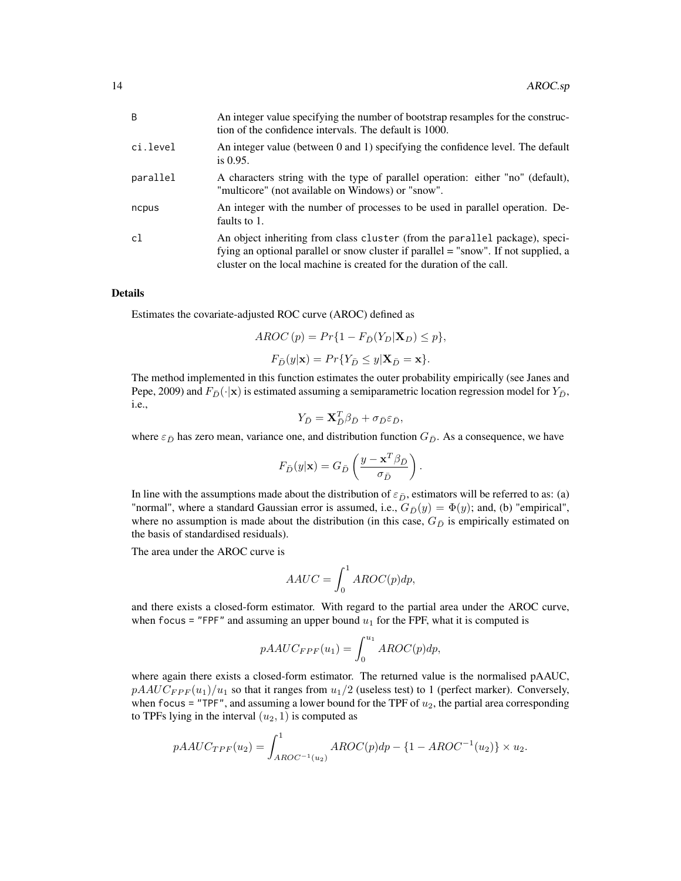| B        | An integer value specifying the number of bootstrap resamples for the construc-<br>tion of the confidence intervals. The default is 1000.                                                                                                   |
|----------|---------------------------------------------------------------------------------------------------------------------------------------------------------------------------------------------------------------------------------------------|
| ci.level | An integer value (between 0 and 1) specifying the confidence level. The default<br>is $0.95$ .                                                                                                                                              |
| parallel | A characters string with the type of parallel operation: either "no" (default),<br>"multicore" (not available on Windows) or "snow".                                                                                                        |
| ncpus    | An integer with the number of processes to be used in parallel operation. De-<br>faults to 1.                                                                                                                                               |
| c1       | An object inheriting from class cluster (from the parallel package), speci-<br>fying an optional parallel or snow cluster if parallel = "snow". If not supplied, a<br>cluster on the local machine is created for the duration of the call. |

Estimates the covariate-adjusted ROC curve (AROC) defined as

$$
AROC(p) = Pr\{1 - F_{\bar{D}}(Y_D | \mathbf{X}_D) \le p\},\
$$

$$
F_{\bar{D}}(y | \mathbf{x}) = Pr\{Y_{\bar{D}} \le y | \mathbf{X}_{\bar{D}} = \mathbf{x}\}.
$$

The method implemented in this function estimates the outer probability empirically (see Janes and Pepe, 2009) and  $F_{\bar{D}}(\cdot|x)$  is estimated assuming a semiparametric location regression model for  $Y_{\bar{D}}$ , i.e.,

$$
Y_{\bar{D}} = \mathbf{X}_{\bar{D}}^T \boldsymbol{\beta}_{\bar{D}} + \sigma_{\bar{D}} \varepsilon_{\bar{D}},
$$

where  $\varepsilon_{\bar{D}}$  has zero mean, variance one, and distribution function  $G_{\bar{D}}$ . As a consequence, we have

$$
F_{\bar{D}}(y|\mathbf{x})=G_{\bar{D}}\left(\frac{y-\mathbf{x}^T\beta_{\bar{D}}}{\sigma_{\bar{D}}}\right)
$$

.

In line with the assumptions made about the distribution of  $\varepsilon_{\bar{D}}$ , estimators will be referred to as: (a) "normal", where a standard Gaussian error is assumed, i.e.,  $G_{\bar{D}}(y) = \Phi(y)$ ; and, (b) "empirical", where no assumption is made about the distribution (in this case,  $G_{\bar{D}}$  is empirically estimated on the basis of standardised residuals).

The area under the AROC curve is

$$
AAUC = \int_0^1 AROC(p)dp,
$$

and there exists a closed-form estimator. With regard to the partial area under the AROC curve, when focus = "FPF" and assuming an upper bound  $u_1$  for the FPF, what it is computed is

$$
pAAUC_{FPF}(u_1) = \int_0^{u_1} AROC(p)dp,
$$

where again there exists a closed-form estimator. The returned value is the normalised pAAUC,  $pAAUC_{FPF}(u_1)/u_1$  so that it ranges from  $u_1/2$  (useless test) to 1 (perfect marker). Conversely, when focus = "TPF", and assuming a lower bound for the TPF of  $u_2$ , the partial area corresponding to TPFs lying in the interval  $(u_2, 1)$  is computed as

$$
pAAUC_{TPF}(u_2) = \int_{AROC^{-1}(u_2)}^{1} AROC(p)dp - \{1 - AROC^{-1}(u_2)\} \times u_2.
$$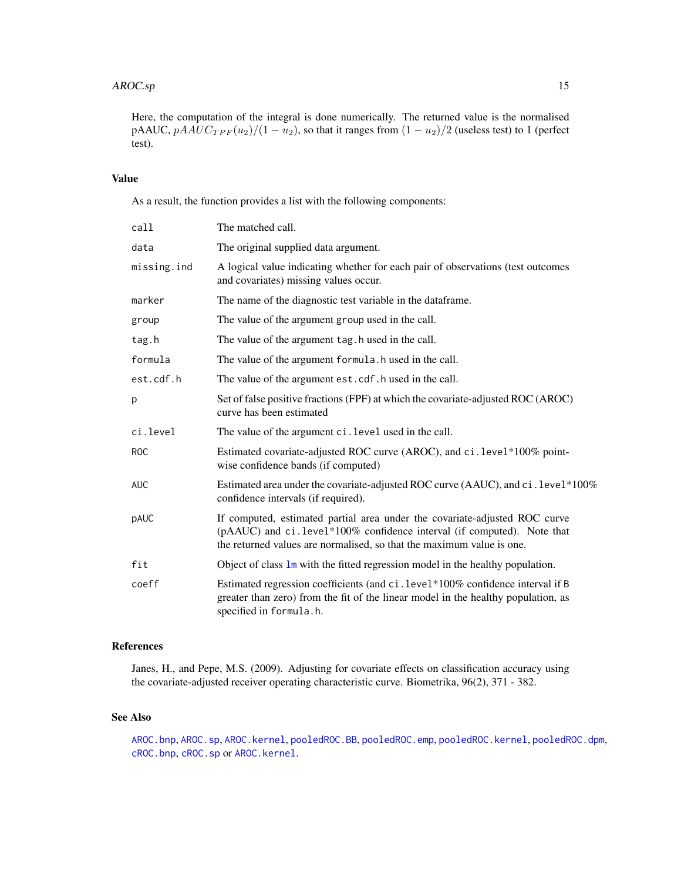Here, the computation of the integral is done numerically. The returned value is the normalised pAAUC,  $pAAUC_{TPF}(u_2)/(1-u_2)$ , so that it ranges from  $(1-u_2)/2$  (useless test) to 1 (perfect test).

# Value

As a result, the function provides a list with the following components:

| call        | The matched call.                                                                                                                                                                                                             |
|-------------|-------------------------------------------------------------------------------------------------------------------------------------------------------------------------------------------------------------------------------|
| data        | The original supplied data argument.                                                                                                                                                                                          |
| missing.ind | A logical value indicating whether for each pair of observations (test outcomes<br>and covariates) missing values occur.                                                                                                      |
| marker      | The name of the diagnostic test variable in the dataframe.                                                                                                                                                                    |
| group       | The value of the argument group used in the call.                                                                                                                                                                             |
| tag.h       | The value of the argument tag. h used in the call.                                                                                                                                                                            |
| formula     | The value of the argument formula. h used in the call.                                                                                                                                                                        |
| est.cdf.h   | The value of the argument est.cdf.h used in the call.                                                                                                                                                                         |
| p           | Set of false positive fractions (FPF) at which the covariate-adjusted ROC (AROC)<br>curve has been estimated                                                                                                                  |
| ci.level    | The value of the argument ci. level used in the call.                                                                                                                                                                         |
| <b>ROC</b>  | Estimated covariate-adjusted ROC curve (AROC), and ci.level*100% point-<br>wise confidence bands (if computed)                                                                                                                |
| AUC         | Estimated area under the covariate-adjusted ROC curve (AAUC), and ci. level*100%<br>confidence intervals (if required).                                                                                                       |
| pAUC        | If computed, estimated partial area under the covariate-adjusted ROC curve<br>(pAAUC) and ci.level*100% confidence interval (if computed). Note that<br>the returned values are normalised, so that the maximum value is one. |
| fit         | Object of class $\text{Im}$ with the fitted regression model in the healthy population.                                                                                                                                       |
| coeff       | Estimated regression coefficients (and ci. level*100% confidence interval if B<br>greater than zero) from the fit of the linear model in the healthy population, as<br>specified in formula.h.                                |

# References

Janes, H., and Pepe, M.S. (2009). Adjusting for covariate effects on classification accuracy using the covariate-adjusted receiver operating characteristic curve. Biometrika, 96(2), 371 - 382.

# See Also

[AROC.bnp](#page-3-1), [AROC.sp](#page-12-1), [AROC.kernel](#page-8-1), [pooledROC.BB](#page-47-1), [pooledROC.emp](#page-54-1), [pooledROC.kernel](#page-57-1), [pooledROC.dpm](#page-50-1), [cROC.bnp](#page-23-1), [cROC.sp](#page-33-1) or [AROC.kernel](#page-8-1).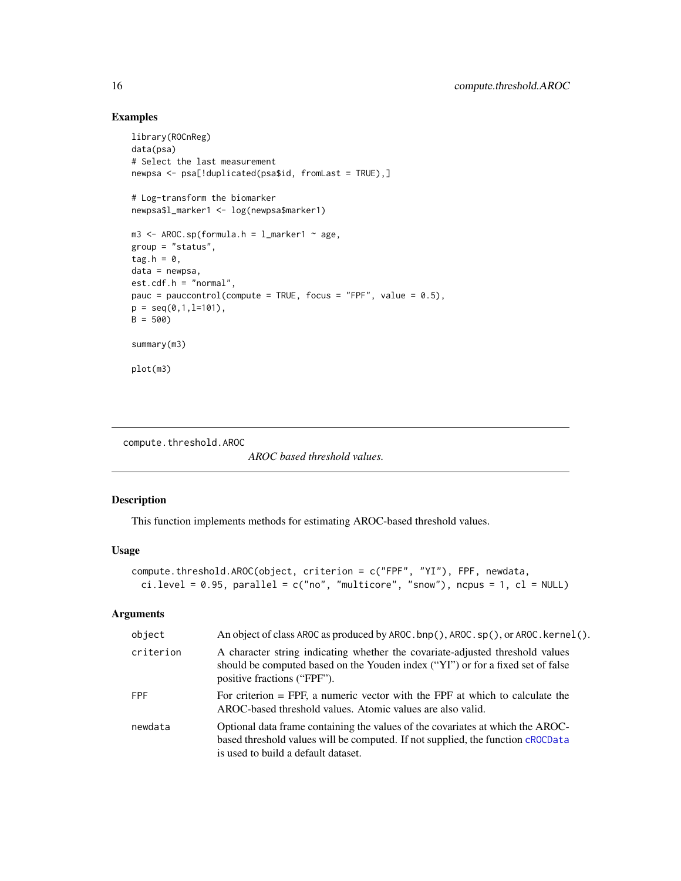# Examples

```
library(ROCnReg)
data(psa)
# Select the last measurement
newpsa <- psa[!duplicated(psa$id, fromLast = TRUE),]
# Log-transform the biomarker
newpsa$l_marker1 <- log(newpsa$marker1)
m3 <- AROC.sp(formula.h = l_marker1 ~ age,
group = "status",
tag.h = \theta,
data = newpsa,
est.cdf.h = "normal",
pauc = pauccontrol(compute = TRUE, focus = "FPF", value = 0.5),
p = seq(0, 1, 1=101),
B = 500summary(m3)
plot(m3)
```
compute.threshold.AROC

*AROC based threshold values.*

# Description

This function implements methods for estimating AROC-based threshold values.

# Usage

```
compute.threshold.AROC(object, criterion = c("FPF", "YI"), FPF, newdata,
 ci.level = 0.95, parallel = c("no", "multicore", "snow"), nopus = 1, cl = NULL)
```

| object    | An object of class AROC as produced by AROC. bnp(), AROC. sp(), or AROC. kernel().                                                                                                                       |
|-----------|----------------------------------------------------------------------------------------------------------------------------------------------------------------------------------------------------------|
| criterion | A character string indicating whether the covariate-adjusted threshold values<br>should be computed based on the Youden index ("YI") or for a fixed set of false<br>positive fractions ("FPF").          |
| FPF       | For criterion $=$ FPF, a numeric vector with the FPF at which to calculate the<br>AROC-based threshold values. Atomic values are also valid.                                                             |
| newdata   | Optional data frame containing the values of the covariates at which the AROC-<br>based threshold values will be computed. If not supplied, the function cROCData<br>is used to build a default dataset. |

<span id="page-15-0"></span>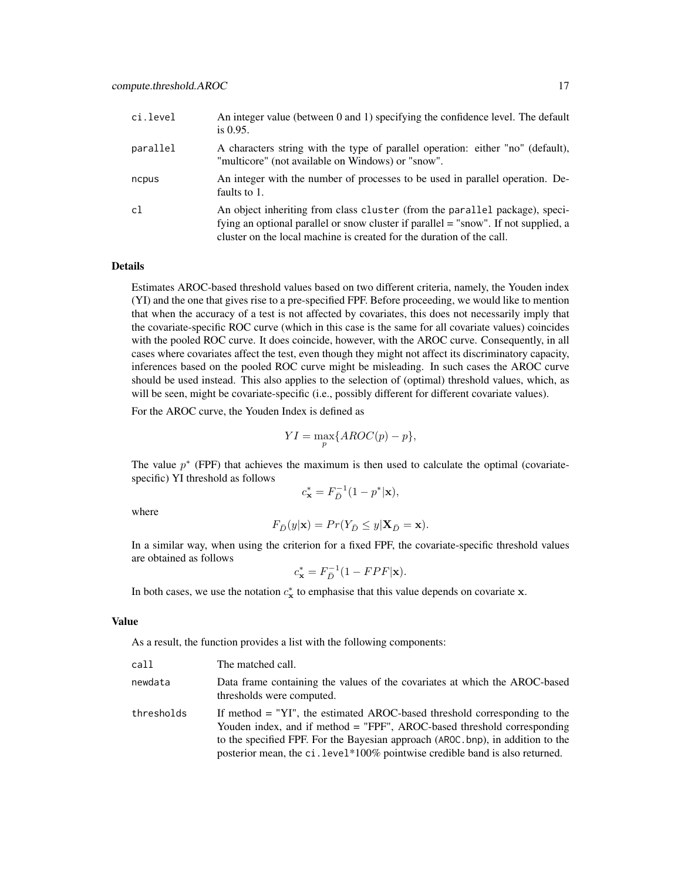| ci.level | An integer value (between 0 and 1) specifying the confidence level. The default<br>is $0.95$ .                                                                                                                                              |
|----------|---------------------------------------------------------------------------------------------------------------------------------------------------------------------------------------------------------------------------------------------|
| parallel | A characters string with the type of parallel operation: either "no" (default),<br>"multicore" (not available on Windows) or "snow".                                                                                                        |
| ncpus    | An integer with the number of processes to be used in parallel operation. De-<br>faults to 1.                                                                                                                                               |
| c1       | An object inheriting from class cluster (from the parallel package), speci-<br>fying an optional parallel or snow cluster if parallel = "snow". If not supplied, a<br>cluster on the local machine is created for the duration of the call. |

Estimates AROC-based threshold values based on two different criteria, namely, the Youden index (YI) and the one that gives rise to a pre-specified FPF. Before proceeding, we would like to mention that when the accuracy of a test is not affected by covariates, this does not necessarily imply that the covariate-specific ROC curve (which in this case is the same for all covariate values) coincides with the pooled ROC curve. It does coincide, however, with the AROC curve. Consequently, in all cases where covariates affect the test, even though they might not affect its discriminatory capacity, inferences based on the pooled ROC curve might be misleading. In such cases the AROC curve should be used instead. This also applies to the selection of (optimal) threshold values, which, as will be seen, might be covariate-specific (i.e., possibly different for different covariate values).

For the AROC curve, the Youden Index is defined as

$$
YI = \max_{p} \{AROC(p) - p\},\
$$

The value  $p^*$  (FPF) that achieves the maximum is then used to calculate the optimal (covariatespecific) YI threshold as follows

$$
c_{\mathbf{x}}^* = F_{\bar{D}}^{-1}(1 - p^*|\mathbf{x}),
$$

where

$$
F_{\bar{D}}(y|\mathbf{x}) = Pr(Y_{\bar{D}} \le y|\mathbf{X}_{\bar{D}} = \mathbf{x}).
$$

In a similar way, when using the criterion for a fixed FPF, the covariate-specific threshold values are obtained as follows

$$
c_{\mathbf{x}}^* = F_{\bar{D}}^{-1} (1 - FPF|\mathbf{x}).
$$

In both cases, we use the notation  $c^*_{\mathbf{x}}$  to emphasise that this value depends on covariate x.

#### Value

As a result, the function provides a list with the following components:

| call       | The matched call.                                                                                                                                                                                                                                                                                                       |
|------------|-------------------------------------------------------------------------------------------------------------------------------------------------------------------------------------------------------------------------------------------------------------------------------------------------------------------------|
| newdata    | Data frame containing the values of the covariates at which the AROC-based<br>thresholds were computed.                                                                                                                                                                                                                 |
| thresholds | If method = "YI", the estimated AROC-based threshold corresponding to the<br>Youden index, and if method = "FPF", AROC-based threshold corresponding<br>to the specified FPF. For the Bayesian approach (AROC, bnp), in addition to the<br>posterior mean, the ci. level*100% pointwise credible band is also returned. |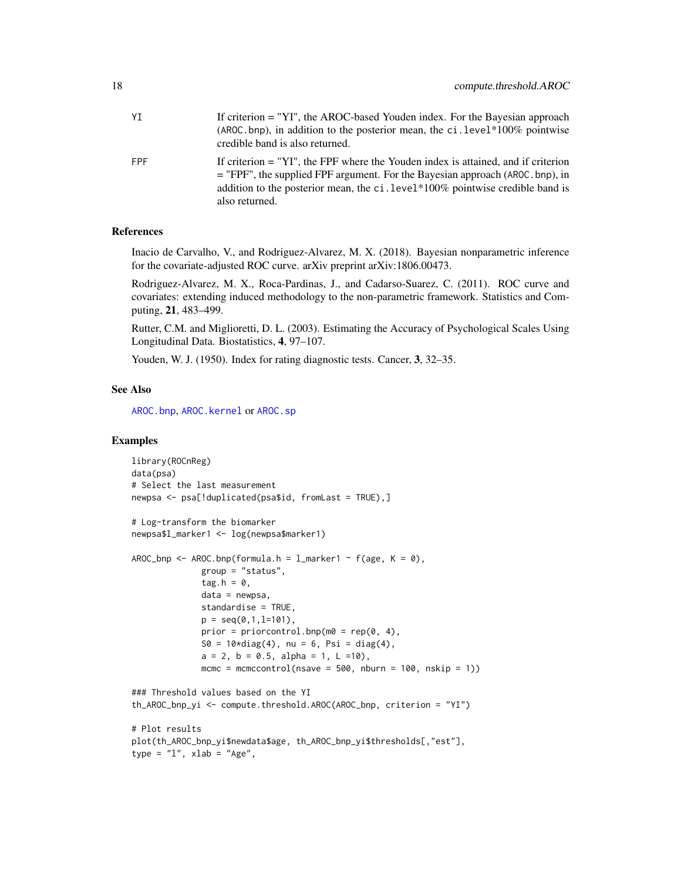| YT  | If criterion = "YI", the AROC-based Youden index. For the Bayesian approach<br>(AROC bnp), in addition to the posterior mean, the $ci$ level*100% pointwise<br>credible band is also returned.                                                                               |
|-----|------------------------------------------------------------------------------------------------------------------------------------------------------------------------------------------------------------------------------------------------------------------------------|
| FPF | If criterion $=$ "YI", the FPF where the Youden index is attained, and if criterion<br>$=$ "FPF", the supplied FPF argument. For the Bayesian approach (AROC, bnp), in<br>addition to the posterior mean, the $ci$ . level*100% pointwise credible band is<br>also returned. |

# References

Inacio de Carvalho, V., and Rodriguez-Alvarez, M. X. (2018). Bayesian nonparametric inference for the covariate-adjusted ROC curve. arXiv preprint arXiv:1806.00473.

Rodriguez-Alvarez, M. X., Roca-Pardinas, J., and Cadarso-Suarez, C. (2011). ROC curve and covariates: extending induced methodology to the non-parametric framework. Statistics and Computing, 21, 483–499.

Rutter, C.M. and Miglioretti, D. L. (2003). Estimating the Accuracy of Psychological Scales Using Longitudinal Data. Biostatistics, 4, 97–107.

Youden, W. J. (1950). Index for rating diagnostic tests. Cancer, 3, 32–35.

#### See Also

[AROC.bnp](#page-3-1), [AROC.kernel](#page-8-1) or [AROC.sp](#page-12-1)

# Examples

```
library(ROCnReg)
data(psa)
# Select the last measurement
newpsa <- psa[!duplicated(psa$id, fromLast = TRUE),]
# Log-transform the biomarker
newpsa$l_marker1 <- log(newpsa$marker1)
AROC_bnp <- AROC.bnp(formula.h = l_marker1 ~ f(age, K = 0),
              group = "status",
              tag.h = 0,data = newpsa,
              standardise = TRUE,
              p = seq(0, 1, l=101),
              prior = priorcontrol.bnp(m\theta = rep(\theta, 4),
              S0 = 10*diag(4), nu = 6, Psi = diag(4),
              a = 2, b = 0.5, alpha = 1, L =10),
              mcmc = mcmccontrol(nsave = 500, nburn = 100, nskip = 1))
### Threshold values based on the YI
th_AROC_bnp_yi <- compute.threshold.AROC(AROC_bnp, criterion = "YI")
# Plot results
plot(th_AROC_bnp_yi$newdata$age, th_AROC_bnp_yi$thresholds[,"est"],
type = "1", xlab = "Age",
```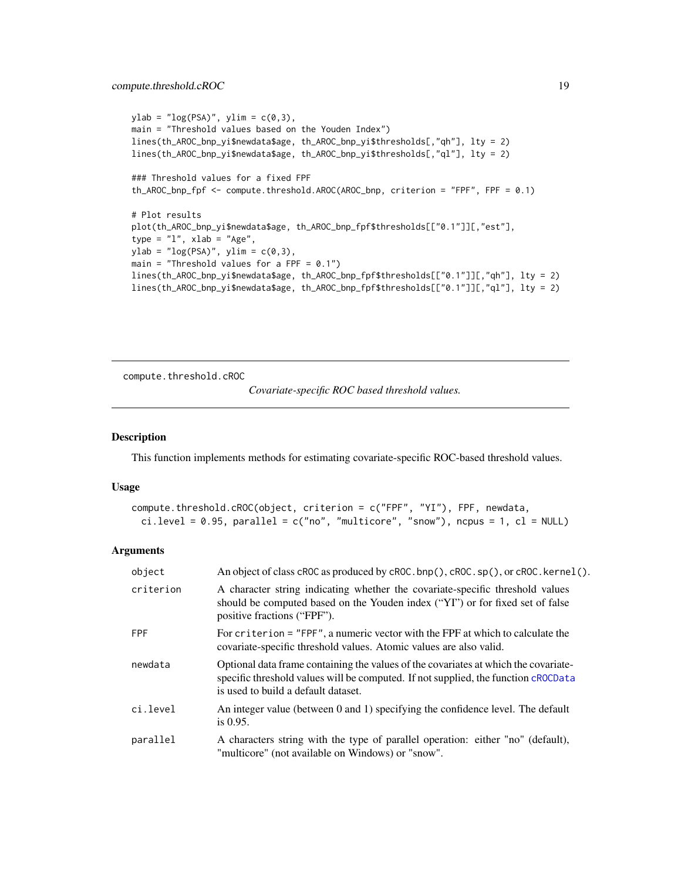```
ylab = "log(PSA)", ylim = c(0,3),main = "Threshold values based on the Youden Index")
lines(th_AROC_bnp_yi$newdata$age, th_AROC_bnp_yi$thresholds[,"qh"], lty = 2)
lines(th_AROC_bnp_yi$newdata$age, th_AROC_bnp_yi$thresholds[,"ql"], lty = 2)
### Threshold values for a fixed FPF
th_AROC_bnp_fpf <- compute.threshold.AROC(AROC_bnp, criterion = "FPF", FPF = 0.1)
# Plot results
plot(th_AROC_bnp_yi$newdata$age, th_AROC_bnp_fpf$thresholds[["0.1"]][,"est"],
type = "1", xlab = "Age",ylab = "log(PSA)", ylim = c(0,3),
main = "Threshold values for a FPF = 0.1")
lines(th_AROC_bnp_yi$newdata$age, th_AROC_bnp_fpf$thresholds[["0.1"]][,"qh"], lty = 2)
lines(th_AROC_bnp_yi$newdata$age, th_AROC_bnp_fpf$thresholds[["0.1"]][,"ql"], lty = 2)
```
compute.threshold.cROC

```
Covariate-specific ROC based threshold values.
```
#### Description

This function implements methods for estimating covariate-specific ROC-based threshold values.

#### Usage

```
compute.threshold.cROC(object, criterion = c("FPF", "YI"), FPF, newdata,
 ci. level = 0.95, parallel = c("no", "multicore", "snow"), ncpus = 1, cl = NULL)
```

| object     | An object of class cROC as produced by cROC. bnp(), cROC. sp(), or cROC. kernel().                                                                                                                               |
|------------|------------------------------------------------------------------------------------------------------------------------------------------------------------------------------------------------------------------|
| criterion  | A character string indicating whether the covariate-specific threshold values<br>should be computed based on the Youden index ("YI") or for fixed set of false<br>positive fractions ("FPF").                    |
| <b>FPF</b> | For criterion = "FPF", a numeric vector with the FPF at which to calculate the<br>covariate-specific threshold values. Atomic values are also valid.                                                             |
| newdata    | Optional data frame containing the values of the covariates at which the covariate-<br>specific threshold values will be computed. If not supplied, the function cROCData<br>is used to build a default dataset. |
| ci.level   | An integer value (between 0 and 1) specifying the confidence level. The default<br>is $0.95$ .                                                                                                                   |
| parallel   | A characters string with the type of parallel operation: either "no" (default),<br>"multicore" (not available on Windows) or "snow".                                                                             |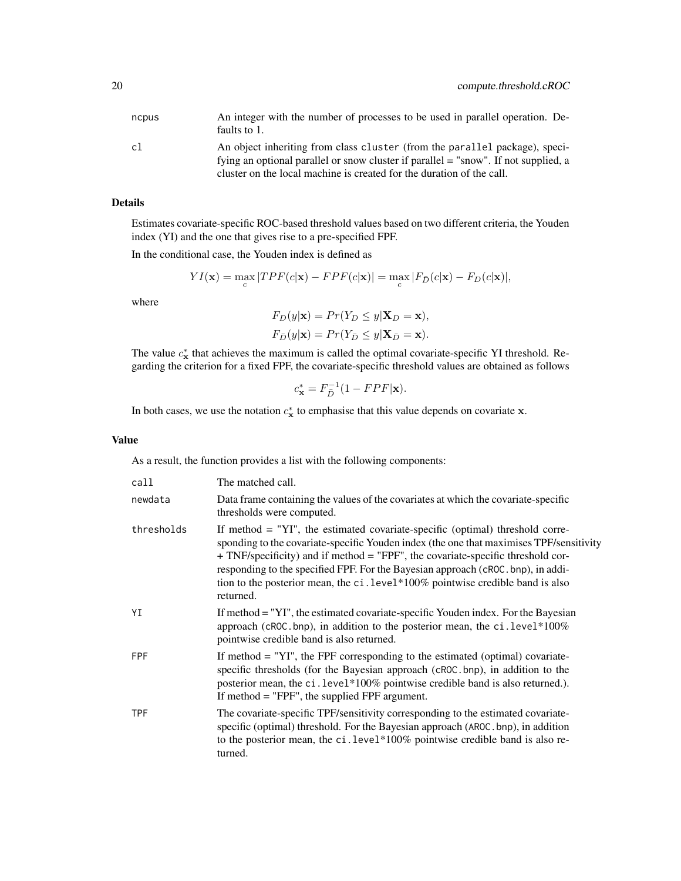| ncpus | An integer with the number of processes to be used in parallel operation. De-<br>faults to 1.                                                                      |
|-------|--------------------------------------------------------------------------------------------------------------------------------------------------------------------|
| cl    | An object inheriting from class cluster (from the parallel package), speci-<br>fying an optional parallel or snow cluster if parallel = "snow". If not supplied, a |
|       | cluster on the local machine is created for the duration of the call.                                                                                              |

Estimates covariate-specific ROC-based threshold values based on two different criteria, the Youden index (YI) and the one that gives rise to a pre-specified FPF.

In the conditional case, the Youden index is defined as

$$
YI(\mathbf{x}) = \max_{c} |TPF(c|\mathbf{x}) - FPF(c|\mathbf{x})| = \max_{c} |F_{\bar{D}}(c|\mathbf{x}) - F_D(c|\mathbf{x})|,
$$

where

$$
F_D(y|\mathbf{x}) = Pr(Y_D \le y|\mathbf{X}_D = \mathbf{x}),
$$
  
\n
$$
F_{\bar{D}}(y|\mathbf{x}) = Pr(Y_{\bar{D}} \le y|\mathbf{X}_{\bar{D}} = \mathbf{x}).
$$

The value  $c_{\mathbf{x}}^*$  that achieves the maximum is called the optimal covariate-specific YI threshold. Regarding the criterion for a fixed FPF, the covariate-specific threshold values are obtained as follows

$$
c_{\mathbf{x}}^* = F_{\bar{D}}^{-1} (1 - FPF|\mathbf{x}).
$$

In both cases, we use the notation  $c^*_{\mathbf{x}}$  to emphasise that this value depends on covariate x.

# Value

As a result, the function provides a list with the following components:

| call       | The matched call.                                                                                                                                                                                                                                                                                                                                                                                                                                |
|------------|--------------------------------------------------------------------------------------------------------------------------------------------------------------------------------------------------------------------------------------------------------------------------------------------------------------------------------------------------------------------------------------------------------------------------------------------------|
| newdata    | Data frame containing the values of the covariates at which the covariate-specific<br>thresholds were computed.                                                                                                                                                                                                                                                                                                                                  |
| thresholds | If method $=$ "YI", the estimated covariate-specific (optimal) threshold corre-<br>sponding to the covariate-specific Youden index (the one that maximises TPF/sensitivity<br>+ TNF/specificity) and if method = "FPF", the covariate-specific threshold cor-<br>responding to the specified FPF. For the Bayesian approach (cROC, bnp), in addi-<br>tion to the posterior mean, the ci. level*100% pointwise credible band is also<br>returned. |
| ΥI         | If method = "YI", the estimated covariate-specific Youden index. For the Bayesian<br>approach (cROC.bnp), in addition to the posterior mean, the ci.level*100%<br>pointwise credible band is also returned.                                                                                                                                                                                                                                      |
| <b>FPF</b> | If method $=$ "YI", the FPF corresponding to the estimated (optimal) covariate-<br>specific thresholds (for the Bayesian approach (cROC bnp), in addition to the<br>posterior mean, the ci. level*100% pointwise credible band is also returned.).<br>If method $=$ "FPF", the supplied FPF argument.                                                                                                                                            |
| <b>TPF</b> | The covariate-specific TPF/sensitivity corresponding to the estimated covariate-<br>specific (optimal) threshold. For the Bayesian approach (AROC, bnp), in addition<br>to the posterior mean, the ci.level*100% pointwise credible band is also re-<br>turned.                                                                                                                                                                                  |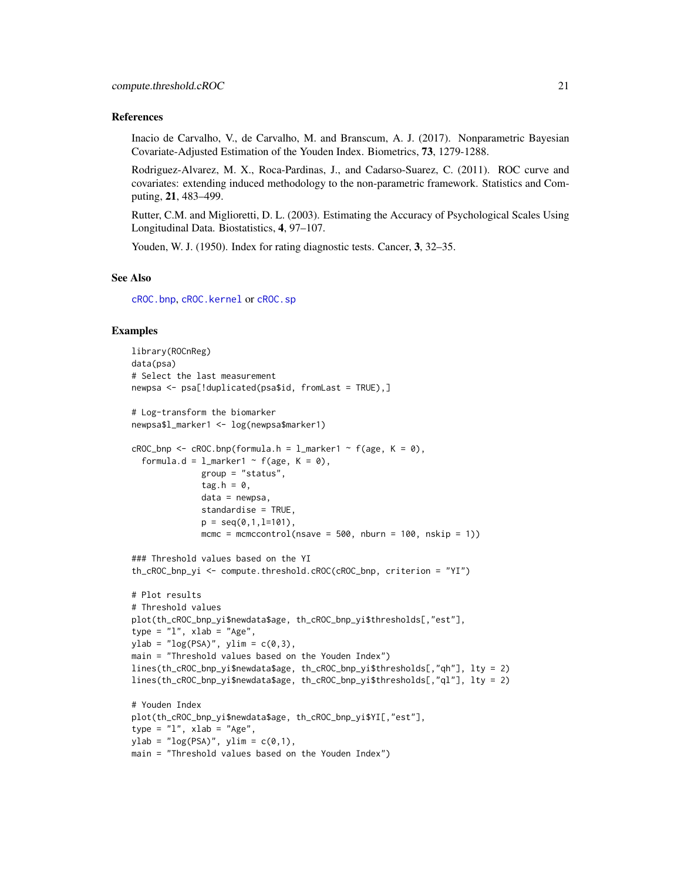#### References

Inacio de Carvalho, V., de Carvalho, M. and Branscum, A. J. (2017). Nonparametric Bayesian Covariate-Adjusted Estimation of the Youden Index. Biometrics, 73, 1279-1288.

Rodriguez-Alvarez, M. X., Roca-Pardinas, J., and Cadarso-Suarez, C. (2011). ROC curve and covariates: extending induced methodology to the non-parametric framework. Statistics and Computing, 21, 483–499.

Rutter, C.M. and Miglioretti, D. L. (2003). Estimating the Accuracy of Psychological Scales Using Longitudinal Data. Biostatistics, 4, 97–107.

Youden, W. J. (1950). Index for rating diagnostic tests. Cancer, 3, 32–35.

#### See Also

[cROC.bnp](#page-23-1), [cROC.kernel](#page-29-1) or [cROC.sp](#page-33-1)

# Examples

```
library(ROCnReg)
data(psa)
# Select the last measurement
newpsa <- psa[!duplicated(psa$id, fromLast = TRUE),]
# Log-transform the biomarker
newpsa$l_marker1 <- log(newpsa$marker1)
cROC\_bnp \leftarrow cROC.bnp(formula.h = 1_matrix = r \left( (age, K = 0),formula.d = l_marker1 ~ f(age, K = 0),
              group = "status",
              tag.h = 0,data = newpsa,
              standardise = TRUE,
              p = seq(0, 1, 1=101),
              mcmc = mcmccontrol(nsave = 500, nburn = 100, nskip = 1))
### Threshold values based on the YI
th_cROC_bnp_yi <- compute.threshold.cROC(cROC_bnp, criterion = "YI")
# Plot results
# Threshold values
plot(th_cROC_bnp_yi$newdata$age, th_cROC_bnp_yi$thresholds[,"est"],
type = "1", xlab = "Age",ylab = "log(PSA)", ylim = c(0,3),main = "Threshold values based on the Youden Index")
lines(th_cROC_bnp_yi$newdata$age, th_cROC_bnp_yi$thresholds[,"qh"], lty = 2)
lines(th_cROC_bnp_yi$newdata$age, th_cROC_bnp_yi$thresholds[,"ql"], lty = 2)
# Youden Index
plot(th_cROC_bnp_yi$newdata$age, th_cROC_bnp_yi$YI[,"est"],
type = "1", xlab = "Age",ylab = "log(PSA)", ylim = c(0,1),main = "Threshold values based on the Youden Index")
```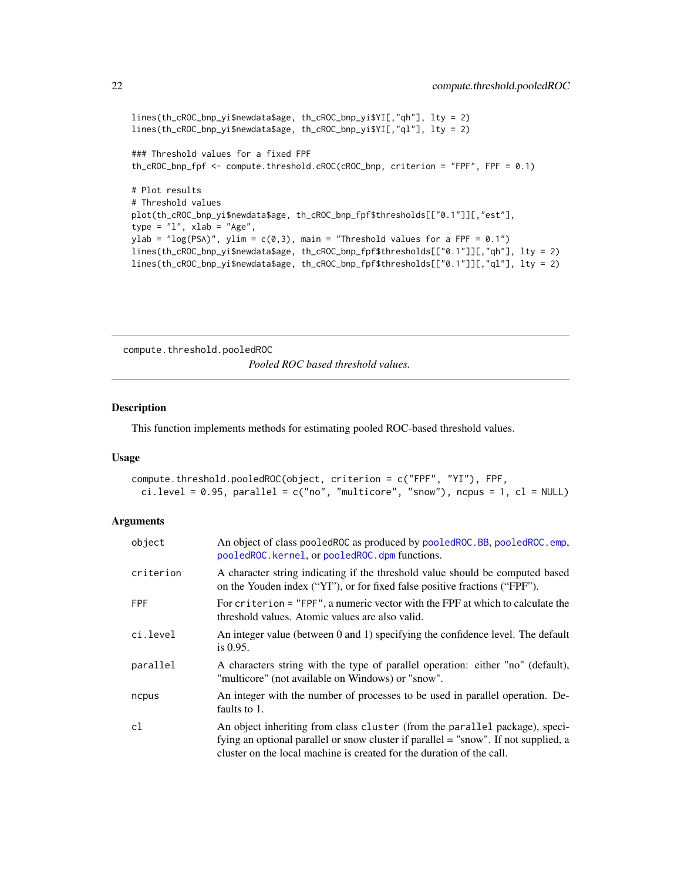```
lines(th_cROC_bnp_yi$newdata$age, th_cROC_bnp_yi$YI[,"qh"], lty = 2)
lines(th_cROC_bnp_yi$newdata$age, th_cROC_bnp_yi$YI[,"ql"], lty = 2)
### Threshold values for a fixed FPF
th_cROC_bnp_fpf <- compute.threshold.cROC(cROC_bnp, criterion = "FPF", FPF = 0.1)
# Plot results
# Threshold values
plot(th_cROC_bnp_yi$newdata$age, th_cROC_bnp_fpf$thresholds[["0.1"]][,"est"],
type = "1", xlab = "Age",ylab = "log(PSA)", ylim = c(0,3), main = "Threshold values for a FPF = 0.1")
lines(th_cROC_bnp_yi$newdata$age, th_cROC_bnp_fpf$thresholds[["0.1"]][,"qh"], lty = 2)
lines(th_cROC_bnp_yi$newdata$age, th_cROC_bnp_fpf$thresholds[["0.1"]][,"ql"], lty = 2)
```
compute.threshold.pooledROC *Pooled ROC based threshold values.*

# Description

This function implements methods for estimating pooled ROC-based threshold values.

# Usage

```
compute.threshold.pooledROC(object, criterion = c("FPF", "YI"), FPF,
 ci. level = 0.95, parallel = c("no", "multicore", "snow"), ncpus = 1, cl = NULL)
```

| object     | An object of class pooledROC as produced by pooledROC.BB, pooledROC.emp,<br>pooledROC.kernel, or pooledROC.dpm functions.                                                                                                                   |
|------------|---------------------------------------------------------------------------------------------------------------------------------------------------------------------------------------------------------------------------------------------|
| criterion  | A character string indicating if the threshold value should be computed based<br>on the Youden index ("YI"), or for fixed false positive fractions ("FPF").                                                                                 |
| <b>FPF</b> | For criterion = "FPF", a numeric vector with the FPF at which to calculate the<br>threshold values. Atomic values are also valid.                                                                                                           |
| ci.level   | An integer value (between 0 and 1) specifying the confidence level. The default<br>is $0.95$ .                                                                                                                                              |
| parallel   | A characters string with the type of parallel operation: either "no" (default),<br>"multicore" (not available on Windows) or "snow".                                                                                                        |
| ncpus      | An integer with the number of processes to be used in parallel operation. De-<br>faults to 1.                                                                                                                                               |
| cl         | An object inheriting from class cluster (from the parallel package), speci-<br>fying an optional parallel or snow cluster if parallel = "snow". If not supplied, a<br>cluster on the local machine is created for the duration of the call. |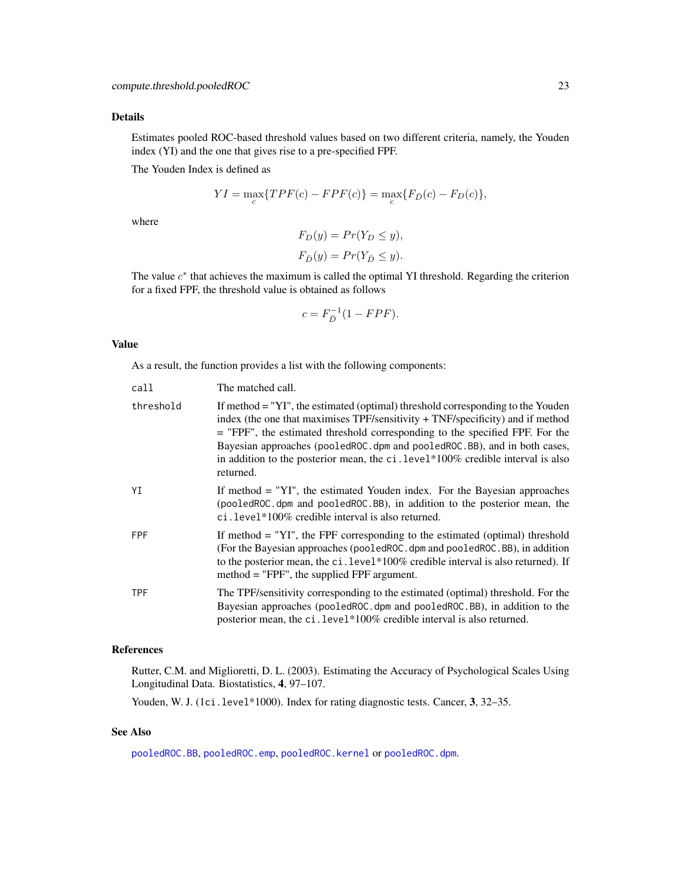Estimates pooled ROC-based threshold values based on two different criteria, namely, the Youden index (YI) and the one that gives rise to a pre-specified FPF.

The Youden Index is defined as

$$
YI = \max_{c} \{TPF(c) - FPF(c)\} = \max_{c} \{F_{\bar{D}}(c) - F_{D}(c)\},\
$$

where

$$
F_D(y) = Pr(Y_D \le y),
$$
  

$$
F_{\bar{D}}(y) = Pr(Y_{\bar{D}} \le y).
$$

The value  $c^*$  that achieves the maximum is called the optimal YI threshold. Regarding the criterion for a fixed FPF, the threshold value is obtained as follows

$$
c = F_{\bar{D}}^{-1}(1 - FPF).
$$

# Value

As a result, the function provides a list with the following components:

| call       | The matched call.                                                                                                                                                                                                                                                                                                                                                                                                                   |
|------------|-------------------------------------------------------------------------------------------------------------------------------------------------------------------------------------------------------------------------------------------------------------------------------------------------------------------------------------------------------------------------------------------------------------------------------------|
| threshold  | If method = "YI", the estimated (optimal) threshold corresponding to the Youden<br>index (the one that maximises $TPF$ /sensitivity + $TNF$ /specificity) and if method<br>= "FPF", the estimated threshold corresponding to the specified FPF. For the<br>Bayesian approaches (pooledROC.dpm and pooledROC.BB), and in both cases,<br>in addition to the posterior mean, the ci. level*100% credible interval is also<br>returned. |
| ΥI         | If method $=$ "YI", the estimated Youden index. For the Bayesian approaches<br>(pooledROC.dpm and pooledROC.BB), in addition to the posterior mean, the<br>ci.level $*100\%$ credible interval is also returned.                                                                                                                                                                                                                    |
| <b>FPF</b> | If method $=$ "YI", the FPF corresponding to the estimated (optimal) threshold<br>(For the Bayesian approaches (pooledROC.dpm and pooledROC.BB), in addition<br>to the posterior mean, the ci. level*100% credible interval is also returned). If<br>method $=$ "FPF", the supplied FPF argument.                                                                                                                                   |
| <b>TPF</b> | The TPF/sensitivity corresponding to the estimated (optimal) threshold. For the<br>Bayesian approaches (pooledROC.dpm and pooledROC.BB), in addition to the<br>posterior mean, the ci. level*100% credible interval is also returned.                                                                                                                                                                                               |

# References

Rutter, C.M. and Miglioretti, D. L. (2003). Estimating the Accuracy of Psychological Scales Using Longitudinal Data. Biostatistics, 4, 97–107.

Youden, W. J. (1ci.level\*1000). Index for rating diagnostic tests. Cancer, 3, 32-35.

# See Also

[pooledROC.BB](#page-47-1), [pooledROC.emp](#page-54-1), [pooledROC.kernel](#page-57-1) or [pooledROC.dpm](#page-50-1).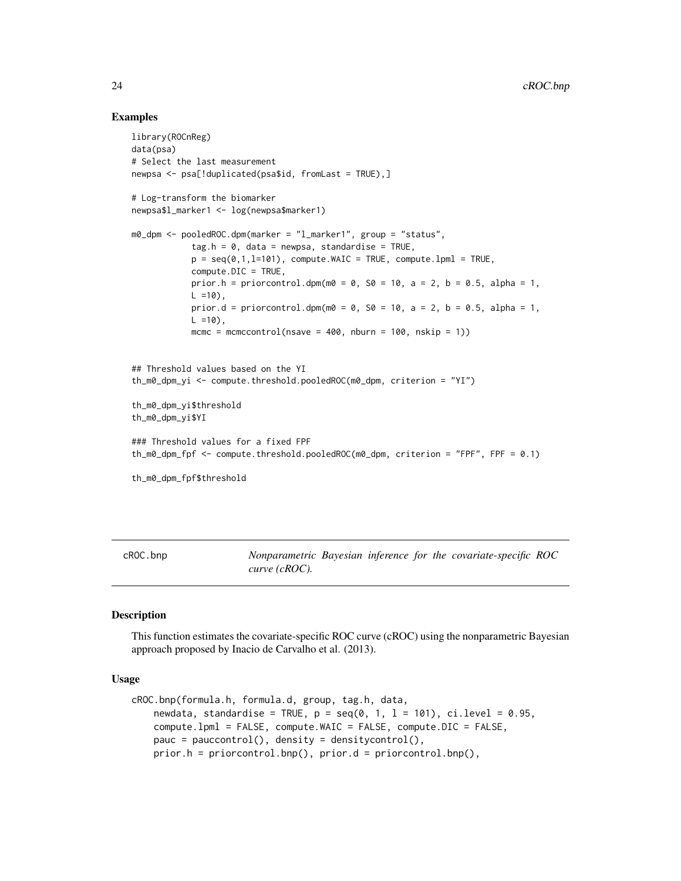# Examples

```
library(ROCnReg)
data(psa)
# Select the last measurement
newpsa <- psa[!duplicated(psa$id, fromLast = TRUE),]
# Log-transform the biomarker
newpsa$l_marker1 <- log(newpsa$marker1)
m0_dpm <- pooledROC.dpm(marker = "l_marker1", group = "status",
            tag.h = 0, data = newpsa, standardise = TRUE,
            p = seq(0, 1, l=101), compute.WAIC = TRUE, compute.lpml = TRUE,
            compute.DIC = TRUE,
            prior.h = priorcontrol.dpm(m0 = 0, S0 = 10, a = 2, b = 0.5, alpha = 1,
            L = 10,
            prior.d = priorcontrol.dpm(m0 = 0, S0 = 10, a = 2, b = 0.5, alpha = 1,
            L = 10,
            mcmc = mcmccontrol(nsave = 400, nburn = 100, nskip = 1))
## Threshold values based on the YI
th_m0_dpm_yi <- compute.threshold.pooledROC(m0_dpm, criterion = "YI")
th_m0_dpm_yi$threshold
th_m0_dpm_yi$YI
### Threshold values for a fixed FPF
th_m0_dpm_fpf <- compute.threshold.pooledROC(m0_dpm, criterion = "FPF", FPF = 0.1)
th_m0_dpm_fpf$threshold
```
<span id="page-23-1"></span>cROC.bnp *Nonparametric Bayesian inference for the covariate-specific ROC curve (cROC).*

# Description

This function estimates the covariate-specific ROC curve (cROC) using the nonparametric Bayesian approach proposed by Inacio de Carvalho et al. (2013).

# Usage

```
cROC.bnp(formula.h, formula.d, group, tag.h, data,
    newdata, standardise = TRUE, p = \text{seq}(0, 1, 1 = 101), ci.level = 0.95,
    compute.lpml = FALSE, compute.WAIC = FALSE, compute.DIC = FALSE,
    pauc = pauccontrol(), density = densitycontrol(),
    prior.h = priorcontrol.bnp(), prior.d = priorcontrol.bnp(),
```
<span id="page-23-0"></span>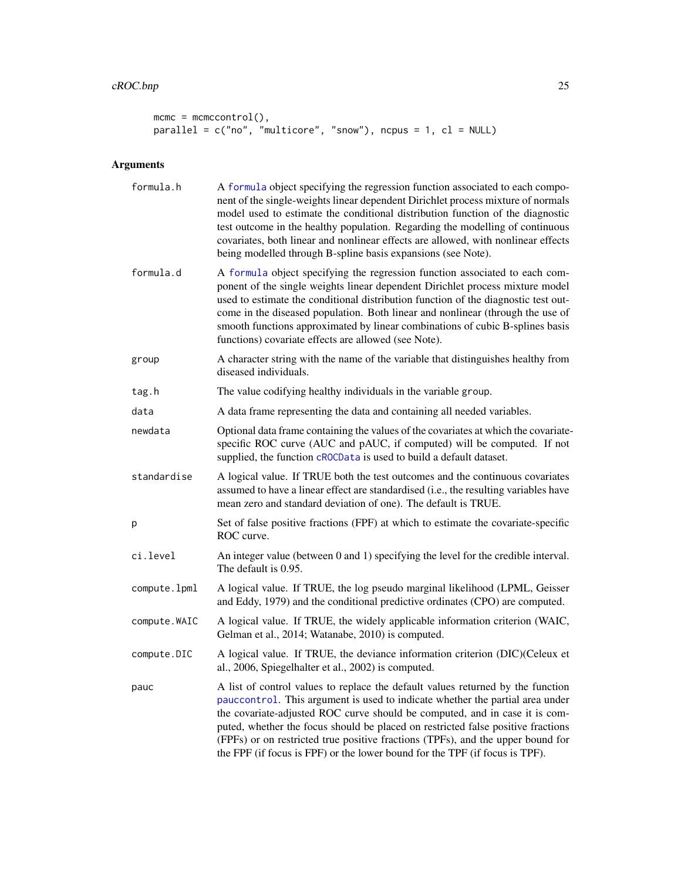```
mcmc = mcmccontrol(),
parallel = c("no", "multicore", "snow"), ncpus = 1, cl = NULL)
```

| formula.h     | A formula object specifying the regression function associated to each compo-<br>nent of the single-weights linear dependent Dirichlet process mixture of normals<br>model used to estimate the conditional distribution function of the diagnostic<br>test outcome in the healthy population. Regarding the modelling of continuous<br>covariates, both linear and nonlinear effects are allowed, with nonlinear effects<br>being modelled through B-spline basis expansions (see Note).             |
|---------------|-------------------------------------------------------------------------------------------------------------------------------------------------------------------------------------------------------------------------------------------------------------------------------------------------------------------------------------------------------------------------------------------------------------------------------------------------------------------------------------------------------|
| formula.d     | A formula object specifying the regression function associated to each com-<br>ponent of the single weights linear dependent Dirichlet process mixture model<br>used to estimate the conditional distribution function of the diagnostic test out-<br>come in the diseased population. Both linear and nonlinear (through the use of<br>smooth functions approximated by linear combinations of cubic B-splines basis<br>functions) covariate effects are allowed (see Note).                         |
| group         | A character string with the name of the variable that distinguishes healthy from<br>diseased individuals.                                                                                                                                                                                                                                                                                                                                                                                             |
| tag.h         | The value codifying healthy individuals in the variable group.                                                                                                                                                                                                                                                                                                                                                                                                                                        |
| data          | A data frame representing the data and containing all needed variables.                                                                                                                                                                                                                                                                                                                                                                                                                               |
| newdata       | Optional data frame containing the values of the covariates at which the covariate-<br>specific ROC curve (AUC and pAUC, if computed) will be computed. If not<br>supplied, the function cROCData is used to build a default dataset.                                                                                                                                                                                                                                                                 |
| standardise   | A logical value. If TRUE both the test outcomes and the continuous covariates<br>assumed to have a linear effect are standardised (i.e., the resulting variables have<br>mean zero and standard deviation of one). The default is TRUE.                                                                                                                                                                                                                                                               |
| р             | Set of false positive fractions (FPF) at which to estimate the covariate-specific<br>ROC curve.                                                                                                                                                                                                                                                                                                                                                                                                       |
| ci.level      | An integer value (between 0 and 1) specifying the level for the credible interval.<br>The default is 0.95.                                                                                                                                                                                                                                                                                                                                                                                            |
| compute.lpml  | A logical value. If TRUE, the log pseudo marginal likelihood (LPML, Geisser<br>and Eddy, 1979) and the conditional predictive ordinates (CPO) are computed.                                                                                                                                                                                                                                                                                                                                           |
| compute. WAIC | A logical value. If TRUE, the widely applicable information criterion (WAIC,<br>Gelman et al., 2014; Watanabe, 2010) is computed.                                                                                                                                                                                                                                                                                                                                                                     |
| compute.DIC   | A logical value. If TRUE, the deviance information criterion (DIC)(Celeux et<br>al., 2006, Spiegelhalter et al., 2002) is computed.                                                                                                                                                                                                                                                                                                                                                                   |
| pauc          | A list of control values to replace the default values returned by the function<br>pauccontrol. This argument is used to indicate whether the partial area under<br>the covariate-adjusted ROC curve should be computed, and in case it is com-<br>puted, whether the focus should be placed on restricted false positive fractions<br>(FPFs) or on restricted true positive fractions (TPFs), and the upper bound for<br>the FPF (if focus is FPF) or the lower bound for the TPF (if focus is TPF). |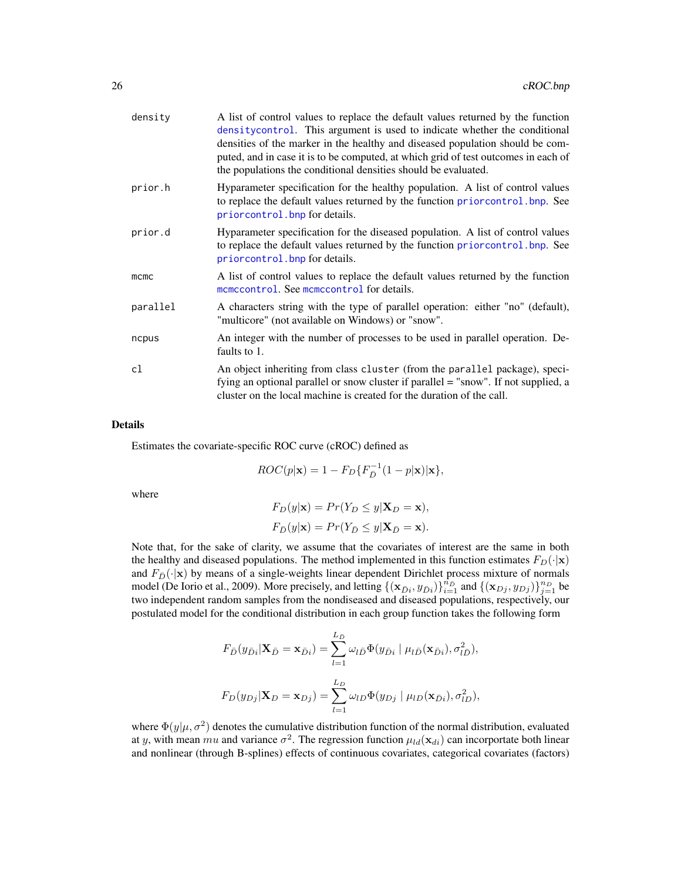| density  | A list of control values to replace the default values returned by the function<br>densitycontrol. This argument is used to indicate whether the conditional<br>densities of the marker in the healthy and diseased population should be com-<br>puted, and in case it is to be computed, at which grid of test outcomes in each of<br>the populations the conditional densities should be evaluated. |
|----------|-------------------------------------------------------------------------------------------------------------------------------------------------------------------------------------------------------------------------------------------------------------------------------------------------------------------------------------------------------------------------------------------------------|
| prior.h  | Hyparameter specification for the healthy population. A list of control values<br>to replace the default values returned by the function priorcontrol. bnp. See<br>priorcontrol. bnp for details.                                                                                                                                                                                                     |
| prior.d  | Hyparameter specification for the diseased population. A list of control values<br>to replace the default values returned by the function priorcontrol. bnp. See<br>priorcontrol. bnp for details.                                                                                                                                                                                                    |
| mcmc     | A list of control values to replace the default values returned by the function<br>mcmccontrol. See mcmccontrol for details.                                                                                                                                                                                                                                                                          |
| parallel | A characters string with the type of parallel operation: either "no" (default),<br>"multicore" (not available on Windows) or "snow".                                                                                                                                                                                                                                                                  |
| ncpus    | An integer with the number of processes to be used in parallel operation. De-<br>faults to 1.                                                                                                                                                                                                                                                                                                         |
| cl       | An object inheriting from class cluster (from the parallel package), speci-<br>fying an optional parallel or snow cluster if parallel = "snow". If not supplied, a<br>cluster on the local machine is created for the duration of the call.                                                                                                                                                           |

Estimates the covariate-specific ROC curve (cROC) defined as

$$
ROC(p|\mathbf{x}) = 1 - F_D\{F_{\bar{D}}^{-1}(1-p|\mathbf{x})|\mathbf{x}\},\,
$$

where

$$
F_D(y|\mathbf{x}) = Pr(Y_D \le y|\mathbf{X}_D = \mathbf{x}),
$$
  
\n
$$
F_{\overline{D}}(y|\mathbf{x}) = Pr(Y_{\overline{D}} \le y|\mathbf{X}_{\overline{D}} = \mathbf{x}).
$$

Note that, for the sake of clarity, we assume that the covariates of interest are the same in both the healthy and diseased populations. The method implemented in this function estimates  $F_D(\cdot|\mathbf{x})$ and  $F_{\bar{D}}(\cdot|\mathbf{x})$  by means of a single-weights linear dependent Dirichlet process mixture of normals model (De Iorio et al., 2009). More precisely, and letting  $\{(\mathbf{x}_{\bar{D}i}, y_{\bar{D}i})\}_{i=1}^{\hat{n}_{\bar{D}}}$  and  $\{(\mathbf{x}_{Dj}, y_{Dj})\}_{j=1}^{n_{\bar{D}}}$  be two independent random samples from the nondiseased and diseased populations, respectively, our postulated model for the conditional distribution in each group function takes the following form

$$
F_{\bar{D}}(y_{\bar{D}i}|\mathbf{X}_{\bar{D}} = \mathbf{x}_{\bar{D}i}) = \sum_{l=1}^{L_{\bar{D}}} \omega_{l\bar{D}} \Phi(y_{\bar{D}i} | \mu_{l\bar{D}}(\mathbf{x}_{\bar{D}i}), \sigma_{l\bar{D}}^2),
$$

$$
F_{D}(y_{Dj}|\mathbf{X}_{D} = \mathbf{x}_{Dj}) = \sum_{l=1}^{L_{D}} \omega_{lD} \Phi(y_{Dj} | \mu_{lD}(\mathbf{x}_{\bar{D}i}), \sigma_{lD}^2),
$$

where  $\Phi(y|\mu, \sigma^2)$  denotes the cumulative distribution function of the normal distribution, evaluated at y, with mean mu and variance  $\sigma^2$ . The regression function  $\mu_{ld}(\mathbf{x}_{di})$  can incorportate both linear and nonlinear (through B-splines) effects of continuous covariates, categorical covariates (factors)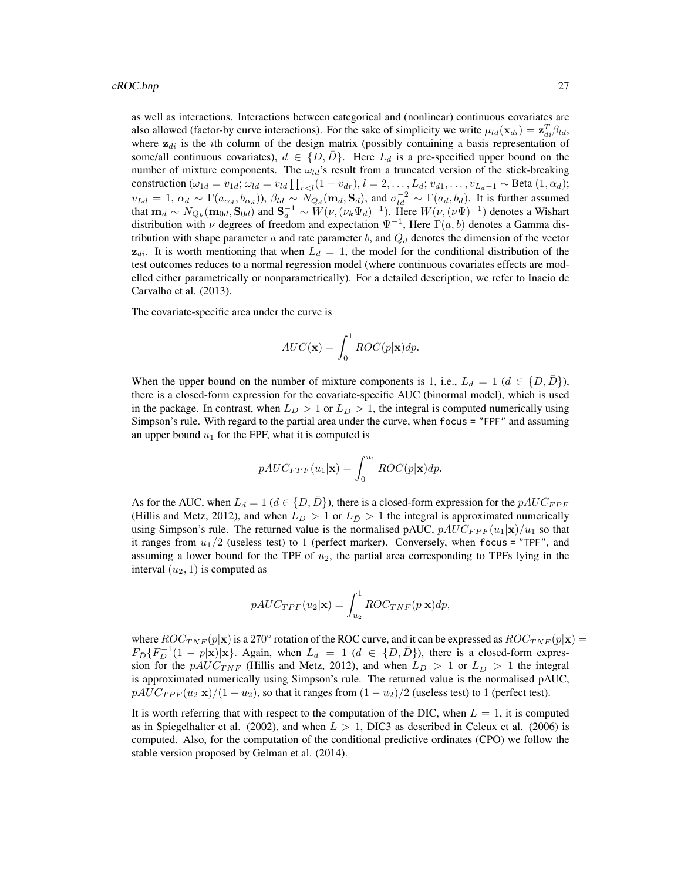as well as interactions. Interactions between categorical and (nonlinear) continuous covariates are also allowed (factor-by curve interactions). For the sake of simplicity we write  $\mu_{ld}(\mathbf{x}_{di}) = \mathbf{z}_{di}^T \beta_{ld}$ , where  $z_{di}$  is the *i*th column of the design matrix (possibly containing a basis representation of some/all continuous covariates),  $d \in \{D, \overline{D}\}$ . Here  $L_d$  is a pre-specified upper bound on the number of mixture components. The  $\omega_{ld}$ 's result from a truncated version of the stick-breaking construction  $(\omega_{1d} = v_{1d}; \omega_{ld} = v_{ld} \prod_{r < l} (1 - v_{dr}), l = 2, \ldots, L_d; v_{d1}, \ldots, v_{L_d-1} \sim \text{Beta}(1, \alpha_d);$  $v_{Ld} = 1, \alpha_d \sim \Gamma(a_{\alpha_d}, b_{\alpha_d})$ ),  $\beta_{ld} \sim N_{Q_d}(\mathbf{m}_d, \mathbf{S}_d)$ , and  $\sigma_{ld}^{-2} \sim \Gamma(a_d, b_d)$ . It is further assumed that  $m_d \sim N_{Q_k}(m_{0d}, S_{0d})$  and  $S_d^{-1} \sim W(\nu, (\nu_k \Psi_d)^{-1})$ . Here  $W(\nu, (\nu \Psi)^{-1})$  denotes a Wishart distribution with  $\nu$  degrees of freedom and expectation  $\Psi^{-1}$ , Here  $\Gamma(a, b)$  denotes a Gamma distribution with shape parameter a and rate parameter b, and  $Q_d$  denotes the dimension of the vector  $z_{di}$ . It is worth mentioning that when  $L_d = 1$ , the model for the conditional distribution of the test outcomes reduces to a normal regression model (where continuous covariates effects are modelled either parametrically or nonparametrically). For a detailed description, we refer to Inacio de Carvalho et al. (2013).

The covariate-specific area under the curve is

$$
AUC(\mathbf{x}) = \int_0^1 ROC(p|\mathbf{x})dp.
$$

When the upper bound on the number of mixture components is 1, i.e.,  $L_d = 1$  ( $d \in \{D, D\}$ ), there is a closed-form expression for the covariate-specific AUC (binormal model), which is used in the package. In contrast, when  $L_D > 1$  or  $L_{\overline{D}} > 1$ , the integral is computed numerically using Simpson's rule. With regard to the partial area under the curve, when focus = "FPF" and assuming an upper bound  $u_1$  for the FPF, what it is computed is

$$
pAUC_{FPF}(u_1|\mathbf{x}) = \int_0^{u_1} ROC(p|\mathbf{x})dp.
$$

As for the AUC, when  $L_d = 1$  ( $d \in \{D, D\}$ ), there is a closed-form expression for the  $pAUC_{FPF}$ (Hillis and Metz, 2012), and when  $L_D > 1$  or  $L_{\bar{D}} > 1$  the integral is approximated numerically using Simpson's rule. The returned value is the normalised pAUC,  $pAUC_{FPF}(u_1|\mathbf{x})/u_1$  so that it ranges from  $u_1/2$  (useless test) to 1 (perfect marker). Conversely, when focus = "TPF", and assuming a lower bound for the TPF of  $u_2$ , the partial area corresponding to TPFs lying in the interval  $(u_2, 1)$  is computed as

$$
pAUC_{TPF}(u_2|\mathbf{x}) = \int_{u_2}^{1} ROC_{TNF}(p|\mathbf{x})dp,
$$

where  $ROC_{TNF}(p|x)$  is a 270° rotation of the ROC curve, and it can be expressed as  $ROC_{TNF}(p|x)$  =  $F_{\bar{D}}\{F_{D}^{-1}(1-p|\mathbf{x})|\mathbf{x}\}\$ . Again, when  $L_d = 1$  ( $d \in \{D,\bar{D}\}\)$ , there is a closed-form expression for the  $pAUC_{TNF}$  (Hillis and Metz, 2012), and when  $L_D > 1$  or  $L_{\bar{D}} > 1$  the integral is approximated numerically using Simpson's rule. The returned value is the normalised pAUC,  $pAUC_{TPF}(u_2|\mathbf{x})/(1-u_2)$ , so that it ranges from  $(1-u_2)/2$  (useless test) to 1 (perfect test).

It is worth referring that with respect to the computation of the DIC, when  $L = 1$ , it is computed as in Spiegelhalter et al. (2002), and when  $L > 1$ , DIC3 as described in Celeux et al. (2006) is computed. Also, for the computation of the conditional predictive ordinates (CPO) we follow the stable version proposed by Gelman et al. (2014).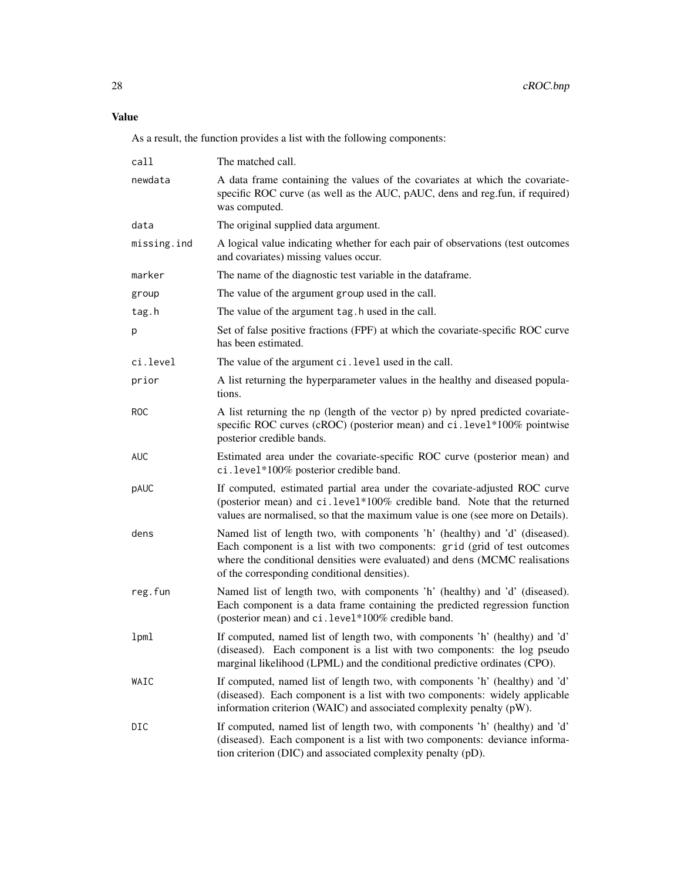As a result, the function provides a list with the following components:

| call        | The matched call.                                                                                                                                                                                                                                                                       |
|-------------|-----------------------------------------------------------------------------------------------------------------------------------------------------------------------------------------------------------------------------------------------------------------------------------------|
| newdata     | A data frame containing the values of the covariates at which the covariate-<br>specific ROC curve (as well as the AUC, pAUC, dens and reg.fun, if required)<br>was computed.                                                                                                           |
| data        | The original supplied data argument.                                                                                                                                                                                                                                                    |
| missing.ind | A logical value indicating whether for each pair of observations (test outcomes<br>and covariates) missing values occur.                                                                                                                                                                |
| marker      | The name of the diagnostic test variable in the dataframe.                                                                                                                                                                                                                              |
| group       | The value of the argument group used in the call.                                                                                                                                                                                                                                       |
| tag.h       | The value of the argument tag. h used in the call.                                                                                                                                                                                                                                      |
| p           | Set of false positive fractions (FPF) at which the covariate-specific ROC curve<br>has been estimated.                                                                                                                                                                                  |
| ci.level    | The value of the argument ci. level used in the call.                                                                                                                                                                                                                                   |
| prior       | A list returning the hyperparameter values in the healthy and diseased popula-<br>tions.                                                                                                                                                                                                |
| <b>ROC</b>  | A list returning the np (length of the vector p) by npred predicted covariate-<br>specific ROC curves (cROC) (posterior mean) and ci.level*100% pointwise<br>posterior credible bands.                                                                                                  |
| <b>AUC</b>  | Estimated area under the covariate-specific ROC curve (posterior mean) and<br>ci.level*100% posterior credible band.                                                                                                                                                                    |
| pAUC        | If computed, estimated partial area under the covariate-adjusted ROC curve<br>(posterior mean) and ci.level*100% credible band. Note that the returned<br>values are normalised, so that the maximum value is one (see more on Details).                                                |
| dens        | Named list of length two, with components 'h' (healthy) and 'd' (diseased).<br>Each component is a list with two components: grid (grid of test outcomes<br>where the conditional densities were evaluated) and dens (MCMC realisations<br>of the corresponding conditional densities). |
| reg.fun     | Named list of length two, with components 'h' (healthy) and 'd' (diseased).<br>Each component is a data frame containing the predicted regression function<br>(posterior mean) and ci.level*100% credible band.                                                                         |
| 1pml        | If computed, named list of length two, with components 'h' (healthy) and 'd'<br>(diseased). Each component is a list with two components: the log pseudo<br>marginal likelihood (LPML) and the conditional predictive ordinates (CPO).                                                  |
| WAIC        | If computed, named list of length two, with components 'h' (healthy) and 'd'<br>(diseased). Each component is a list with two components: widely applicable<br>information criterion (WAIC) and associated complexity penalty (pW).                                                     |
| DIC         | If computed, named list of length two, with components 'h' (healthy) and 'd'<br>(diseased). Each component is a list with two components: deviance informa-<br>tion criterion (DIC) and associated complexity penalty (pD).                                                             |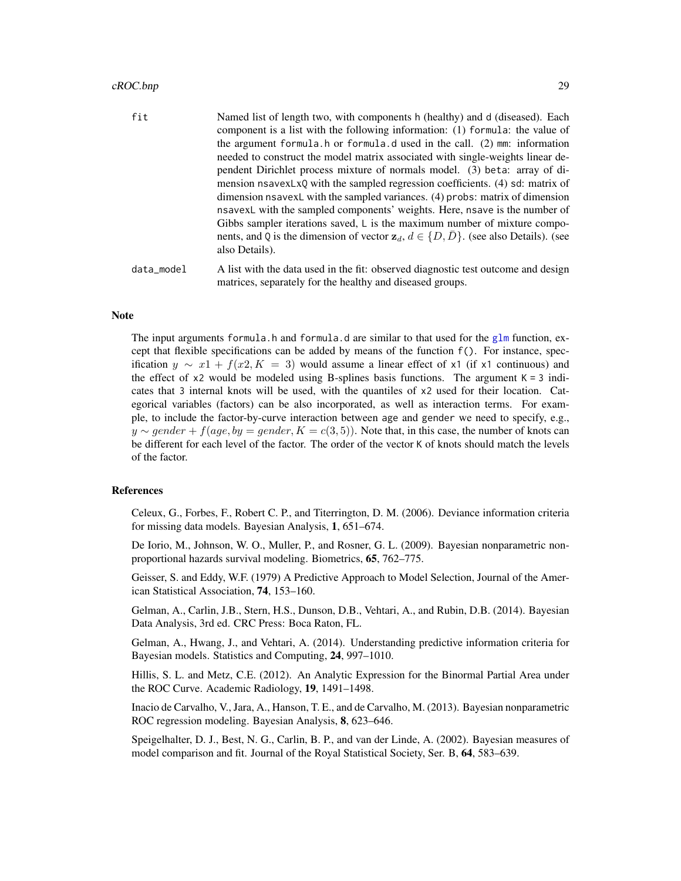#### cROC.bnp 29

| fit<br>Named list of length two, with components h (healthy) and d (diseased). Each<br>component is a list with the following information: (1) formula: the value of<br>the argument formula. h or formula. d used in the call. $(2)$ mm: information<br>needed to construct the model matrix associated with single-weights linear de-<br>pendent Dirichlet process mixture of normals model. (3) beta: array of di-<br>mension nsavexLxQ with the sampled regression coefficients. (4) sd: matrix of<br>dimension nsavexL with the sampled variances. (4) probs: matrix of dimension<br>nsavexL with the sampled components' weights. Here, nsave is the number of<br>Gibbs sampler iterations saved, $\mathsf{L}$ is the maximum number of mixture compo-<br>nents, and Q is the dimension of vector $z_d$ , $d \in \{D, \overline{D}\}$ . (see also Details). (see |  |
|------------------------------------------------------------------------------------------------------------------------------------------------------------------------------------------------------------------------------------------------------------------------------------------------------------------------------------------------------------------------------------------------------------------------------------------------------------------------------------------------------------------------------------------------------------------------------------------------------------------------------------------------------------------------------------------------------------------------------------------------------------------------------------------------------------------------------------------------------------------------|--|
| also Details).                                                                                                                                                                                                                                                                                                                                                                                                                                                                                                                                                                                                                                                                                                                                                                                                                                                         |  |
| data_model<br>A list with the data used in the fit: observed diagnostic test outcome and design<br>matrices, separately for the healthy and diseased groups.                                                                                                                                                                                                                                                                                                                                                                                                                                                                                                                                                                                                                                                                                                           |  |

# Note

The input arguments formula.h and formula.d are similar to that used for the [glm](#page-0-0) function, except that flexible specifications can be added by means of the function f(). For instance, specification  $y \sim x^2 + f(x^2, K = 3)$  would assume a linear effect of x1 (if x1 continuous) and the effect of  $x^2$  would be modeled using B-splines basis functions. The argument  $K = 3$  indicates that 3 internal knots will be used, with the quantiles of x2 used for their location. Categorical variables (factors) can be also incorporated, as well as interaction terms. For example, to include the factor-by-curve interaction between age and gender we need to specify, e.g.,  $y \sim gender + f(age, by = gender, K = c(3, 5)$ . Note that, in this case, the number of knots can be different for each level of the factor. The order of the vector K of knots should match the levels of the factor.

# References

Celeux, G., Forbes, F., Robert C. P., and Titerrington, D. M. (2006). Deviance information criteria for missing data models. Bayesian Analysis, 1, 651–674.

De Iorio, M., Johnson, W. O., Muller, P., and Rosner, G. L. (2009). Bayesian nonparametric nonproportional hazards survival modeling. Biometrics, 65, 762–775.

Geisser, S. and Eddy, W.F. (1979) A Predictive Approach to Model Selection, Journal of the American Statistical Association, 74, 153–160.

Gelman, A., Carlin, J.B., Stern, H.S., Dunson, D.B., Vehtari, A., and Rubin, D.B. (2014). Bayesian Data Analysis, 3rd ed. CRC Press: Boca Raton, FL.

Gelman, A., Hwang, J., and Vehtari, A. (2014). Understanding predictive information criteria for Bayesian models. Statistics and Computing, 24, 997–1010.

Hillis, S. L. and Metz, C.E. (2012). An Analytic Expression for the Binormal Partial Area under the ROC Curve. Academic Radiology, 19, 1491–1498.

Inacio de Carvalho, V., Jara, A., Hanson, T. E., and de Carvalho, M. (2013). Bayesian nonparametric ROC regression modeling. Bayesian Analysis, 8, 623–646.

Speigelhalter, D. J., Best, N. G., Carlin, B. P., and van der Linde, A. (2002). Bayesian measures of model comparison and fit. Journal of the Royal Statistical Society, Ser. B, 64, 583–639.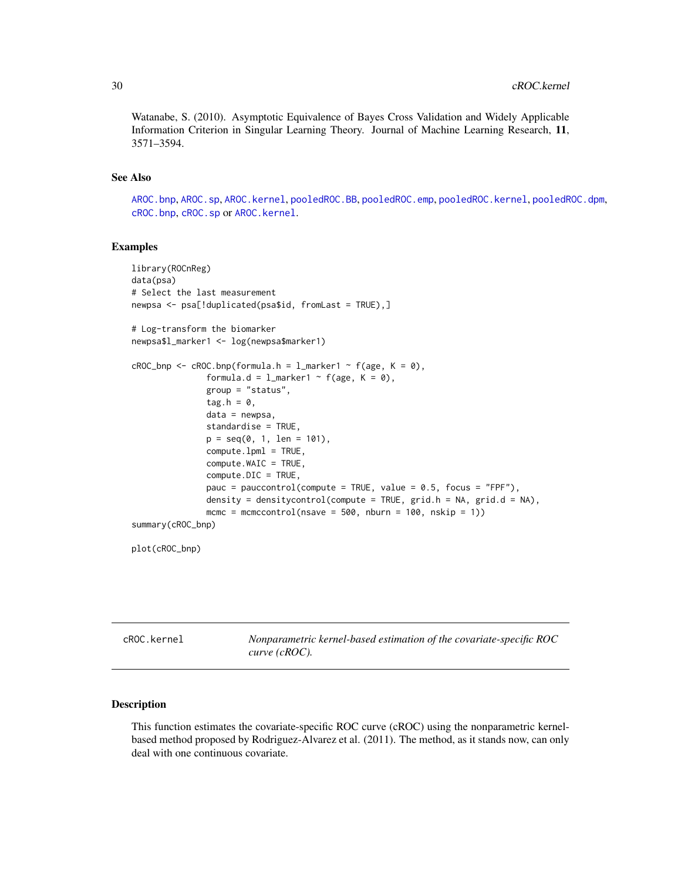<span id="page-29-0"></span>Watanabe, S. (2010). Asymptotic Equivalence of Bayes Cross Validation and Widely Applicable Information Criterion in Singular Learning Theory. Journal of Machine Learning Research, 11, 3571–3594.

# See Also

[AROC.bnp](#page-3-1), [AROC.sp](#page-12-1), [AROC.kernel](#page-8-1), [pooledROC.BB](#page-47-1), [pooledROC.emp](#page-54-1), [pooledROC.kernel](#page-57-1), [pooledROC.dpm](#page-50-1), [cROC.bnp](#page-23-1), [cROC.sp](#page-33-1) or [AROC.kernel](#page-8-1).

#### Examples

```
library(ROCnReg)
data(psa)
# Select the last measurement
newpsa <- psa[!duplicated(psa$id, fromLast = TRUE),]
# Log-transform the biomarker
newpsa$l_marker1 <- log(newpsa$marker1)
cROC\_bnp \leftarrow cROC.bnp(formula.h = 1_matrix + 1 \right) f(age, K = 0),
               formula.d = l_marker1 ~ f(age, K = 0),
               group = "status",
               tag.h = 0,
               data = newpsa,
               standardise = TRUE,
               p = seq(0, 1, len = 101),compute.lpml = TRUE,
               compute.WAIC = TRUE,
               compute.DIC = TRUE,
               pauc = pauccontrol(compute = TRUE, value = 0.5, focus = "FPF"),
               density = densitycontrol(compute = TRUE, grid.h = NA, grid.d = NA),
               mcmc = mcmccontrol(nsave = 500, nburn = 100, nskip = 1))
summary(cROC_bnp)
```
plot(cROC\_bnp)

<span id="page-29-1"></span>cROC.kernel *Nonparametric kernel-based estimation of the covariate-specific ROC curve (cROC).*

#### Description

This function estimates the covariate-specific ROC curve (cROC) using the nonparametric kernelbased method proposed by Rodriguez-Alvarez et al. (2011). The method, as it stands now, can only deal with one continuous covariate.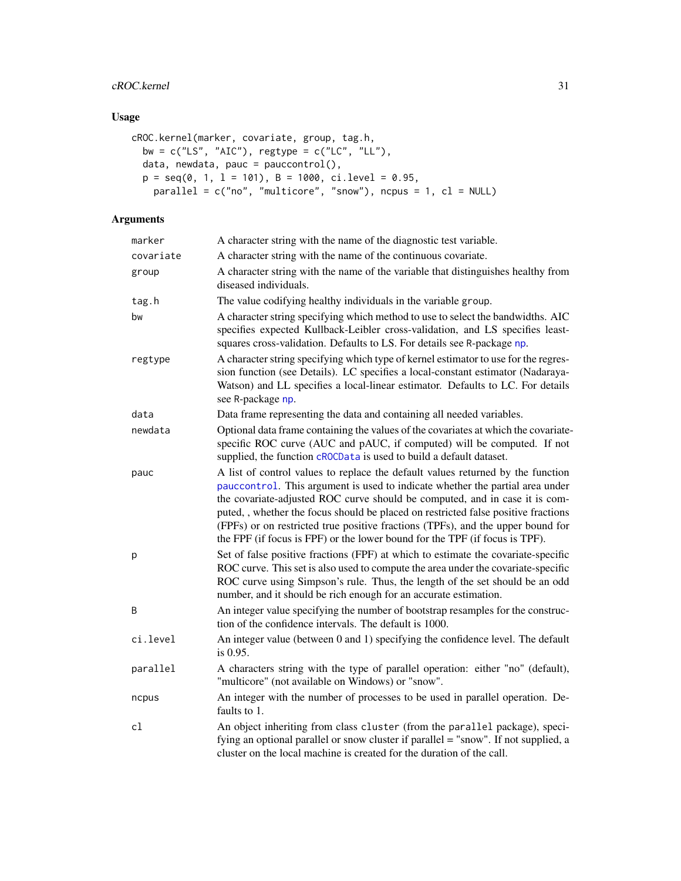# cROC.kernel 31

# Usage

```
cROC.kernel(marker, covariate, group, tag.h,
 bw = c("LS", "AIC"), regtype = c("LC", "LL"),
 data, newdata, pauc = pauccontrol(),
 p = seq(0, 1, 1 = 101), B = 1000, ci.level = 0.95,
   parallel = c("no", "multicore", "snow"), ncpus = 1, cl = NULL)
```

| marker    | A character string with the name of the diagnostic test variable.                                                                                                                                                                                                                                                                                                                                                                                                                                       |
|-----------|---------------------------------------------------------------------------------------------------------------------------------------------------------------------------------------------------------------------------------------------------------------------------------------------------------------------------------------------------------------------------------------------------------------------------------------------------------------------------------------------------------|
| covariate | A character string with the name of the continuous covariate.                                                                                                                                                                                                                                                                                                                                                                                                                                           |
| group     | A character string with the name of the variable that distinguishes healthy from<br>diseased individuals.                                                                                                                                                                                                                                                                                                                                                                                               |
| tag.h     | The value codifying healthy individuals in the variable group.                                                                                                                                                                                                                                                                                                                                                                                                                                          |
| bw        | A character string specifying which method to use to select the bandwidths. AIC<br>specifies expected Kullback-Leibler cross-validation, and LS specifies least-<br>squares cross-validation. Defaults to LS. For details see R-package np.                                                                                                                                                                                                                                                             |
| regtype   | A character string specifying which type of kernel estimator to use for the regres-<br>sion function (see Details). LC specifies a local-constant estimator (Nadaraya-<br>Watson) and LL specifies a local-linear estimator. Defaults to LC. For details<br>see R-package np.                                                                                                                                                                                                                           |
| data      | Data frame representing the data and containing all needed variables.                                                                                                                                                                                                                                                                                                                                                                                                                                   |
| newdata   | Optional data frame containing the values of the covariates at which the covariate-<br>specific ROC curve (AUC and pAUC, if computed) will be computed. If not<br>supplied, the function cROCData is used to build a default dataset.                                                                                                                                                                                                                                                                   |
| pauc      | A list of control values to replace the default values returned by the function<br>pauccontrol. This argument is used to indicate whether the partial area under<br>the covariate-adjusted ROC curve should be computed, and in case it is com-<br>puted, , whether the focus should be placed on restricted false positive fractions<br>(FPFs) or on restricted true positive fractions (TPFs), and the upper bound for<br>the FPF (if focus is FPF) or the lower bound for the TPF (if focus is TPF). |
| p         | Set of false positive fractions (FPF) at which to estimate the covariate-specific<br>ROC curve. This set is also used to compute the area under the covariate-specific<br>ROC curve using Simpson's rule. Thus, the length of the set should be an odd<br>number, and it should be rich enough for an accurate estimation.                                                                                                                                                                              |
| B         | An integer value specifying the number of bootstrap resamples for the construc-<br>tion of the confidence intervals. The default is 1000.                                                                                                                                                                                                                                                                                                                                                               |
| ci.level  | An integer value (between 0 and 1) specifying the confidence level. The default<br>is 0.95.                                                                                                                                                                                                                                                                                                                                                                                                             |
| parallel  | A characters string with the type of parallel operation: either "no" (default),<br>"multicore" (not available on Windows) or "snow".                                                                                                                                                                                                                                                                                                                                                                    |
| ncpus     | An integer with the number of processes to be used in parallel operation. De-<br>faults to 1.                                                                                                                                                                                                                                                                                                                                                                                                           |
| cl        | An object inheriting from class cluster (from the parallel package), speci-<br>fying an optional parallel or snow cluster if parallel = "snow". If not supplied, a<br>cluster on the local machine is created for the duration of the call.                                                                                                                                                                                                                                                             |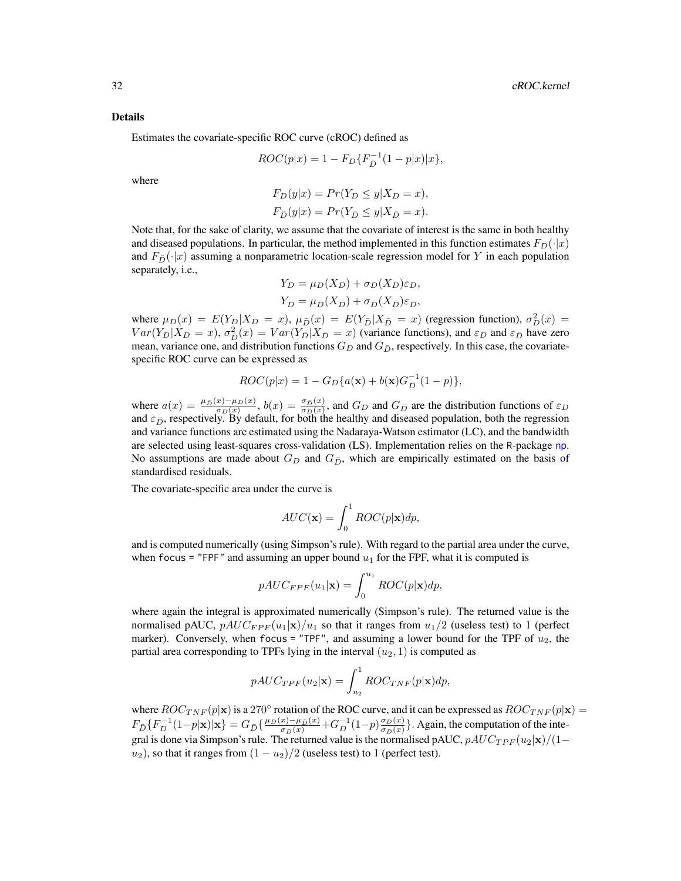Estimates the covariate-specific ROC curve (cROC) defined as

$$
ROC(p|x) = 1 - F_D\{F_{\bar{D}}^{-1}(1 - p|x)|x\},\,
$$

where

$$
F_D(y|x) = Pr(Y_D \le y|X_D = x),
$$
  
\n
$$
F_{\bar{D}}(y|x) = Pr(Y_{\bar{D}} \le y|X_{\bar{D}} = x).
$$

Note that, for the sake of clarity, we assume that the covariate of interest is the same in both healthy and diseased populations. In particular, the method implemented in this function estimates  $F_D(\cdot|x)$ and  $F_{\bar{D}}(\cdot|x)$  assuming a nonparametric location-scale regression model for Y in each population separately, i.e.,

$$
Y_D = \mu_D(X_D) + \sigma_D(X_D)\varepsilon_D,
$$
  
\n
$$
Y_{\bar{D}} = \mu_{\bar{D}}(X_{\bar{D}}) + \sigma_{\bar{D}}(X_{\bar{D}})\varepsilon_{\bar{D}},
$$

where  $\mu_D(x) = E(Y_D | X_D = x)$ ,  $\mu_{\bar{D}}(x) = E(Y_{\bar{D}} | X_{\bar{D}} = x)$  (regression function),  $\sigma_D^2(x) =$  $Var(Y_D|X_D = x)$ ,  $\sigma_{\bar{D}}^2(x) = Var(Y_{\bar{D}}|X_{\bar{D}} = x)$  (variance functions), and  $\varepsilon_D$  and  $\varepsilon_{\bar{D}}$  have zero mean, variance one, and distribution functions  $G_D$  and  $G_{\bar{D}}$ , respectively. In this case, the covariatespecific ROC curve can be expressed as

$$
ROC(p|x) = 1 - G_D\{a(\mathbf{x}) + b(\mathbf{x})G_D^{-1}(1-p)\},\,
$$

where  $a(x) = \frac{\mu_{\bar{D}}(x) - \mu_{D}(x)}{\sigma_{D}(x)}$ ,  $b(x) = \frac{\sigma_{\bar{D}}(x)}{\sigma_{D}(x)}$ , and  $G_D$  and  $G_{\bar{D}}$  are the distribution functions of  $\varepsilon_D$ and  $\varepsilon_{\bar{D}}$ , respectively. By default, for both the healthy and diseased population, both the regression and variance functions are estimated using the Nadaraya-Watson estimator (LC), and the bandwidth are selected using least-squares cross-validation (LS). Implementation relies on the R-package [np](#page-0-0). No assumptions are made about  $G_D$  and  $G_{\bar{D}}$ , which are empirically estimated on the basis of standardised residuals.

The covariate-specific area under the curve is

$$
AUC(\mathbf{x}) = \int_0^1 ROC(p|\mathbf{x})dp,
$$

and is computed numerically (using Simpson's rule). With regard to the partial area under the curve, when focus = "FPF" and assuming an upper bound  $u_1$  for the FPF, what it is computed is

$$
pAUC_{FPF}(u_1|\mathbf{x}) = \int_0^{u_1} ROC(p|\mathbf{x})dp,
$$

where again the integral is approximated numerically (Simpson's rule). The returned value is the normalised pAUC,  $pAUC_{FPF}(u_1|\mathbf{x})/u_1$  so that it ranges from  $u_1/2$  (useless test) to 1 (perfect marker). Conversely, when focus = "TPF", and assuming a lower bound for the TPF of  $u_2$ , the partial area corresponding to TPFs lying in the interval  $(u_2, 1)$  is computed as

$$
pAUC_{TPF}(u_2|\mathbf{x}) = \int_{u_2}^{1} ROC_{TNF}(p|\mathbf{x})dp,
$$

where  $ROC_{TNF}(p|x)$  is a 270° rotation of the ROC curve, and it can be expressed as  $ROC_{TNF}(p|x)$  =  $F_{\bar{D}}\{F_{D}^{-1}(1-p|\mathbf{x})|\mathbf{x}\}=G_{\bar{D}}\{\frac{\mu_D(x)-\mu_{\bar{D}}(x)}{\sigma_{\bar{D}}(x)}+G_{D}^{-1}(1-p)\frac{\sigma_D(x)}{\sigma_{\bar{D}}(x)}\}$  $\frac{\sigma_D(x)}{\sigma_{\bar{D}}(x)}$ . Again, the computation of the integral is done via Simpson's rule. The returned value is the normalised pAUC,  $pAUC_{TPF}(u_2|\mathbf{x})/(1-\mathbf{y})$  $u_2$ ), so that it ranges from  $(1 - u_2)/2$  (useless test) to 1 (perfect test).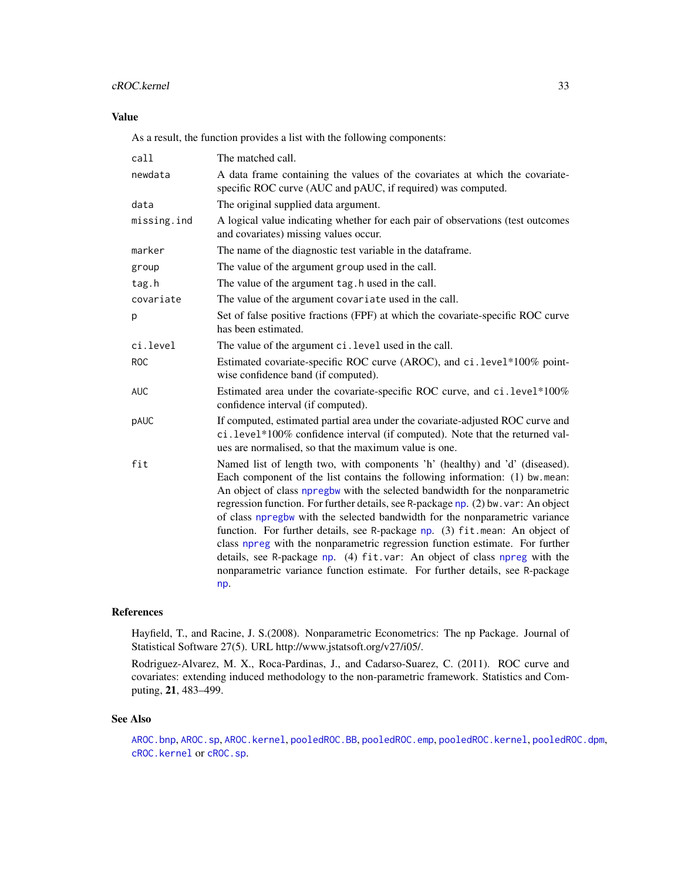# cROC.kernel 33

# Value

As a result, the function provides a list with the following components:

| call        | The matched call.                                                                                                                                                                                                                                                                                                                                                                                                                                                                                                                                                                                                                                                                                                                                  |
|-------------|----------------------------------------------------------------------------------------------------------------------------------------------------------------------------------------------------------------------------------------------------------------------------------------------------------------------------------------------------------------------------------------------------------------------------------------------------------------------------------------------------------------------------------------------------------------------------------------------------------------------------------------------------------------------------------------------------------------------------------------------------|
| newdata     | A data frame containing the values of the covariates at which the covariate-<br>specific ROC curve (AUC and pAUC, if required) was computed.                                                                                                                                                                                                                                                                                                                                                                                                                                                                                                                                                                                                       |
| data        | The original supplied data argument.                                                                                                                                                                                                                                                                                                                                                                                                                                                                                                                                                                                                                                                                                                               |
| missing.ind | A logical value indicating whether for each pair of observations (test outcomes<br>and covariates) missing values occur.                                                                                                                                                                                                                                                                                                                                                                                                                                                                                                                                                                                                                           |
| marker      | The name of the diagnostic test variable in the dataframe.                                                                                                                                                                                                                                                                                                                                                                                                                                                                                                                                                                                                                                                                                         |
| group       | The value of the argument group used in the call.                                                                                                                                                                                                                                                                                                                                                                                                                                                                                                                                                                                                                                                                                                  |
| tag.h       | The value of the argument tag. h used in the call.                                                                                                                                                                                                                                                                                                                                                                                                                                                                                                                                                                                                                                                                                                 |
| covariate   | The value of the argument covariate used in the call.                                                                                                                                                                                                                                                                                                                                                                                                                                                                                                                                                                                                                                                                                              |
| p           | Set of false positive fractions (FPF) at which the covariate-specific ROC curve<br>has been estimated.                                                                                                                                                                                                                                                                                                                                                                                                                                                                                                                                                                                                                                             |
| ci.level    | The value of the argument ci. level used in the call.                                                                                                                                                                                                                                                                                                                                                                                                                                                                                                                                                                                                                                                                                              |
| <b>ROC</b>  | Estimated covariate-specific ROC curve (AROC), and ci.level*100% point-<br>wise confidence band (if computed).                                                                                                                                                                                                                                                                                                                                                                                                                                                                                                                                                                                                                                     |
| <b>AUC</b>  | Estimated area under the covariate-specific ROC curve, and ci.level*100%<br>confidence interval (if computed).                                                                                                                                                                                                                                                                                                                                                                                                                                                                                                                                                                                                                                     |
| pAUC        | If computed, estimated partial area under the covariate-adjusted ROC curve and<br>ci.level*100% confidence interval (if computed). Note that the returned val-<br>ues are normalised, so that the maximum value is one.                                                                                                                                                                                                                                                                                                                                                                                                                                                                                                                            |
| fit         | Named list of length two, with components 'h' (healthy) and 'd' (diseased).<br>Each component of the list contains the following information: (1) bw.mean:<br>An object of class npregbw with the selected bandwidth for the nonparametric<br>regression function. For further details, see R-package np. (2) bw. var: An object<br>of class npregbw with the selected bandwidth for the nonparametric variance<br>function. For further details, see R-package np. (3) fit mean: An object of<br>class npreg with the nonparametric regression function estimate. For further<br>details, see R-package np. (4) fit.var: An object of class npreg with the<br>nonparametric variance function estimate. For further details, see R-package<br>np. |

# References

Hayfield, T., and Racine, J. S.(2008). Nonparametric Econometrics: The np Package. Journal of Statistical Software 27(5). URL http://www.jstatsoft.org/v27/i05/.

Rodriguez-Alvarez, M. X., Roca-Pardinas, J., and Cadarso-Suarez, C. (2011). ROC curve and covariates: extending induced methodology to the non-parametric framework. Statistics and Computing, 21, 483–499.

# See Also

[AROC.bnp](#page-3-1), [AROC.sp](#page-12-1), [AROC.kernel](#page-8-1), [pooledROC.BB](#page-47-1), [pooledROC.emp](#page-54-1), [pooledROC.kernel](#page-57-1), [pooledROC.dpm](#page-50-1), [cROC.kernel](#page-29-1) or [cROC.sp](#page-33-1).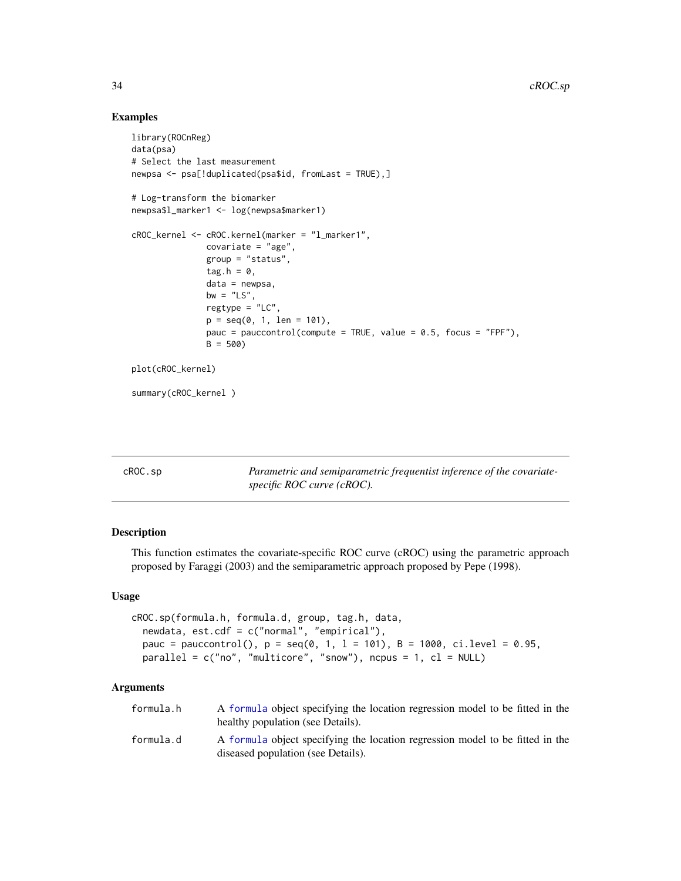# Examples

```
library(ROCnReg)
data(psa)
# Select the last measurement
newpsa <- psa[!duplicated(psa$id, fromLast = TRUE),]
# Log-transform the biomarker
newpsa$l_marker1 <- log(newpsa$marker1)
cROC_kernel <- cROC.kernel(marker = "l_marker1",
               covariate = "age",
               group = "status",
               tag.h = \theta,
               data = newpsa,
               bw = "LS",
               regtype = "LC",p = \text{seq}(0, 1, \text{ len} = 101),
               pauc = pauccontrol(compute = TRUE, value = 0.5, focus = "FPF"),
               B = 500plot(cROC_kernel)
summary(cROC_kernel )
```
<span id="page-33-1"></span>

| cROC.sp | Parametric and semiparametric frequentist inference of the covariate- |
|---------|-----------------------------------------------------------------------|
|         | specific ROC curve (cROC).                                            |

# Description

This function estimates the covariate-specific ROC curve (cROC) using the parametric approach proposed by Faraggi (2003) and the semiparametric approach proposed by Pepe (1998).

# Usage

```
cROC.sp(formula.h, formula.d, group, tag.h, data,
  newdata, est.cdf = c("normal", "empirical"),
 pauc = pauccontrol(), p = seq(0, 1, 1 = 101), B = 1000, ci.level = 0.95,
 parallel = c("no", "multicore", "snow"), ncpus = 1, cl = NULL)
```

| formula.h | A formula object specifying the location regression model to be fitted in the<br>healthy population (see Details).  |
|-----------|---------------------------------------------------------------------------------------------------------------------|
| formula.d | A formula object specifying the location regression model to be fitted in the<br>diseased population (see Details). |

<span id="page-33-0"></span>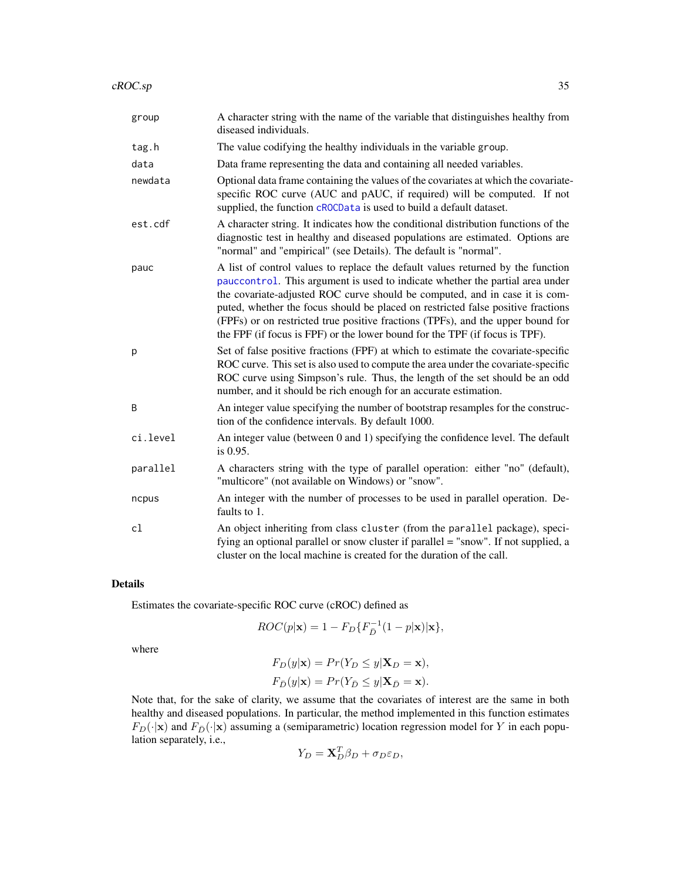| group    | A character string with the name of the variable that distinguishes healthy from<br>diseased individuals.                                                                                                                                                                                                                                                                                                                                                                                             |
|----------|-------------------------------------------------------------------------------------------------------------------------------------------------------------------------------------------------------------------------------------------------------------------------------------------------------------------------------------------------------------------------------------------------------------------------------------------------------------------------------------------------------|
| tag.h    | The value codifying the healthy individuals in the variable group.                                                                                                                                                                                                                                                                                                                                                                                                                                    |
| data     | Data frame representing the data and containing all needed variables.                                                                                                                                                                                                                                                                                                                                                                                                                                 |
| newdata  | Optional data frame containing the values of the covariates at which the covariate-<br>specific ROC curve (AUC and pAUC, if required) will be computed. If not<br>supplied, the function cROCData is used to build a default dataset.                                                                                                                                                                                                                                                                 |
| est.cdf  | A character string. It indicates how the conditional distribution functions of the<br>diagnostic test in healthy and diseased populations are estimated. Options are<br>"normal" and "empirical" (see Details). The default is "normal".                                                                                                                                                                                                                                                              |
| pauc     | A list of control values to replace the default values returned by the function<br>pauccontrol. This argument is used to indicate whether the partial area under<br>the covariate-adjusted ROC curve should be computed, and in case it is com-<br>puted, whether the focus should be placed on restricted false positive fractions<br>(FPFs) or on restricted true positive fractions (TPFs), and the upper bound for<br>the FPF (if focus is FPF) or the lower bound for the TPF (if focus is TPF). |
| р        | Set of false positive fractions (FPF) at which to estimate the covariate-specific<br>ROC curve. This set is also used to compute the area under the covariate-specific<br>ROC curve using Simpson's rule. Thus, the length of the set should be an odd<br>number, and it should be rich enough for an accurate estimation.                                                                                                                                                                            |
| B        | An integer value specifying the number of bootstrap resamples for the construc-<br>tion of the confidence intervals. By default 1000.                                                                                                                                                                                                                                                                                                                                                                 |
| ci.level | An integer value (between 0 and 1) specifying the confidence level. The default<br>is 0.95.                                                                                                                                                                                                                                                                                                                                                                                                           |
| parallel | A characters string with the type of parallel operation: either "no" (default),<br>"multicore" (not available on Windows) or "snow".                                                                                                                                                                                                                                                                                                                                                                  |
| ncpus    | An integer with the number of processes to be used in parallel operation. De-<br>faults to 1.                                                                                                                                                                                                                                                                                                                                                                                                         |
| cl       | An object inheriting from class cluster (from the parallel package), speci-<br>fying an optional parallel or snow cluster if parallel = "snow". If not supplied, a<br>cluster on the local machine is created for the duration of the call.                                                                                                                                                                                                                                                           |

Estimates the covariate-specific ROC curve (cROC) defined as

$$
ROC(p|\mathbf{x}) = 1 - F_D\{F_{\bar{D}}^{-1}(1-p|\mathbf{x})|\mathbf{x}\},\,
$$

where

$$
F_D(y|\mathbf{x}) = Pr(Y_D \le y|\mathbf{X}_D = \mathbf{x}),
$$
  
\n
$$
F_{\overline{D}}(y|\mathbf{x}) = Pr(Y_{\overline{D}} \le y|\mathbf{X}_{\overline{D}} = \mathbf{x}).
$$

Note that, for the sake of clarity, we assume that the covariates of interest are the same in both healthy and diseased populations. In particular, the method implemented in this function estimates  $F_D(\cdot|\mathbf{x})$  and  $F_{\overline{D}}(\cdot|\mathbf{x})$  assuming a (semiparametric) location regression model for Y in each population separately, i.e.,

$$
Y_D = \mathbf{X}_D^T \beta_D + \sigma_D \varepsilon_D,
$$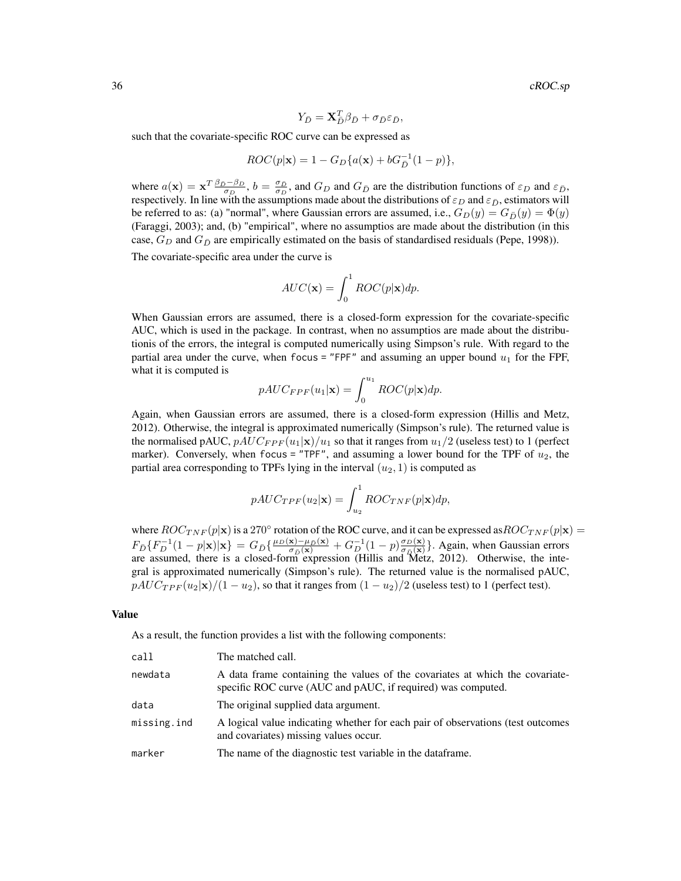36 cROC.sp

$$
Y_{\bar{D}} = \mathbf{X}_{\bar{D}}^T \beta_{\bar{D}} + \sigma_{\bar{D}} \varepsilon_{\bar{D}},
$$

such that the covariate-specific ROC curve can be expressed as

$$
ROC(p|\mathbf{x}) = 1 - G_D\{a(\mathbf{x}) + bG_D^{-1}(1-p)\},\,
$$

where  $a(\mathbf{x}) = \mathbf{x}^T \frac{\beta_D - \beta_D}{\sigma_D}$ ,  $b = \frac{\sigma_D}{\sigma_D}$ , and  $G_D$  and  $G_{\bar{D}}$  are the distribution functions of  $\varepsilon_D$  and  $\varepsilon_{\bar{D}}$ , respectively. In line with the assumptions made about the distributions of  $\varepsilon_D$  and  $\varepsilon_{\bar{D}}$ , estimators will be referred to as: (a) "normal", where Gaussian errors are assumed, i.e.,  $G_D(y) = G_D(y) = \Phi(y)$ (Faraggi, 2003); and, (b) "empirical", where no assumptios are made about the distribution (in this case,  $G_D$  and  $G_D$  are empirically estimated on the basis of standardised residuals (Pepe, 1998)).

The covariate-specific area under the curve is

$$
AUC(\mathbf{x}) = \int_0^1 ROC(p|\mathbf{x})dp.
$$

When Gaussian errors are assumed, there is a closed-form expression for the covariate-specific AUC, which is used in the package. In contrast, when no assumptios are made about the distributionis of the errors, the integral is computed numerically using Simpson's rule. With regard to the partial area under the curve, when focus = "FPF" and assuming an upper bound  $u_1$  for the FPF, what it is computed is

$$
pAUC_{FPF}(u_1|\mathbf{x}) = \int_0^{u_1} ROC(p|\mathbf{x})dp.
$$

Again, when Gaussian errors are assumed, there is a closed-form expression (Hillis and Metz, 2012). Otherwise, the integral is approximated numerically (Simpson's rule). The returned value is the normalised pAUC,  $pAUC_{FPF}(u_1|\mathbf{x})/u_1$  so that it ranges from  $u_1/2$  (useless test) to 1 (perfect marker). Conversely, when focus = "TPF", and assuming a lower bound for the TPF of  $u_2$ , the partial area corresponding to TPFs lying in the interval  $(u_2, 1)$  is computed as

$$
pAUC_{TPF}(u_2|\mathbf{x}) = \int_{u_2}^{1} ROC_{TNF}(p|\mathbf{x})dp,
$$

where  $ROC_{TNF}(p|x)$  is a 270° rotation of the ROC curve, and it can be expressed as  $ROC_{TNF}(p|x)$  =  $F_{\bar{D}}\{F_{D}^{-1}(1-p|\mathbf{x})|\mathbf{x}\} = G_{\bar{D}}\{\frac{\mu_D(\mathbf{x})-\mu_{\bar{D}}(\mathbf{x})}{\sigma_{\bar{D}}(\mathbf{x})} + G_{D,\text{min}}^{-1}(1-p)\frac{\sigma_D(\mathbf{x})}{\sigma_{\bar{D}}(\mathbf{x})}$  $\frac{\sigma_D(x)}{\sigma_D(x)}$ . Again, when Gaussian errors are assumed, there is a closed-form expression (Hillis and Metz, 2012). Otherwise, the integral is approximated numerically (Simpson's rule). The returned value is the normalised pAUC,  $pAUC_{TPF}(u_2|\mathbf{x})/(1-u_2)$ , so that it ranges from  $(1-u_2)/2$  (useless test) to 1 (perfect test).

#### Value

As a result, the function provides a list with the following components:

| call        | The matched call.                                                                                                                            |
|-------------|----------------------------------------------------------------------------------------------------------------------------------------------|
| newdata     | A data frame containing the values of the covariates at which the covariate-<br>specific ROC curve (AUC and pAUC, if required) was computed. |
| data        | The original supplied data argument.                                                                                                         |
| missing.ind | A logical value indicating whether for each pair of observations (test outcomes<br>and covariates) missing values occur.                     |
| marker      | The name of the diagnostic test variable in the dataframe.                                                                                   |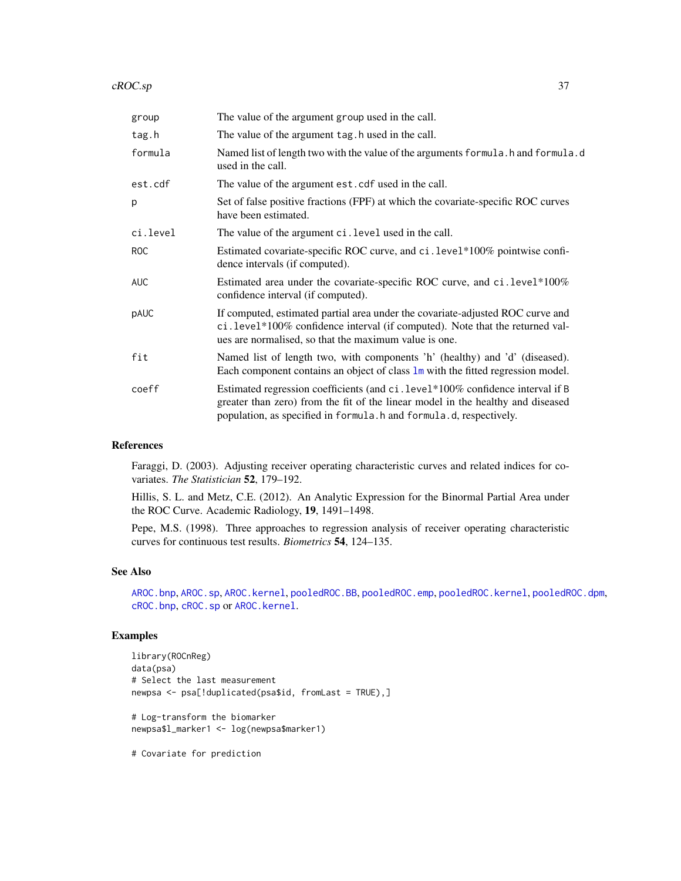| group      | The value of the argument group used in the call.                                                                                                                                                                                         |
|------------|-------------------------------------------------------------------------------------------------------------------------------------------------------------------------------------------------------------------------------------------|
| tag.h      | The value of the argument tag. h used in the call.                                                                                                                                                                                        |
| formula    | Named list of length two with the value of the arguments formula. h and formula.d<br>used in the call.                                                                                                                                    |
| est.cdf    | The value of the argument est. cdf used in the call.                                                                                                                                                                                      |
| p          | Set of false positive fractions (FPF) at which the covariate-specific ROC curves<br>have been estimated.                                                                                                                                  |
| ci.level   | The value of the argument ci. level used in the call.                                                                                                                                                                                     |
| ROC        | Estimated covariate-specific ROC curve, and ci.level*100% pointwise confi-<br>dence intervals (if computed).                                                                                                                              |
| <b>AUC</b> | Estimated area under the covariate-specific ROC curve, and ci.level*100%<br>confidence interval (if computed).                                                                                                                            |
| pAUC       | If computed, estimated partial area under the covariate-adjusted ROC curve and<br>ci.level*100% confidence interval (if computed). Note that the returned val-<br>ues are normalised, so that the maximum value is one.                   |
| fit        | Named list of length two, with components 'h' (healthy) and 'd' (diseased).<br>Each component contains an object of class $\text{Im}$ with the fitted regression model.                                                                   |
| coeff      | Estimated regression coefficients (and ci. level*100% confidence interval if B<br>greater than zero) from the fit of the linear model in the healthy and diseased<br>population, as specified in formula. h and formula. d, respectively. |

#### References

Faraggi, D. (2003). Adjusting receiver operating characteristic curves and related indices for covariates. *The Statistician* 52, 179–192.

Hillis, S. L. and Metz, C.E. (2012). An Analytic Expression for the Binormal Partial Area under the ROC Curve. Academic Radiology, 19, 1491–1498.

Pepe, M.S. (1998). Three approaches to regression analysis of receiver operating characteristic curves for continuous test results. *Biometrics* 54, 124–135.

# See Also

[AROC.bnp](#page-3-0), [AROC.sp](#page-12-0), [AROC.kernel](#page-8-0), [pooledROC.BB](#page-47-0), [pooledROC.emp](#page-54-0), [pooledROC.kernel](#page-57-0), [pooledROC.dpm](#page-50-0), [cROC.bnp](#page-23-0), [cROC.sp](#page-33-0) or [AROC.kernel](#page-8-0).

# Examples

```
library(ROCnReg)
data(psa)
# Select the last measurement
newpsa <- psa[!duplicated(psa$id, fromLast = TRUE),]
# Log-transform the biomarker
newpsa$l_marker1 <- log(newpsa$marker1)
```
# Covariate for prediction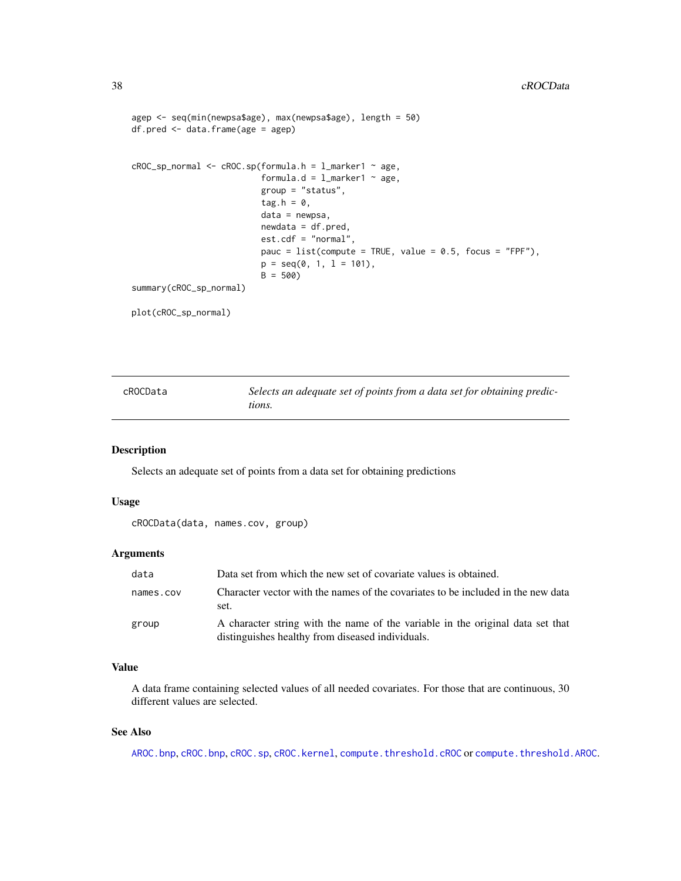```
agep <- seq(min(newpsa$age), max(newpsa$age), length = 50)
df.pred <- data.frame(age = agep)
cROC_sp_normal <- cROC.sp(formula.h = l_marker1 ~ age,
                          formula.d = l_marker1 ~ age,
                          group = "status",tag.h = 0,
                          data = newpsa,
                          newdata = df.pred,
                          est.cdf = "normal",
                          pauc = list(compute = TRUE, value = 0.5, focus = "FPF"),
                          p = seq(0, 1, 1 = 101),
                          B = 500summary(cROC_sp_normal)
plot(cROC_sp_normal)
```

| cROCData | Selects an adequate set of points from a data set for obtaining predic- |
|----------|-------------------------------------------------------------------------|
|          | tions.                                                                  |

Selects an adequate set of points from a data set for obtaining predictions

# Usage

cROCData(data, names.cov, group)

## Arguments

| data      | Data set from which the new set of covariate values is obtained.                                                                   |  |
|-----------|------------------------------------------------------------------------------------------------------------------------------------|--|
| names.cov | Character vector with the names of the covariates to be included in the new data<br>set.                                           |  |
| group     | A character string with the name of the variable in the original data set that<br>distinguishes healthy from diseased individuals. |  |

# Value

A data frame containing selected values of all needed covariates. For those that are continuous, 30 different values are selected.

# See Also

[AROC.bnp](#page-3-0), [cROC.bnp](#page-23-0), [cROC.sp](#page-33-0), [cROC.kernel](#page-29-0), [compute.threshold.cROC](#page-18-0) or [compute.threshold.AROC](#page-15-0).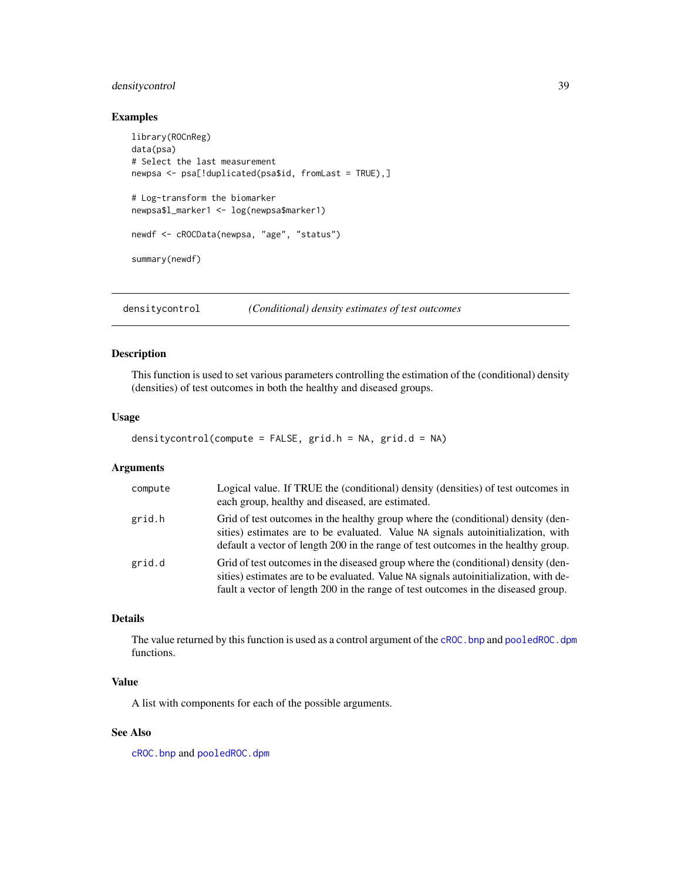# densitycontrol 39

# Examples

```
library(ROCnReg)
data(psa)
# Select the last measurement
newpsa <- psa[!duplicated(psa$id, fromLast = TRUE),]
# Log-transform the biomarker
newpsa$l_marker1 <- log(newpsa$marker1)
newdf <- cROCData(newpsa, "age", "status")
summary(newdf)
```
<span id="page-38-0"></span>densitycontrol *(Conditional) density estimates of test outcomes*

# Description

This function is used to set various parameters controlling the estimation of the (conditional) density (densities) of test outcomes in both the healthy and diseased groups.

#### Usage

densitycontrol(compute = FALSE, grid.h = NA, grid.d = NA)

# Arguments

| compute | Logical value. If TRUE the (conditional) density (densities) of test outcomes in<br>each group, healthy and diseased, are estimated.                                                                                                                           |
|---------|----------------------------------------------------------------------------------------------------------------------------------------------------------------------------------------------------------------------------------------------------------------|
| grid.h  | Grid of test outcomes in the healthy group where the (conditional) density (den-<br>sities) estimates are to be evaluated. Value NA signals autoinitialization, with<br>default a vector of length 200 in the range of test outcomes in the healthy group.     |
| grid.d  | Grid of test outcomes in the diseased group where the (conditional) density (den-<br>sities) estimates are to be evaluated. Value NA signals autoinitialization, with de-<br>fault a vector of length 200 in the range of test outcomes in the diseased group. |

# Details

The value returned by this function is used as a control argument of the cROC. bnp and pooledROC. dpm functions.

# Value

A list with components for each of the possible arguments.

# See Also

[cROC.bnp](#page-23-0) and [pooledROC.dpm](#page-50-0)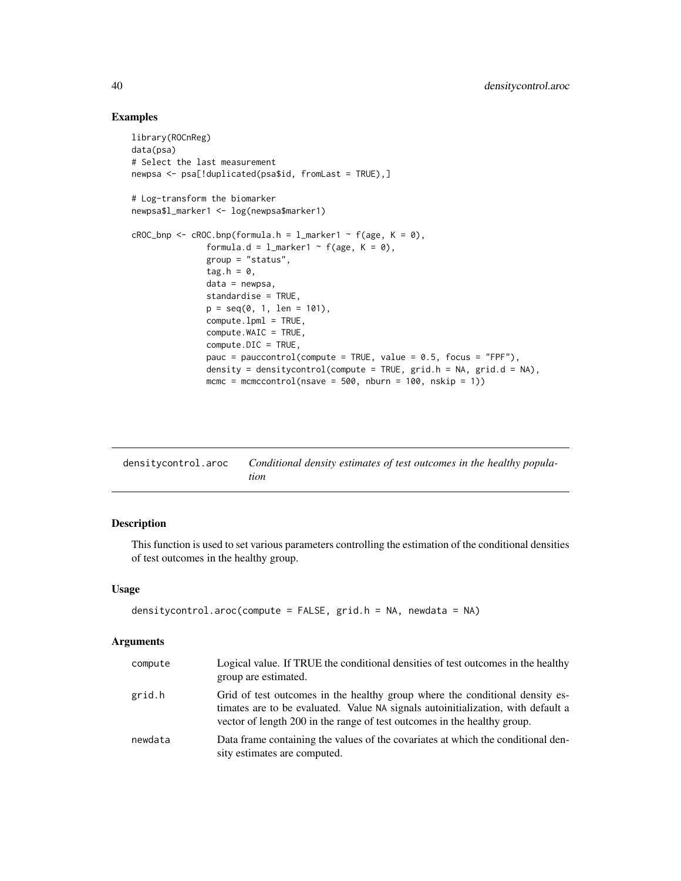## Examples

```
library(ROCnReg)
data(psa)
# Select the last measurement
newpsa <- psa[!duplicated(psa$id, fromLast = TRUE),]
# Log-transform the biomarker
newpsa$l_marker1 <- log(newpsa$marker1)
cROC_bnp \leftarrow cROC.bnp(formula.h = 1_matrix + f(age, K = 0),formula.d = l_marker1 ~ f(age, K = 0),
               group = "status",
               tag.h = \theta,
               data = newpsa,
               standardise = TRUE,
               p = seq(0, 1, len = 101),
               compute.lpml = TRUE,
               compute.WAIC = TRUE,
               compute.DIC = TRUE,
               pauc = pauccontrol(compute = TRUE, value = 0.5, focus = "FPF"),
               density = densitycontrol(compute = TRUE, grid.h = NA, grid.d = NA),
               mcmc = mcmccontrol(nsave = 500, nburn = 100, nskip = 1))
```

| densitycontrol.aroc | Conditional density estimates of test outcomes in the healthy popula- |
|---------------------|-----------------------------------------------------------------------|
|                     | tion                                                                  |

# Description

This function is used to set various parameters controlling the estimation of the conditional densities of test outcomes in the healthy group.

#### Usage

```
densitycontrol.aroc(compute = FALSE, grid.h = NA, newdata = NA)
```
# Arguments

| compute | Logical value. If TRUE the conditional densities of test outcomes in the healthy<br>group are estimated.                                                                                                                                     |
|---------|----------------------------------------------------------------------------------------------------------------------------------------------------------------------------------------------------------------------------------------------|
| grid.h  | Grid of test outcomes in the healthy group where the conditional density es-<br>timates are to be evaluated. Value NA signals autoinitialization, with default a<br>vector of length 200 in the range of test outcomes in the healthy group. |
| newdata | Data frame containing the values of the covariates at which the conditional den-<br>sity estimates are computed.                                                                                                                             |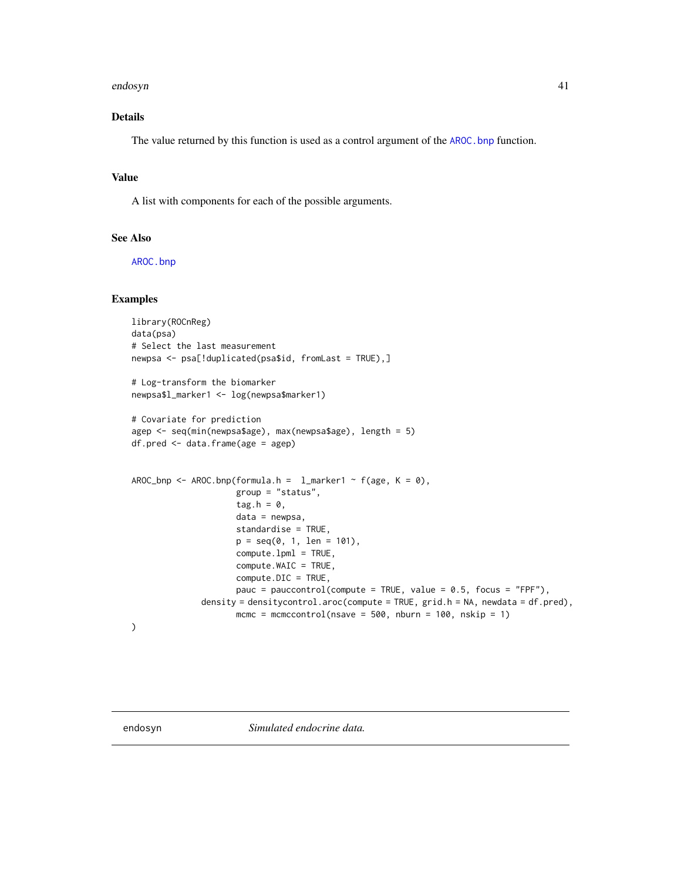#### endosyn 41

# Details

The value returned by this function is used as a control argument of the [AROC.bnp](#page-3-0) function.

# Value

A list with components for each of the possible arguments.

## See Also

[AROC.bnp](#page-3-0)

# Examples

```
library(ROCnReg)
data(psa)
# Select the last measurement
newpsa <- psa[!duplicated(psa$id, fromLast = TRUE),]
# Log-transform the biomarker
newpsa$l_marker1 <- log(newpsa$marker1)
# Covariate for prediction
agep <- seq(min(newpsa$age), max(newpsa$age), length = 5)
df.pred <- data.frame(age = agep)
AROC_bnp <- AROC.bnp(formula.h = l_marker1 ~ f(age, K = 0),
                     group = "status",
                     tag.h = 0,data = newpsa,
                     standardise = TRUE,
                     p = seq(0, 1, len = 101),compute.lpml = TRUE,
                     compute.WAIC = TRUE,
                     compute.DIC = TRUE,
                     pauc = pauccontrol(compute = TRUE, value = 0.5, focus = "FPF"),
              density = densitycontrol.aroc(compute = TRUE, grid.h = NA, newdata = df.pred),
                     mcmc = mcmccontrol(nsave = 500, nburn = 100, nskip = 1)
)
```
endosyn *Simulated endocrine data.*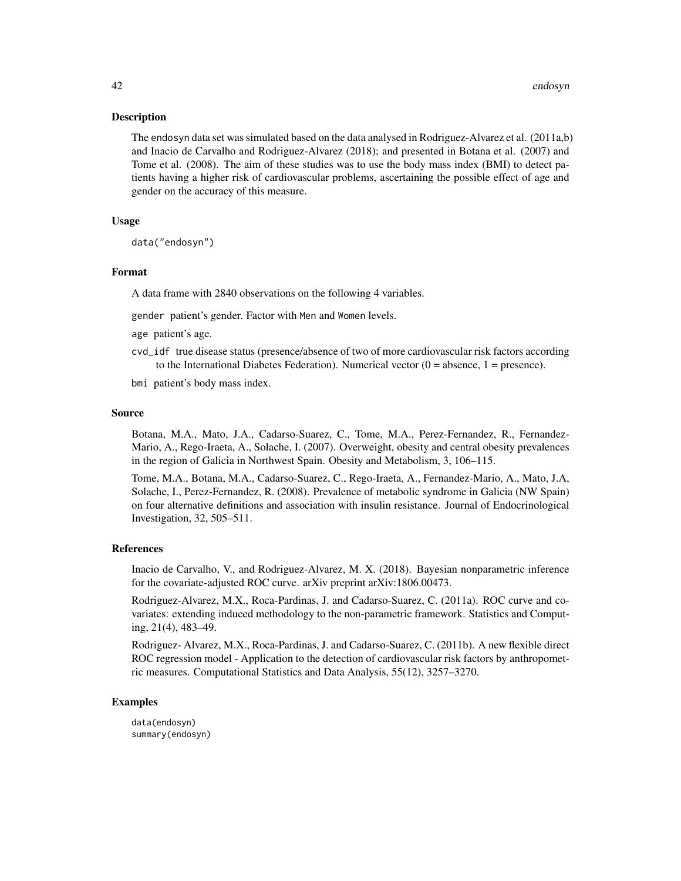The endosyn data set was simulated based on the data analysed in Rodriguez-Alvarez et al. (2011a,b) and Inacio de Carvalho and Rodriguez-Alvarez (2018); and presented in Botana et al. (2007) and Tome et al. (2008). The aim of these studies was to use the body mass index (BMI) to detect patients having a higher risk of cardiovascular problems, ascertaining the possible effect of age and gender on the accuracy of this measure.

# Usage

data("endosyn")

#### Format

A data frame with 2840 observations on the following 4 variables.

gender patient's gender. Factor with Men and Women levels.

- age patient's age.
- cvd\_idf true disease status (presence/absence of two of more cardiovascular risk factors according to the International Diabetes Federation). Numerical vector  $(0 = absence, 1 = presence)$ .
- bmi patient's body mass index.

#### Source

Botana, M.A., Mato, J.A., Cadarso-Suarez, C., Tome, M.A., Perez-Fernandez, R., Fernandez-Mario, A., Rego-Iraeta, A., Solache, I. (2007). Overweight, obesity and central obesity prevalences in the region of Galicia in Northwest Spain. Obesity and Metabolism, 3, 106–115.

Tome, M.A., Botana, M.A., Cadarso-Suarez, C., Rego-Iraeta, A., Fernandez-Mario, A., Mato, J.A, Solache, I., Perez-Fernandez, R. (2008). Prevalence of metabolic syndrome in Galicia (NW Spain) on four alternative definitions and association with insulin resistance. Journal of Endocrinological Investigation, 32, 505–511.

#### References

Inacio de Carvalho, V., and Rodriguez-Alvarez, M. X. (2018). Bayesian nonparametric inference for the covariate-adjusted ROC curve. arXiv preprint arXiv:1806.00473.

Rodriguez-Alvarez, M.X., Roca-Pardinas, J. and Cadarso-Suarez, C. (2011a). ROC curve and covariates: extending induced methodology to the non-parametric framework. Statistics and Computing, 21(4), 483–49.

Rodriguez- Alvarez, M.X., Roca-Pardinas, J. and Cadarso-Suarez, C. (2011b). A new flexible direct ROC regression model - Application to the detection of cardiovascular risk factors by anthropometric measures. Computational Statistics and Data Analysis, 55(12), 3257–3270.

## Examples

data(endosyn) summary(endosyn)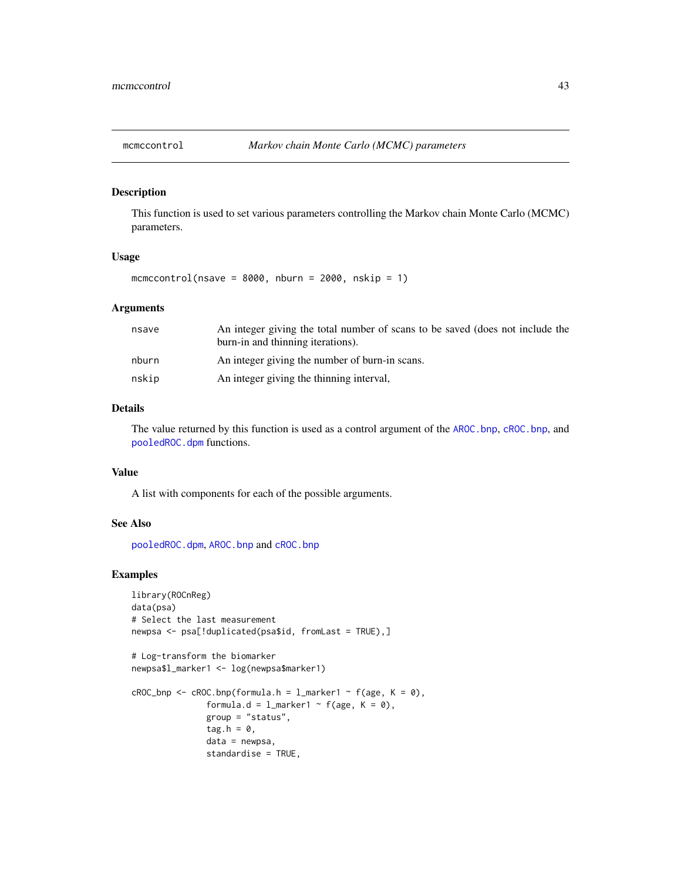<span id="page-42-0"></span>

This function is used to set various parameters controlling the Markov chain Monte Carlo (MCMC) parameters.

# Usage

mcmccontrol(nsave =  $8000$ , nburn =  $2000$ , nskip = 1)

#### Arguments

| nsave | An integer giving the total number of scans to be saved (does not include the<br>burn-in and thinning iterations). |
|-------|--------------------------------------------------------------------------------------------------------------------|
| nburn | An integer giving the number of burn-in scans.                                                                     |
| nskip | An integer giving the thinning interval,                                                                           |

#### Details

The value returned by this function is used as a control argument of the [AROC.bnp](#page-3-0), [cROC.bnp](#page-23-0), and [pooledROC.dpm](#page-50-0) functions.

#### Value

A list with components for each of the possible arguments.

# See Also

[pooledROC.dpm](#page-50-0), [AROC.bnp](#page-3-0) and [cROC.bnp](#page-23-0)

# Examples

```
library(ROCnReg)
data(psa)
# Select the last measurement
newpsa <- psa[!duplicated(psa$id, fromLast = TRUE),]
# Log-transform the biomarker
newpsa$l_marker1 <- log(newpsa$marker1)
```

```
cROC\_bnp \leftarrow cROC.bnp(formula.h = 1_matrix + 1 \right) f(age, K = 0),
                 formula.d = l_marker1 ~ f(age, K = 0),
                 group = "status",
                 tag.h = \theta,
                 data = newpsa,
                 standardise = TRUE,
```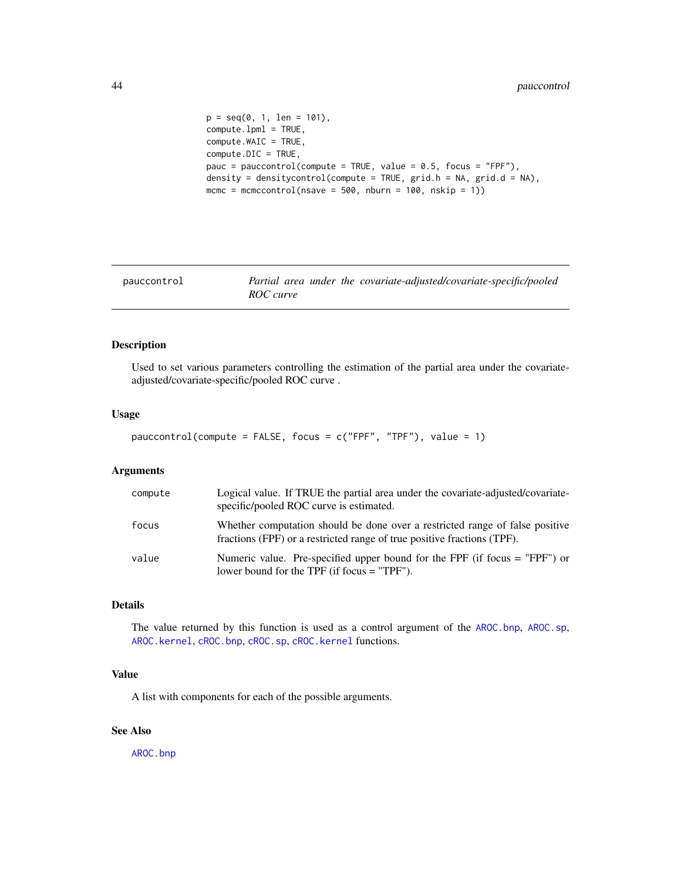```
p = seq(0, 1, len = 101),
compute.lpml = TRUE,
compute.WAIC = TRUE,
compute.DIC = TRUE,
pauc = pauccontrol(compute = TRUE, value = 0.5, focus = "FPF"),
density = densitycontrol(compute = TRUE, grid.h = NA, grid.d = NA),
mcmc = mcmccontrol(nsave = 500, nburn = 100, nskip = 1))
```
<span id="page-43-0"></span>

| pauccontrol | Partial area under the covariate-adjusted/covariate-specific/pooled |
|-------------|---------------------------------------------------------------------|
|             | ROC curve                                                           |

Used to set various parameters controlling the estimation of the partial area under the covariateadjusted/covariate-specific/pooled ROC curve .

#### Usage

```
pauccontrol(compute = FALSE, focus = c("FPF", "TPF"), value = 1)
```
# Arguments

| compute | Logical value. If TRUE the partial area under the covariate-adjusted/covariate-<br>specific/pooled ROC curve is estimated.                              |
|---------|---------------------------------------------------------------------------------------------------------------------------------------------------------|
| focus   | Whether computation should be done over a restricted range of false positive<br>fractions (FPF) or a restricted range of true positive fractions (TPF). |
| value   | Numeric value. Pre-specified upper bound for the FPF (if focus $=$ "FPF") or<br>lower bound for the TPF (if focus $=$ "TPF").                           |

## Details

The value returned by this function is used as a control argument of the [AROC.bnp](#page-3-0), [AROC.sp](#page-12-0), [AROC.kernel](#page-8-0), [cROC.bnp](#page-23-0), [cROC.sp](#page-33-0), [cROC.kernel](#page-29-0) functions.

## Value

A list with components for each of the possible arguments.

# See Also

[AROC.bnp](#page-3-0)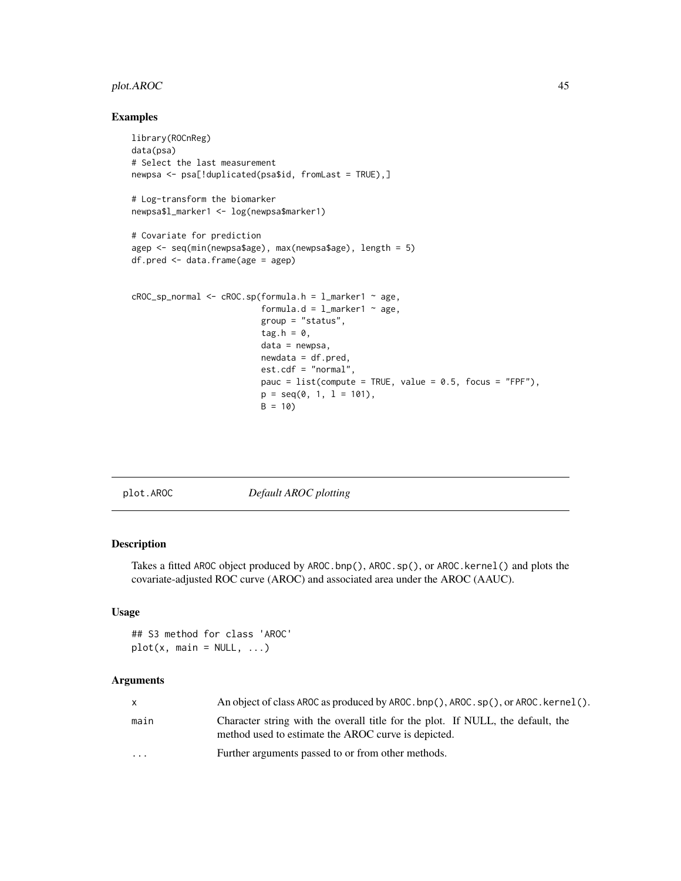# plot.AROC 45

## Examples

```
library(ROCnReg)
data(psa)
# Select the last measurement
newpsa <- psa[!duplicated(psa$id, fromLast = TRUE),]
# Log-transform the biomarker
newpsa$l_marker1 <- log(newpsa$marker1)
# Covariate for prediction
agep <- seq(min(newpsa$age), max(newpsa$age), length = 5)
df.pred <- data.frame(age = agep)
cROC_sp_normal < -cROC(sp(formula.h = 1_matrix + age,formula.d = l_marker1 \sim age,
                          group = "status",
                          tag.h = \theta,
                          data = newpsa,
                          newdata = df.pred,
                          est.cdf = "normal",
                          pauc = list(compute = TRUE, value = 0.5, focus = "FPF"),
                          p = seq(0, 1, 1 = 101),B = 10
```
plot.AROC *Default AROC plotting*

# Description

Takes a fitted AROC object produced by AROC.bnp(), AROC.sp(), or AROC.kernel() and plots the covariate-adjusted ROC curve (AROC) and associated area under the AROC (AAUC).

# Usage

## S3 method for class 'AROC'  $plot(x, main = NULL, ...)$ 

#### Arguments

| x         | An object of class AROC as produced by AROC. bnp(), AROC. sp(), or AROC. kernel().                                                     |
|-----------|----------------------------------------------------------------------------------------------------------------------------------------|
| main      | Character string with the overall title for the plot. If NULL, the default, the<br>method used to estimate the AROC curve is depicted. |
| $\ddotsc$ | Further arguments passed to or from other methods.                                                                                     |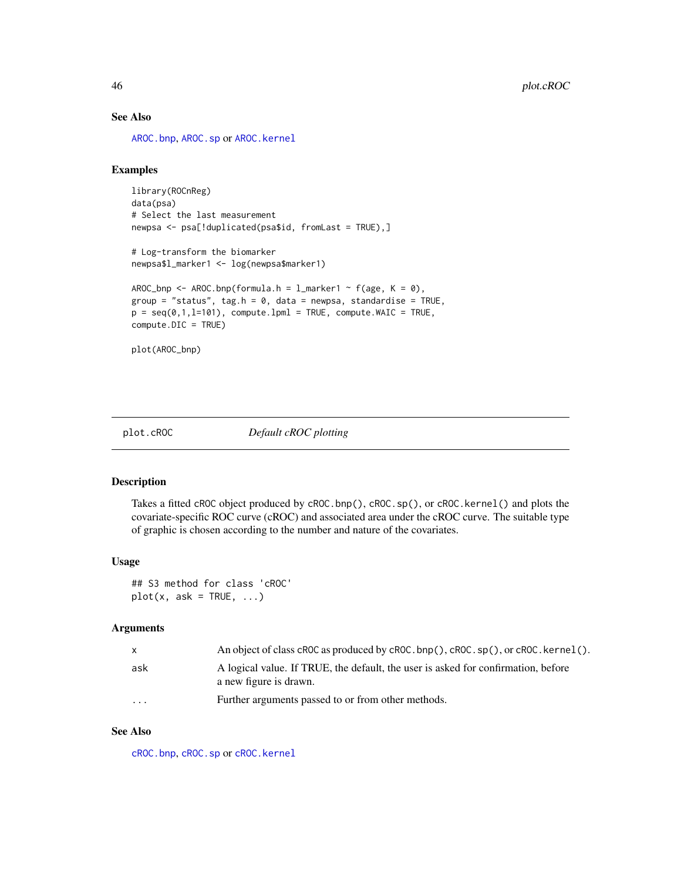# See Also

[AROC.bnp](#page-3-0), [AROC.sp](#page-12-0) or [AROC.kernel](#page-8-0)

## Examples

```
library(ROCnReg)
data(psa)
# Select the last measurement
newpsa <- psa[!duplicated(psa$id, fromLast = TRUE),]
# Log-transform the biomarker
newpsa$l_marker1 <- log(newpsa$marker1)
AROC_bnp <- AROC.bnp(formula.h = l_marker1 ~ f(age, K = 0),
group = "status", tag.h = 0, data = newpsa, standardise = TRUE,
p = seq(0, 1, 1=101), compute.lpml = TRUE, compute.WAIC = TRUE,
compute.DIC = TRUE)
```

```
plot(AROC_bnp)
```
plot.cROC *Default cROC plotting*

## Description

Takes a fitted cROC object produced by cROC.bnp(), cROC.sp(), or cROC.kernel() and plots the covariate-specific ROC curve (cROC) and associated area under the cROC curve. The suitable type of graphic is chosen according to the number and nature of the covariates.

#### Usage

## S3 method for class 'cROC'  $plot(x, ask = TRUE, ...)$ 

#### Arguments

| $\mathsf{x}$ | An object of class cROC as produced by cROC, $bnp()$ , cROC, $sp()$ , or cROC, kernel().                    |
|--------------|-------------------------------------------------------------------------------------------------------------|
| ask          | A logical value. If TRUE, the default, the user is asked for confirmation, before<br>a new figure is drawn. |
| $\cdots$     | Further arguments passed to or from other methods.                                                          |

## See Also

[cROC.bnp](#page-23-0), [cROC.sp](#page-33-0) or [cROC.kernel](#page-29-0)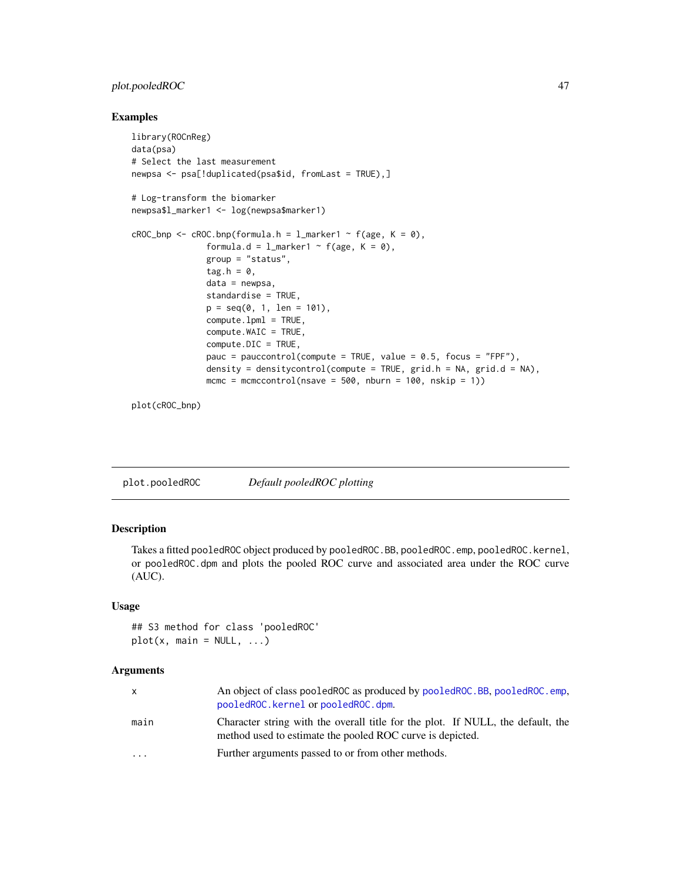# plot.pooledROC 47

## Examples

```
library(ROCnReg)
data(psa)
# Select the last measurement
newpsa <- psa[!duplicated(psa$id, fromLast = TRUE),]
# Log-transform the biomarker
newpsa$l_marker1 <- log(newpsa$marker1)
cROC\_bnp \leftarrow cROC.bnp(formula.h = 1_matrix + f(age, K = 0),formula.d = l_marker1 ~ f(age, K = 0),
               group = "status",
               tag.h = \theta,
               data = newpsa,
               standardise = TRUE,
               p = seq(0, 1, len = 101),
               compute.lpml = TRUE,
               compute.WAIC = TRUE,
               compute.DIC = TRUE,
               pauc = pauccontrol(compute = TRUE, value = 0.5, focus = "FPF"),
               density = densitycontrol(compute = TRUE, grid.h = NA, grid.d = NA),
               mcmc = mcmccontrol(nsave = 500, nburn = 100, nskip = 1))
```
plot(cROC\_bnp)

| plot.pooledROC | Default pooledROC plotting |
|----------------|----------------------------|
|                |                            |

#### Description

Takes a fitted pooledROC object produced by pooledROC.BB, pooledROC.emp, pooledROC.kernel, or pooledROC.dpm and plots the pooled ROC curve and associated area under the ROC curve (AUC).

#### Usage

```
## S3 method for class 'pooledROC'
plot(x, main = NULL, ...)
```
#### Arguments

| $\mathsf{X}$            | An object of class pooled ROC as produced by pooled ROC. BB, pooled ROC. emp.<br>pooledROC.kernel or pooledROC.dpm.                          |
|-------------------------|----------------------------------------------------------------------------------------------------------------------------------------------|
| main                    | Character string with the overall title for the plot. If NULL, the default, the<br>method used to estimate the pooled ROC curve is depicted. |
| $\cdot$ $\cdot$ $\cdot$ | Further arguments passed to or from other methods.                                                                                           |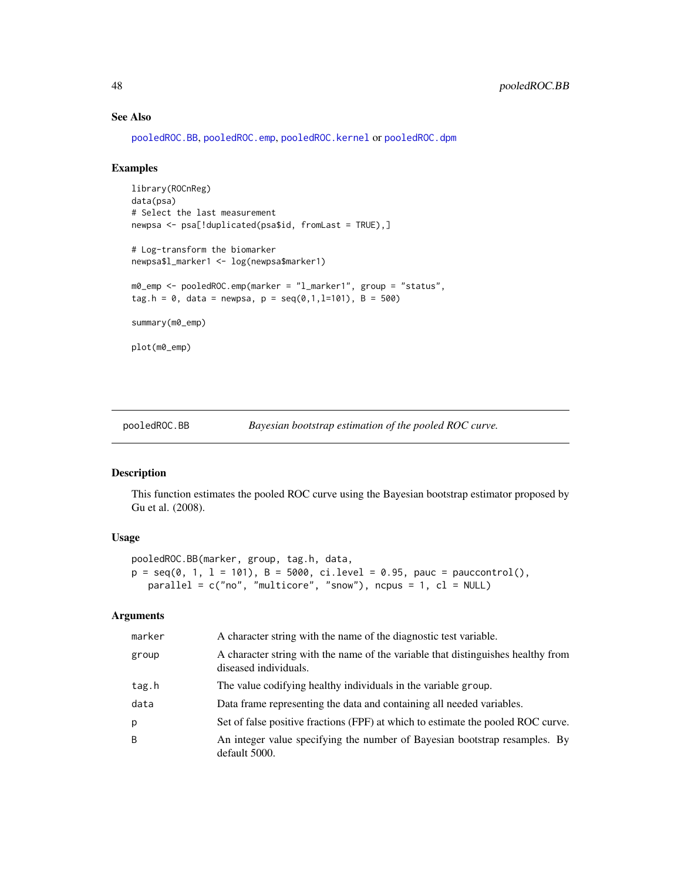# See Also

[pooledROC.BB](#page-47-0), [pooledROC.emp](#page-54-0), [pooledROC.kernel](#page-57-0) or [pooledROC.dpm](#page-50-0)

#### Examples

```
library(ROCnReg)
data(psa)
# Select the last measurement
newpsa <- psa[!duplicated(psa$id, fromLast = TRUE),]
# Log-transform the biomarker
newpsa$l_marker1 <- log(newpsa$marker1)
m0_emp <- pooledROC.emp(marker = "l_marker1", group = "status",
tag.h = 0, data = newpsa, p = \text{seq}(0, 1, 1=101), B = 500)
summary(m0_emp)
plot(m0_emp)
```
<span id="page-47-0"></span>pooledROC.BB *Bayesian bootstrap estimation of the pooled ROC curve.*

#### Description

This function estimates the pooled ROC curve using the Bayesian bootstrap estimator proposed by Gu et al. (2008).

# Usage

```
pooledROC.BB(marker, group, tag.h, data,
p = \text{seq}(0, 1, 1 = 101), B = 5000, \text{ ci. level} = 0.95, \text{ pauc} = \text{pauccontrol}(),parallel = c("no", "multicore", "snow"), ncpus = 1, cl = NULL)
```
## Arguments

| marker       | A character string with the name of the diagnostic test variable.                                         |
|--------------|-----------------------------------------------------------------------------------------------------------|
| group        | A character string with the name of the variable that distinguishes healthy from<br>diseased individuals. |
| tag.h        | The value codifying healthy individuals in the variable group.                                            |
| data         | Data frame representing the data and containing all needed variables.                                     |
| р            | Set of false positive fractions (FPF) at which to estimate the pooled ROC curve.                          |
| <sub>B</sub> | An integer value specifying the number of Bayesian bootstrap resamples. By<br>default 5000.               |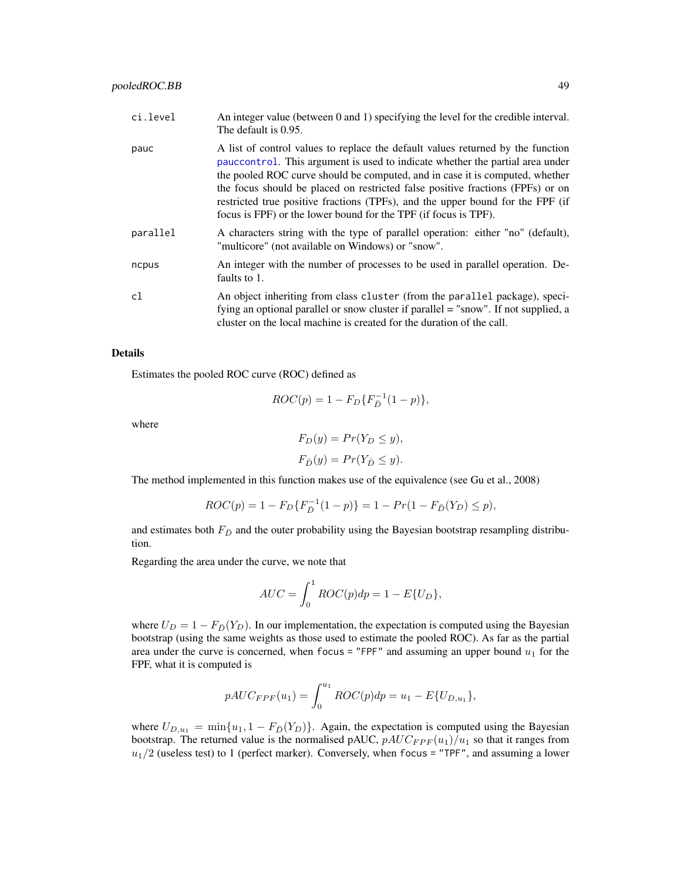| ci.level | An integer value (between 0 and 1) specifying the level for the credible interval.<br>The default is 0.95.                                                                                                                                                                                                                                                                                                                                                                               |
|----------|------------------------------------------------------------------------------------------------------------------------------------------------------------------------------------------------------------------------------------------------------------------------------------------------------------------------------------------------------------------------------------------------------------------------------------------------------------------------------------------|
| pauc     | A list of control values to replace the default values returned by the function<br>pauce ontrol. This argument is used to indicate whether the partial area under<br>the pooled ROC curve should be computed, and in case it is computed, whether<br>the focus should be placed on restricted false positive fractions (FPFs) or on<br>restricted true positive fractions (TPFs), and the upper bound for the FPF (if<br>focus is FPF) or the lower bound for the TPF (if focus is TPF). |
| parallel | A characters string with the type of parallel operation: either "no" (default),<br>"multicore" (not available on Windows) or "snow".                                                                                                                                                                                                                                                                                                                                                     |
| ncpus    | An integer with the number of processes to be used in parallel operation. De-<br>faults to 1.                                                                                                                                                                                                                                                                                                                                                                                            |
| cl       | An object inheriting from class cluster (from the parallel package), speci-<br>fying an optional parallel or snow cluster if parallel = "snow". If not supplied, a<br>cluster on the local machine is created for the duration of the call.                                                                                                                                                                                                                                              |

#### Details

Estimates the pooled ROC curve (ROC) defined as

$$
ROC(p) = 1 - F_D\{F_{\bar{D}}^{-1}(1-p)\},\,
$$

where

$$
F_D(y) = Pr(Y_D \le y),
$$
  

$$
F_{\bar{D}}(y) = Pr(Y_{\bar{D}} \le y).
$$

The method implemented in this function makes use of the equivalence (see Gu et al., 2008)

$$
ROC(p) = 1 - F_D\{F_{\bar{D}}^{-1}(1-p)\} = 1 - Pr(1 - F_{\bar{D}}(Y_D) \le p),
$$

and estimates both  $F_{\bar{D}}$  and the outer probability using the Bayesian bootstrap resampling distribution.

Regarding the area under the curve, we note that

$$
AUC = \int_0^1 ROC(p)dp = 1 - E\{U_D\},\,
$$

where  $U_D = 1 - F_{\overline{D}}(Y_D)$ . In our implementation, the expectation is computed using the Bayesian bootstrap (using the same weights as those used to estimate the pooled ROC). As far as the partial area under the curve is concerned, when focus = "FPF" and assuming an upper bound  $u_1$  for the FPF, what it is computed is

$$
pAUC_{FPF}(u_1) = \int_0^{u_1} ROC(p)dp = u_1 - E\{U_{D,u_1}\},
$$

where  $U_{D,u_1} = \min\{u_1, 1 - F_{\bar{D}}(Y_D)\}\$ . Again, the expectation is computed using the Bayesian bootstrap. The returned value is the normalised pAUC,  $pAUC_{FPF}(u_1)/u_1$  so that it ranges from  $u_1/2$  (useless test) to 1 (perfect marker). Conversely, when focus = "TPF", and assuming a lower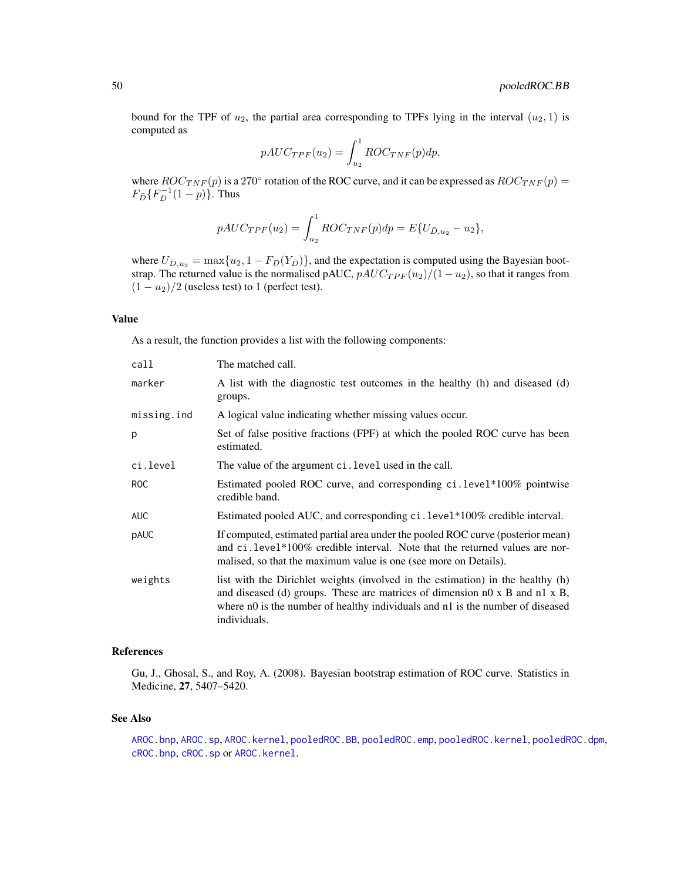bound for the TPF of  $u_2$ , the partial area corresponding to TPFs lying in the interval  $(u_2, 1)$  is computed as

$$
pAUC_{TPF}(u_2) = \int_{u_2}^{1} ROC_{TNF}(p)dp,
$$

where  $ROC_{TNF}(p)$  is a 270° rotation of the ROC curve, and it can be expressed as  $ROC_{TNF}(p)$  =  $F_{\bar{D}}\{F^{-1}(1-p)\}$ . Thus

$$
pAUC_{TPF}(u_2) = \int_{u_2}^{1} ROC_{TNF}(p)dp = E\{U_{\bar{D},u_2} - u_2\},\,
$$

where  $U_{\bar{D},u_2} = \max\{u_2, 1 - F_D(Y_{\bar{D}})\}\$ , and the expectation is computed using the Bayesian bootstrap. The returned value is the normalised pAUC,  $pAUC_{TPF}(u_2)/(1-u_2)$ , so that it ranges from  $(1 - u_2)/2$  (useless test) to 1 (perfect test).

# Value

As a result, the function provides a list with the following components:

| call        | The matched call.                                                                                                                                                                                                                                                               |
|-------------|---------------------------------------------------------------------------------------------------------------------------------------------------------------------------------------------------------------------------------------------------------------------------------|
| marker      | A list with the diagnostic test outcomes in the healthy (h) and diseased (d)<br>groups.                                                                                                                                                                                         |
| missing.ind | A logical value indicating whether missing values occur.                                                                                                                                                                                                                        |
| р           | Set of false positive fractions (FPF) at which the pooled ROC curve has been<br>estimated.                                                                                                                                                                                      |
| ci.level    | The value of the argument ci. level used in the call.                                                                                                                                                                                                                           |
| ROC         | Estimated pooled ROC curve, and corresponding ci.level*100% pointwise<br>credible band.                                                                                                                                                                                         |
| <b>AUC</b>  | Estimated pooled AUC, and corresponding ci. level*100% credible interval.                                                                                                                                                                                                       |
| pAUC        | If computed, estimated partial area under the pooled ROC curve (posterior mean)<br>and ci. level*100% credible interval. Note that the returned values are nor-<br>malised, so that the maximum value is one (see more on Details).                                             |
| weights     | list with the Dirichlet weights (involved in the estimation) in the healthy (h)<br>and diseased (d) groups. These are matrices of dimension $n0 \times B$ and $n1 \times B$ ,<br>where n0 is the number of healthy individuals and n1 is the number of diseased<br>individuals. |

#### References

Gu, J., Ghosal, S., and Roy, A. (2008). Bayesian bootstrap estimation of ROC curve. Statistics in Medicine, 27, 5407–5420.

#### See Also

[AROC.bnp](#page-3-0), [AROC.sp](#page-12-0), [AROC.kernel](#page-8-0), [pooledROC.BB](#page-47-0), [pooledROC.emp](#page-54-0), [pooledROC.kernel](#page-57-0), [pooledROC.dpm](#page-50-0), [cROC.bnp](#page-23-0), [cROC.sp](#page-33-0) or [AROC.kernel](#page-8-0).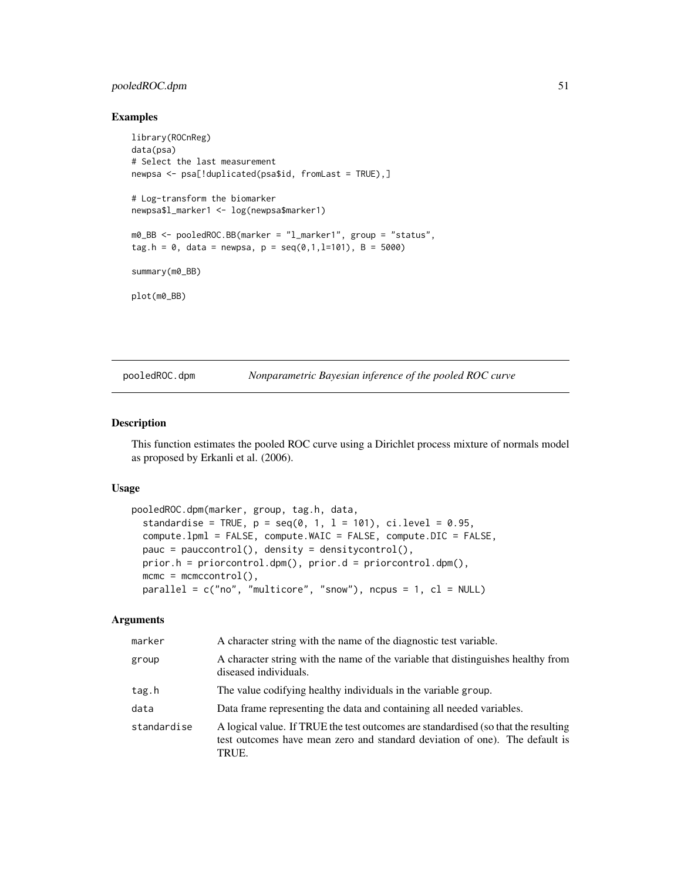# pooledROC.dpm 51

#### Examples

```
library(ROCnReg)
data(psa)
# Select the last measurement
newpsa <- psa[!duplicated(psa$id, fromLast = TRUE),]
# Log-transform the biomarker
newpsa$l_marker1 <- log(newpsa$marker1)
m0_BB <- pooledROC.BB(marker = "l_marker1", group = "status",
tag.h = 0, data = newpsa, p = \text{seq}(0,1,1=101), B = 5000)
summary(m0_BB)
plot(m0_BB)
```
<span id="page-50-0"></span>pooledROC.dpm *Nonparametric Bayesian inference of the pooled ROC curve*

# Description

This function estimates the pooled ROC curve using a Dirichlet process mixture of normals model as proposed by Erkanli et al. (2006).

#### Usage

```
pooledROC.dpm(marker, group, tag.h, data,
  standardise = TRUE, p = seq(0, 1, 1 = 101), ci.level = 0.95,
  compute.lpml = FALSE, compute.WAIC = FALSE, compute.DIC = FALSE,
 pauc = pauccontrol(), density = densitycontrol(),
 prior.h = priorcontrol.dpm(), prior.d = priorcontrol.dpm(),
 mcmc = mcmccontrol(),
 parallel = c("no", "multicore", "snow"), ncpus = 1, cl = NULL)
```
#### Arguments

| marker      | A character string with the name of the diagnostic test variable.                                                                                                          |
|-------------|----------------------------------------------------------------------------------------------------------------------------------------------------------------------------|
| group       | A character string with the name of the variable that distinguishes healthy from<br>diseased individuals.                                                                  |
| tag.h       | The value codifying healthy individuals in the variable group.                                                                                                             |
| data        | Data frame representing the data and containing all needed variables.                                                                                                      |
| standardise | A logical value. If TRUE the test outcomes are standardised (so that the resulting<br>test outcomes have mean zero and standard deviation of one). The default is<br>TRUE. |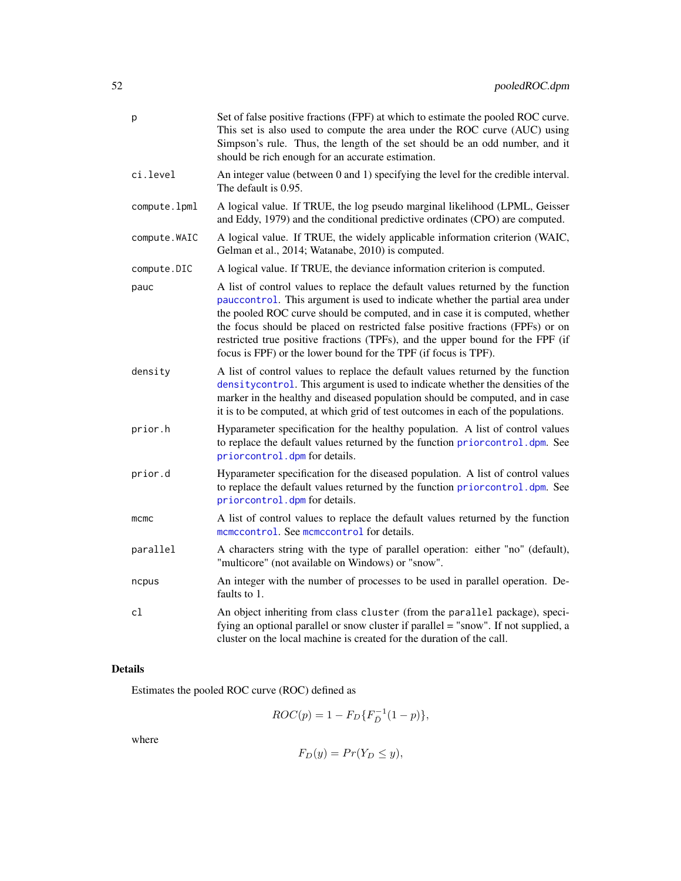| p             | Set of false positive fractions (FPF) at which to estimate the pooled ROC curve.<br>This set is also used to compute the area under the ROC curve (AUC) using<br>Simpson's rule. Thus, the length of the set should be an odd number, and it<br>should be rich enough for an accurate estimation.                                                                                                                                                                                       |
|---------------|-----------------------------------------------------------------------------------------------------------------------------------------------------------------------------------------------------------------------------------------------------------------------------------------------------------------------------------------------------------------------------------------------------------------------------------------------------------------------------------------|
| ci.level      | An integer value (between 0 and 1) specifying the level for the credible interval.<br>The default is 0.95.                                                                                                                                                                                                                                                                                                                                                                              |
| compute.lpml  | A logical value. If TRUE, the log pseudo marginal likelihood (LPML, Geisser<br>and Eddy, 1979) and the conditional predictive ordinates (CPO) are computed.                                                                                                                                                                                                                                                                                                                             |
| compute. WAIC | A logical value. If TRUE, the widely applicable information criterion (WAIC,<br>Gelman et al., 2014; Watanabe, 2010) is computed.                                                                                                                                                                                                                                                                                                                                                       |
| compute.DIC   | A logical value. If TRUE, the deviance information criterion is computed.                                                                                                                                                                                                                                                                                                                                                                                                               |
| pauc          | A list of control values to replace the default values returned by the function<br>pauccontrol. This argument is used to indicate whether the partial area under<br>the pooled ROC curve should be computed, and in case it is computed, whether<br>the focus should be placed on restricted false positive fractions (FPFs) or on<br>restricted true positive fractions (TPFs), and the upper bound for the FPF (if<br>focus is FPF) or the lower bound for the TPF (if focus is TPF). |
| density       | A list of control values to replace the default values returned by the function<br>density control. This argument is used to indicate whether the densities of the<br>marker in the healthy and diseased population should be computed, and in case<br>it is to be computed, at which grid of test outcomes in each of the populations.                                                                                                                                                 |
| prior.h       | Hyparameter specification for the healthy population. A list of control values<br>to replace the default values returned by the function priorcontrol.dpm. See<br>priorcontrol.dpm for details.                                                                                                                                                                                                                                                                                         |
| prior.d       | Hyparameter specification for the diseased population. A list of control values<br>to replace the default values returned by the function priorcontrol.dpm. See<br>priorcontrol.dpm for details.                                                                                                                                                                                                                                                                                        |
| mcmc          | A list of control values to replace the default values returned by the function<br>momocontrol. See momocontrol for details.                                                                                                                                                                                                                                                                                                                                                            |
| parallel      | A characters string with the type of parallel operation: either "no" (default),<br>"multicore" (not available on Windows) or "snow".                                                                                                                                                                                                                                                                                                                                                    |
| ncpus         | An integer with the number of processes to be used in parallel operation. De-<br>faults to 1.                                                                                                                                                                                                                                                                                                                                                                                           |
| cl            | An object inheriting from class cluster (from the parallel package), speci-<br>fying an optional parallel or snow cluster if parallel = "snow". If not supplied, a<br>cluster on the local machine is created for the duration of the call.                                                                                                                                                                                                                                             |

# Details

Estimates the pooled ROC curve (ROC) defined as

$$
ROC(p) = 1 - F_D\{F_{\bar{D}}^{-1}(1-p)\},\,
$$

where

$$
F_D(y) = Pr(Y_D \le y),
$$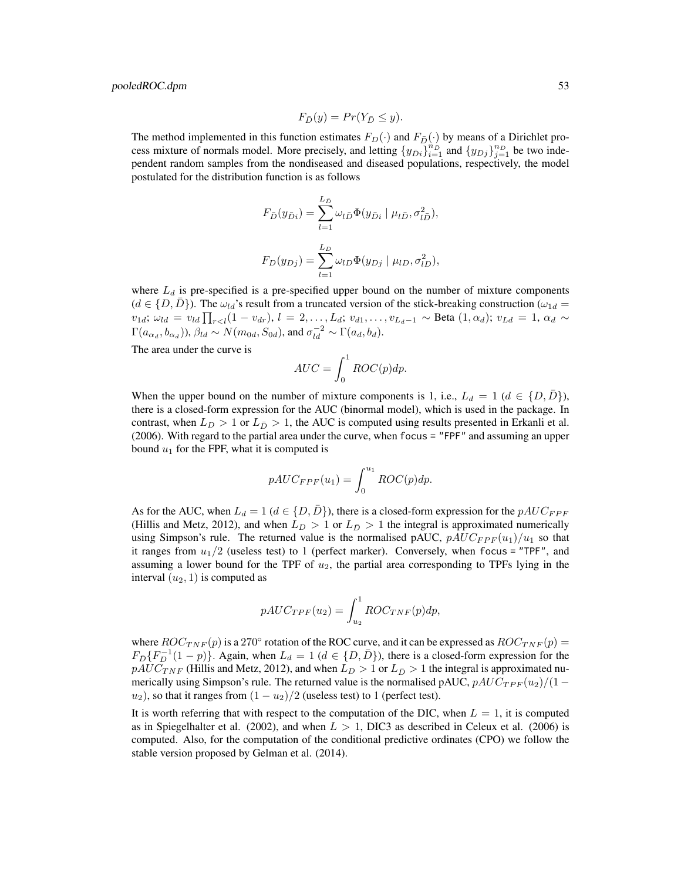$$
F_{\bar{D}}(y) = Pr(Y_{\bar{D}} \le y).
$$

The method implemented in this function estimates  $F_D(\cdot)$  and  $F_{\bar{D}}(\cdot)$  by means of a Dirichlet process mixture of normals model. More precisely, and letting  $\{y_{\bar{D}i}\}_{i=1}^{n_D}$  and  $\{y_{Dj}\}_{j=1}^{n_D}$  be two independent random samples from the nondiseased and diseased populations, respectively, the model postulated for the distribution function is as follows

$$
F_{\bar{D}}(y_{\bar{D}i}) = \sum_{l=1}^{L_{\bar{D}}} \omega_{l\bar{D}} \Phi(y_{\bar{D}i} | \mu_{l\bar{D}}, \sigma_{l\bar{D}}^2),
$$
  

$$
F_D(y_{Dj}) = \sum_{l=1}^{L_D} \omega_{lD} \Phi(y_{Dj} | \mu_{lD}, \sigma_{lD}^2),
$$

where  $L_d$  is pre-specified is a pre-specified upper bound on the number of mixture components  $(d \in \{D, D\})$ . The  $\omega_{ld}$ 's result from a truncated version of the stick-breaking construction  $(\omega_{1d} =$  $v_{1d}$ ;  $\omega_{ld} = v_{ld} \prod_{r < l} (1 - v_{dr}), l = 2, \ldots, L_d$ ;  $v_{d1}, \ldots, v_{L_d-1} \sim \text{Beta}(1, \alpha_d)$ ;  $v_{Ld} = 1, \alpha_d \sim$  $\Gamma(a_{\alpha_d},b_{\alpha_d}))$ ,  $\beta_{ld} \sim N(m_{0d},S_{0d})$ , and  $\sigma_{ld}^{-2} \sim \Gamma(a_d,b_d)$ .

The area under the curve is

$$
AUC = \int_0^1 ROC(p)dp.
$$

When the upper bound on the number of mixture components is 1, i.e.,  $L_d = 1$  ( $d \in \{D, D\}$ ), there is a closed-form expression for the AUC (binormal model), which is used in the package. In contrast, when  $L_D > 1$  or  $L_{\bar{D}} > 1$ , the AUC is computed using results presented in Erkanli et al. (2006). With regard to the partial area under the curve, when focus = "FPF" and assuming an upper bound  $u_1$  for the FPF, what it is computed is

$$
pAUC_{FPF}(u_1) = \int_0^{u_1} ROC(p)dp.
$$

As for the AUC, when  $L_d = 1$  ( $d \in \{D, \bar{D}\}\)$ , there is a closed-form expression for the  $pAUC_{FPF}$ (Hillis and Metz, 2012), and when  $L_D > 1$  or  $L_{\overline{D}} > 1$  the integral is approximated numerically using Simpson's rule. The returned value is the normalised pAUC,  $pAUC_{FPF}(u_1)/u_1$  so that it ranges from  $u_1/2$  (useless test) to 1 (perfect marker). Conversely, when focus = "TPF", and assuming a lower bound for the TPF of  $u_2$ , the partial area corresponding to TPFs lying in the interval  $(u_2, 1)$  is computed as

$$
pAUC_{TPF}(u_2) = \int_{u_2}^{1} ROC_{TNF}(p)dp,
$$

where  $ROC_{TNF}(p)$  is a 270° rotation of the ROC curve, and it can be expressed as  $ROC_{TNF}(p)$  =  $F_{\bar{D}}\{F_D^{-1}(1-p)\}\)$ . Again, when  $L_d = 1$  ( $d \in \{D, \bar{D}\}\)$ , there is a closed-form expression for the  $pAUC_{TNF}$  (Hillis and Metz, 2012), and when  $L_D > 1$  or  $L_{\bar{D}} > 1$  the integral is approximated numerically using Simpson's rule. The returned value is the normalised pAUC,  $pAUC_{TPF}(u_2)/(1$  $u_2$ ), so that it ranges from  $(1 - u_2)/2$  (useless test) to 1 (perfect test).

It is worth referring that with respect to the computation of the DIC, when  $L = 1$ , it is computed as in Spiegelhalter et al. (2002), and when  $L > 1$ , DIC3 as described in Celeux et al. (2006) is computed. Also, for the computation of the conditional predictive ordinates (CPO) we follow the stable version proposed by Gelman et al. (2014).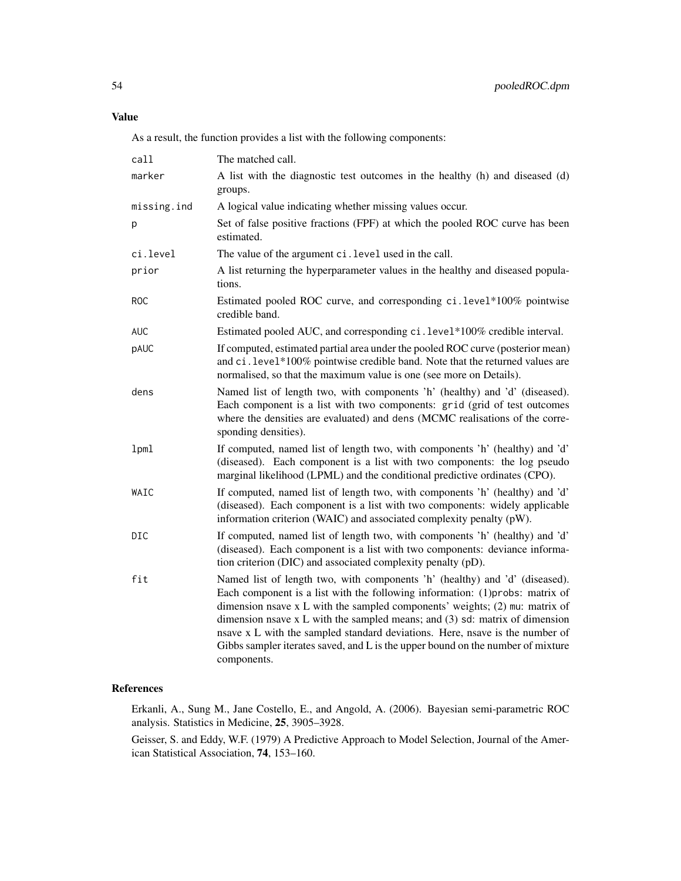# Value

As a result, the function provides a list with the following components:

| call        | The matched call.                                                                                                                                                                                                                                                                                                                                                                                                                                                                                             |
|-------------|---------------------------------------------------------------------------------------------------------------------------------------------------------------------------------------------------------------------------------------------------------------------------------------------------------------------------------------------------------------------------------------------------------------------------------------------------------------------------------------------------------------|
| marker      | A list with the diagnostic test outcomes in the healthy (h) and diseased (d)<br>groups.                                                                                                                                                                                                                                                                                                                                                                                                                       |
| missing.ind | A logical value indicating whether missing values occur.                                                                                                                                                                                                                                                                                                                                                                                                                                                      |
| p           | Set of false positive fractions (FPF) at which the pooled ROC curve has been<br>estimated.                                                                                                                                                                                                                                                                                                                                                                                                                    |
| ci.level    | The value of the argument ci. level used in the call.                                                                                                                                                                                                                                                                                                                                                                                                                                                         |
| prior       | A list returning the hyperparameter values in the healthy and diseased popula-<br>tions.                                                                                                                                                                                                                                                                                                                                                                                                                      |
| <b>ROC</b>  | Estimated pooled ROC curve, and corresponding ci.level*100% pointwise<br>credible band.                                                                                                                                                                                                                                                                                                                                                                                                                       |
| <b>AUC</b>  | Estimated pooled AUC, and corresponding ci. level*100% credible interval.                                                                                                                                                                                                                                                                                                                                                                                                                                     |
| pAUC        | If computed, estimated partial area under the pooled ROC curve (posterior mean)<br>and ci. level*100% pointwise credible band. Note that the returned values are<br>normalised, so that the maximum value is one (see more on Details).                                                                                                                                                                                                                                                                       |
| dens        | Named list of length two, with components 'h' (healthy) and 'd' (diseased).<br>Each component is a list with two components: grid (grid of test outcomes<br>where the densities are evaluated) and dens (MCMC realisations of the corre-<br>sponding densities).                                                                                                                                                                                                                                              |
| 1pml        | If computed, named list of length two, with components 'h' (healthy) and 'd'<br>(diseased). Each component is a list with two components: the log pseudo<br>marginal likelihood (LPML) and the conditional predictive ordinates (CPO).                                                                                                                                                                                                                                                                        |
| WAIC        | If computed, named list of length two, with components 'h' (healthy) and 'd'<br>(diseased). Each component is a list with two components: widely applicable<br>information criterion (WAIC) and associated complexity penalty (pW).                                                                                                                                                                                                                                                                           |
| DIC         | If computed, named list of length two, with components 'h' (healthy) and 'd'<br>(diseased). Each component is a list with two components: deviance informa-<br>tion criterion (DIC) and associated complexity penalty (pD).                                                                                                                                                                                                                                                                                   |
| fit         | Named list of length two, with components 'h' (healthy) and 'd' (diseased).<br>Each component is a list with the following information: (1)probs: matrix of<br>dimension nsave x L with the sampled components' weights; (2) mu: matrix of<br>dimension nsave $x L$ with the sampled means; and (3) sd: matrix of dimension<br>nsave x L with the sampled standard deviations. Here, nsave is the number of<br>Gibbs sampler iterates saved, and L is the upper bound on the number of mixture<br>components. |

# References

Erkanli, A., Sung M., Jane Costello, E., and Angold, A. (2006). Bayesian semi-parametric ROC analysis. Statistics in Medicine, 25, 3905–3928.

Geisser, S. and Eddy, W.F. (1979) A Predictive Approach to Model Selection, Journal of the American Statistical Association, 74, 153–160.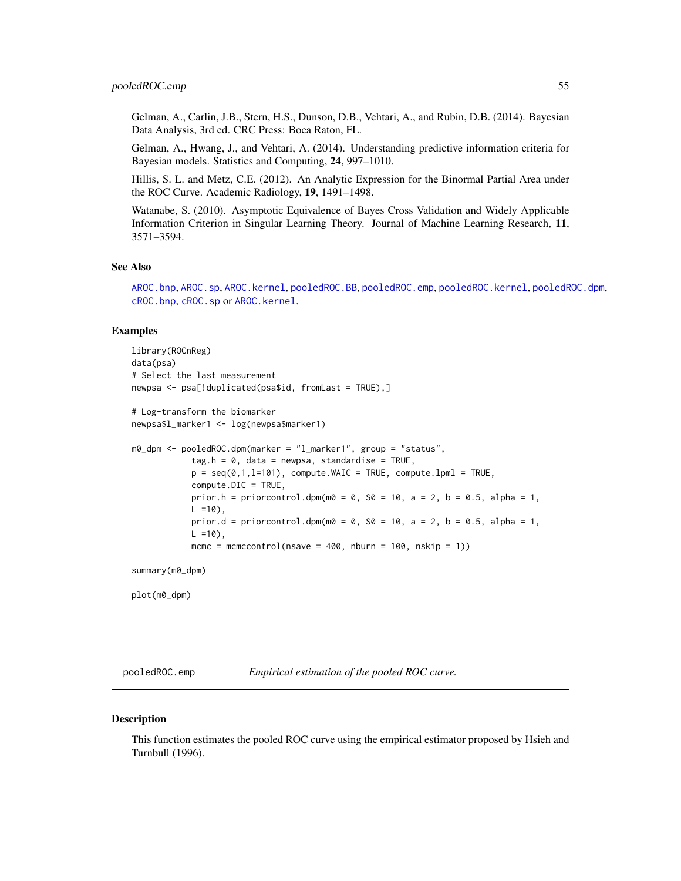Gelman, A., Carlin, J.B., Stern, H.S., Dunson, D.B., Vehtari, A., and Rubin, D.B. (2014). Bayesian Data Analysis, 3rd ed. CRC Press: Boca Raton, FL.

Gelman, A., Hwang, J., and Vehtari, A. (2014). Understanding predictive information criteria for Bayesian models. Statistics and Computing, 24, 997–1010.

Hillis, S. L. and Metz, C.E. (2012). An Analytic Expression for the Binormal Partial Area under the ROC Curve. Academic Radiology, 19, 1491–1498.

Watanabe, S. (2010). Asymptotic Equivalence of Bayes Cross Validation and Widely Applicable Information Criterion in Singular Learning Theory. Journal of Machine Learning Research, 11, 3571–3594.

#### See Also

[AROC.bnp](#page-3-0), [AROC.sp](#page-12-0), [AROC.kernel](#page-8-0), [pooledROC.BB](#page-47-0), [pooledROC.emp](#page-54-0), [pooledROC.kernel](#page-57-0), [pooledROC.dpm](#page-50-0), [cROC.bnp](#page-23-0), [cROC.sp](#page-33-0) or [AROC.kernel](#page-8-0).

#### Examples

```
library(ROCnReg)
data(psa)
# Select the last measurement
newpsa <- psa[!duplicated(psa$id, fromLast = TRUE),]
# Log-transform the biomarker
newpsa$l_marker1 <- log(newpsa$marker1)
m0_dpm <- pooledROC.dpm(marker = "l_marker1", group = "status",
            tag.h = 0, data = newpsa, standardise = TRUE,
            p = \text{seq}(0, 1, 1=101), compute. WAIC = TRUE, compute. 1pml = TRUE,
            compute.DIC = TRUE,
            prior.h = priorcontrol.dpm(m0 = 0, S0 = 10, a = 2, b = 0.5, alpha = 1,
            L = 10,
            prior.d = priorcontrol.dpm(m0 = 0, S0 = 10, a = 2, b = 0.5, alpha = 1,
            L = 10.
            mcmc = mcmccontrol(nsave = 400, nburn = 100, nskip = 1))
```
summary(m0\_dpm)

plot(m0\_dpm)

<span id="page-54-0"></span>pooledROC.emp *Empirical estimation of the pooled ROC curve.*

#### **Description**

This function estimates the pooled ROC curve using the empirical estimator proposed by Hsieh and Turnbull (1996).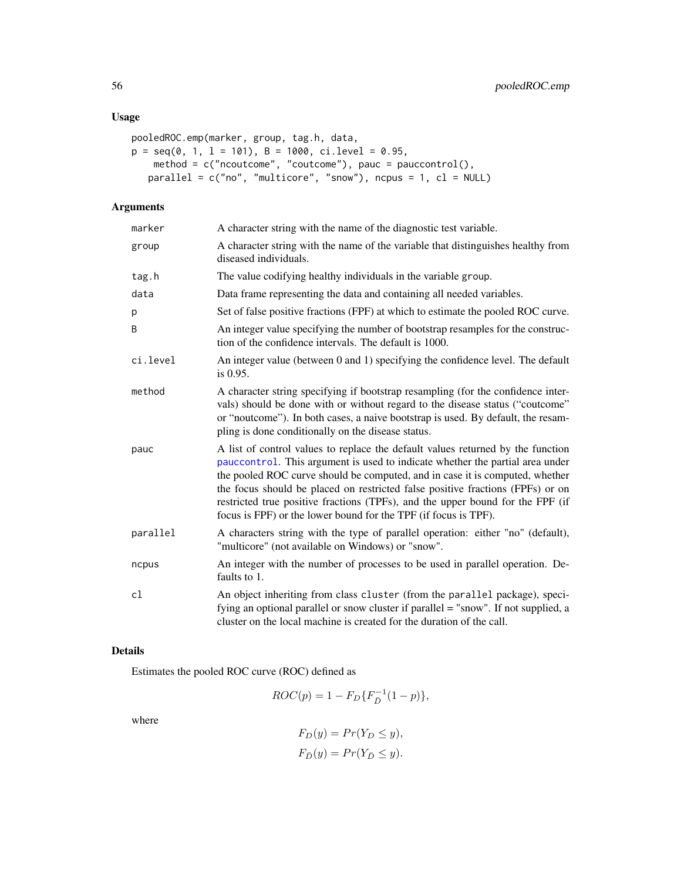# Usage

```
pooledROC.emp(marker, group, tag.h, data,
p = seq(0, 1, 1 = 101), B = 1000, ci. level = 0.95,method = c("ncoutcome", "coutcome"), pauc = pauccontrol(),
   parallel = c("no", "multicore", "snow"), ncpus = 1, cl = NULL)
```
# Arguments

| marker   | A character string with the name of the diagnostic test variable.                                                                                                                                                                                                                                                                                                                                                                                                                       |
|----------|-----------------------------------------------------------------------------------------------------------------------------------------------------------------------------------------------------------------------------------------------------------------------------------------------------------------------------------------------------------------------------------------------------------------------------------------------------------------------------------------|
| group    | A character string with the name of the variable that distinguishes healthy from<br>diseased individuals.                                                                                                                                                                                                                                                                                                                                                                               |
| tag.h    | The value codifying healthy individuals in the variable group.                                                                                                                                                                                                                                                                                                                                                                                                                          |
| data     | Data frame representing the data and containing all needed variables.                                                                                                                                                                                                                                                                                                                                                                                                                   |
| р        | Set of false positive fractions (FPF) at which to estimate the pooled ROC curve.                                                                                                                                                                                                                                                                                                                                                                                                        |
| B        | An integer value specifying the number of bootstrap resamples for the construc-<br>tion of the confidence intervals. The default is 1000.                                                                                                                                                                                                                                                                                                                                               |
| ci.level | An integer value (between 0 and 1) specifying the confidence level. The default<br>is 0.95.                                                                                                                                                                                                                                                                                                                                                                                             |
| method   | A character string specifying if bootstrap resampling (for the confidence inter-<br>vals) should be done with or without regard to the disease status ("coutcome"<br>or "noutcome"). In both cases, a naive bootstrap is used. By default, the resam-<br>pling is done conditionally on the disease status.                                                                                                                                                                             |
| pauc     | A list of control values to replace the default values returned by the function<br>pauccontrol. This argument is used to indicate whether the partial area under<br>the pooled ROC curve should be computed, and in case it is computed, whether<br>the focus should be placed on restricted false positive fractions (FPFs) or on<br>restricted true positive fractions (TPFs), and the upper bound for the FPF (if<br>focus is FPF) or the lower bound for the TPF (if focus is TPF). |
| parallel | A characters string with the type of parallel operation: either "no" (default),<br>"multicore" (not available on Windows) or "snow".                                                                                                                                                                                                                                                                                                                                                    |
| ncpus    | An integer with the number of processes to be used in parallel operation. De-<br>faults to 1.                                                                                                                                                                                                                                                                                                                                                                                           |
| cl       | An object inheriting from class cluster (from the parallel package), speci-<br>fying an optional parallel or snow cluster if parallel = "snow". If not supplied, a<br>cluster on the local machine is created for the duration of the call.                                                                                                                                                                                                                                             |

# Details

Estimates the pooled ROC curve (ROC) defined as

$$
ROC(p) = 1 - F_D\{F_D^{-1}(1 - p)\},\,
$$

where

$$
F_D(y) = Pr(Y_D \le y),
$$
  

$$
F_{\bar{D}}(y) = Pr(Y_{\bar{D}} \le y).
$$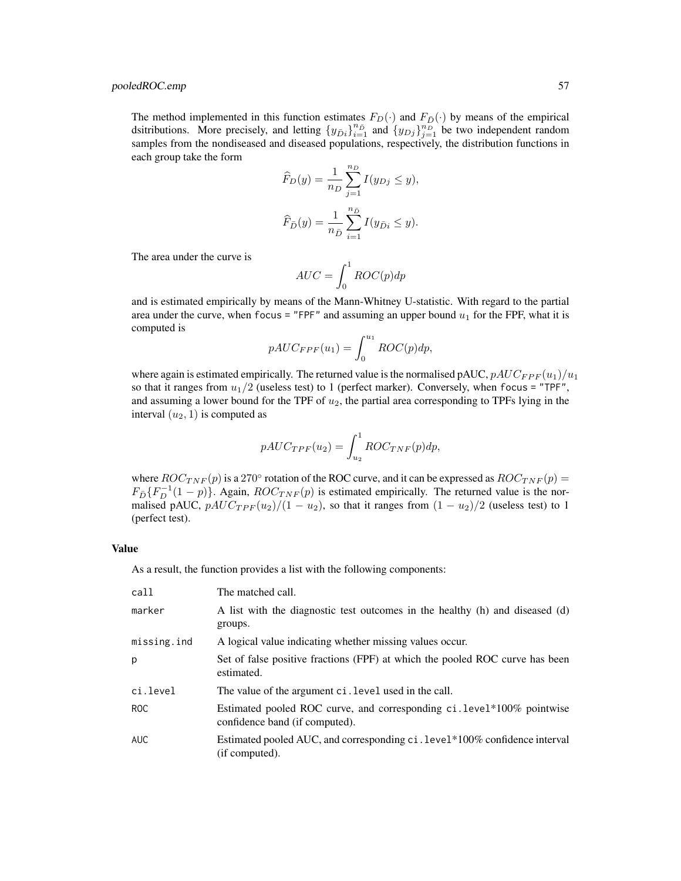# pooledROC.emp 57

The method implemented in this function estimates  $F_D(\cdot)$  and  $F_{\bar{D}}(\cdot)$  by means of the empirical dsitributions. More precisely, and letting  $\{y_{\bar{D}i}\}_{i=1}^{n_{\bar{D}}}$  and  $\{y_{Dj}\}_{j=1}^{n_{\bar{D}}}$  be two independent random samples from the nondiseased and diseased populations, respectively, the distribution functions in each group take the form

$$
\widehat{F}_D(y) = \frac{1}{n_D} \sum_{j=1}^{n_D} I(y_{Dj} \le y),
$$
  

$$
\widehat{F}_{\bar{D}}(y) = \frac{1}{n_{\bar{D}}} \sum_{i=1}^{n_{\bar{D}}} I(y_{\bar{D}i} \le y).
$$

The area under the curve is

$$
AUC = \int_0^1 ROC(p)dp
$$

and is estimated empirically by means of the Mann-Whitney U-statistic. With regard to the partial area under the curve, when focus = "FPF" and assuming an upper bound  $u_1$  for the FPF, what it is computed is

$$
pAUC_{FPF}(u_1) = \int_0^{u_1} ROC(p)dp,
$$

where again is estimated empirically. The returned value is the normalised pAUC,  $pAUC_{FPF}(u_1)/u_1$ so that it ranges from  $u_1/2$  (useless test) to 1 (perfect marker). Conversely, when focus = "TPF", and assuming a lower bound for the TPF of  $u_2$ , the partial area corresponding to TPFs lying in the interval  $(u_2, 1)$  is computed as

$$
pAUC_{TPF}(u_2) = \int_{u_2}^{1} ROC_{TNF}(p)dp,
$$

where  $ROC_{TNF}(p)$  is a 270° rotation of the ROC curve, and it can be expressed as  $ROC_{TNF}(p)$  =  $F_{\bar{D}}\{F_D^{-1}(1-p)\}\)$ . Again,  $ROC_{TNF}(p)$  is estimated empirically. The returned value is the normalised pAUC,  $pAUC_{TPF}(u_2)/(1-u_2)$ , so that it ranges from  $(1-u_2)/2$  (useless test) to 1 (perfect test).

## Value

As a result, the function provides a list with the following components:

| call        | The matched call.                                                                                       |
|-------------|---------------------------------------------------------------------------------------------------------|
| marker      | A list with the diagnostic test outcomes in the healthy (h) and diseased (d)<br>groups.                 |
| missing.ind | A logical value indicating whether missing values occur.                                                |
| p           | Set of false positive fractions (FPF) at which the pooled ROC curve has been<br>estimated.              |
| ci.level    | The value of the argument ci. level used in the call.                                                   |
| ROC         | Estimated pooled ROC curve, and corresponding ci.level*100% pointwise<br>confidence band (if computed). |
| <b>AUC</b>  | Estimated pooled AUC, and corresponding ci. level*100% confidence interval<br>(if computed).            |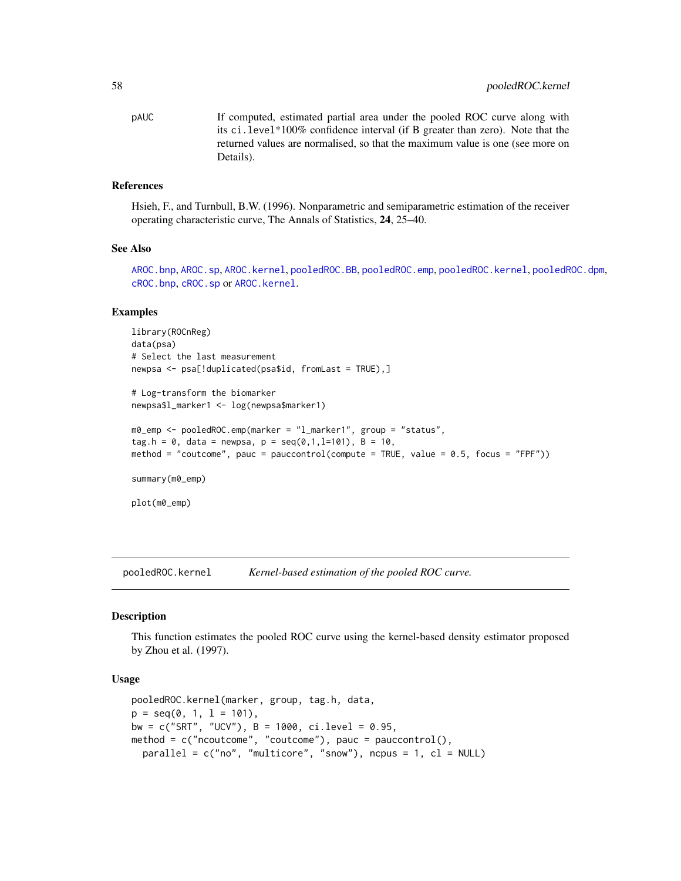pAUC If computed, estimated partial area under the pooled ROC curve along with its ci.level\*100% confidence interval (if B greater than zero). Note that the returned values are normalised, so that the maximum value is one (see more on Details).

#### References

Hsieh, F., and Turnbull, B.W. (1996). Nonparametric and semiparametric estimation of the receiver operating characteristic curve, The Annals of Statistics, 24, 25–40.

#### See Also

[AROC.bnp](#page-3-0), [AROC.sp](#page-12-0), [AROC.kernel](#page-8-0), [pooledROC.BB](#page-47-0), [pooledROC.emp](#page-54-0), [pooledROC.kernel](#page-57-0), [pooledROC.dpm](#page-50-0), [cROC.bnp](#page-23-0), [cROC.sp](#page-33-0) or [AROC.kernel](#page-8-0).

#### Examples

```
library(ROCnReg)
data(psa)
# Select the last measurement
newpsa <- psa[!duplicated(psa$id, fromLast = TRUE),]
# Log-transform the biomarker
newpsa$l_marker1 <- log(newpsa$marker1)
m0_emp <- pooledROC.emp(marker = "l_marker1", group = "status",
tag.h = 0, data = newpsa, p = seq(0, 1, l=101), B = 10,
method = "coutcome", pauc = pauccontrol(compute = TRUE, value = 0.5, focus = "FPF"))
summary(m0_emp)
plot(m0_emp)
```
<span id="page-57-0"></span>pooledROC.kernel *Kernel-based estimation of the pooled ROC curve.*

#### **Description**

This function estimates the pooled ROC curve using the kernel-based density estimator proposed by Zhou et al. (1997).

#### Usage

```
pooledROC.kernel(marker, group, tag.h, data,
p = seq(0, 1, 1 = 101),
bw = c("SRT", "UCV"), B = 1000, ci. level = 0.95,method = c("ncoutcome", "coutcome"), pauc = pauccontrol(),
  parallel = c("no", "multicore", "snow"), ncpus = 1, cl = NULL
```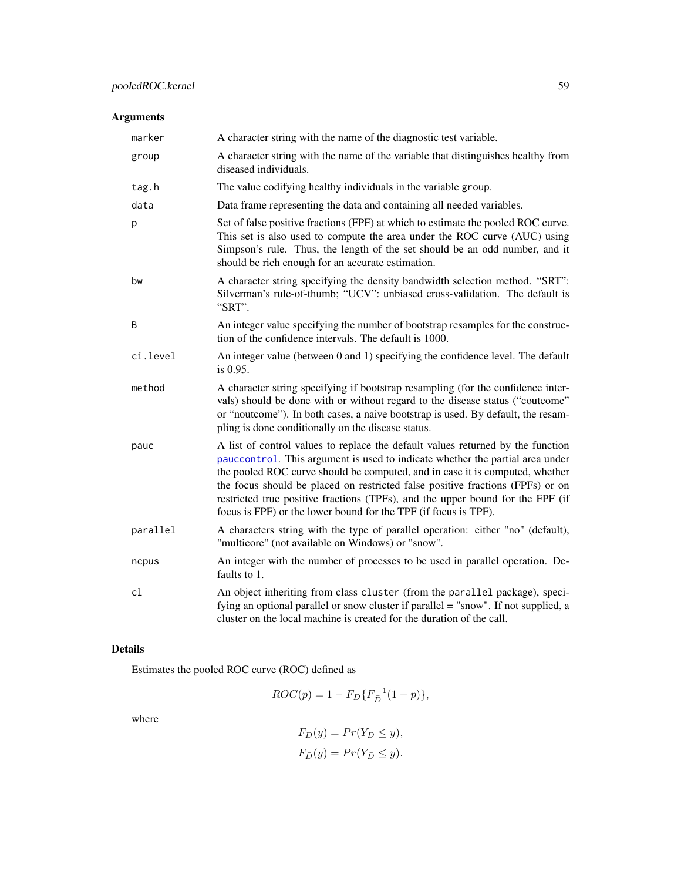# Arguments

| marker   | A character string with the name of the diagnostic test variable.                                                                                                                                                                                                                                                                                                                                                                                                                       |
|----------|-----------------------------------------------------------------------------------------------------------------------------------------------------------------------------------------------------------------------------------------------------------------------------------------------------------------------------------------------------------------------------------------------------------------------------------------------------------------------------------------|
| group    | A character string with the name of the variable that distinguishes healthy from<br>diseased individuals.                                                                                                                                                                                                                                                                                                                                                                               |
| tag.h    | The value codifying healthy individuals in the variable group.                                                                                                                                                                                                                                                                                                                                                                                                                          |
| data     | Data frame representing the data and containing all needed variables.                                                                                                                                                                                                                                                                                                                                                                                                                   |
| p        | Set of false positive fractions (FPF) at which to estimate the pooled ROC curve.<br>This set is also used to compute the area under the ROC curve (AUC) using<br>Simpson's rule. Thus, the length of the set should be an odd number, and it<br>should be rich enough for an accurate estimation.                                                                                                                                                                                       |
| bw       | A character string specifying the density bandwidth selection method. "SRT":<br>Silverman's rule-of-thumb; "UCV": unbiased cross-validation. The default is<br>"SRT".                                                                                                                                                                                                                                                                                                                   |
| B        | An integer value specifying the number of bootstrap resamples for the construc-<br>tion of the confidence intervals. The default is 1000.                                                                                                                                                                                                                                                                                                                                               |
| ci.level | An integer value (between 0 and 1) specifying the confidence level. The default<br>is 0.95.                                                                                                                                                                                                                                                                                                                                                                                             |
| method   | A character string specifying if bootstrap resampling (for the confidence inter-<br>vals) should be done with or without regard to the disease status ("coutcome"<br>or "noutcome"). In both cases, a naive bootstrap is used. By default, the resam-<br>pling is done conditionally on the disease status.                                                                                                                                                                             |
| pauc     | A list of control values to replace the default values returned by the function<br>pauccontrol. This argument is used to indicate whether the partial area under<br>the pooled ROC curve should be computed, and in case it is computed, whether<br>the focus should be placed on restricted false positive fractions (FPFs) or on<br>restricted true positive fractions (TPFs), and the upper bound for the FPF (if<br>focus is FPF) or the lower bound for the TPF (if focus is TPF). |
| parallel | A characters string with the type of parallel operation: either "no" (default),<br>"multicore" (not available on Windows) or "snow".                                                                                                                                                                                                                                                                                                                                                    |
| ncpus    | An integer with the number of processes to be used in parallel operation. De-<br>faults to 1.                                                                                                                                                                                                                                                                                                                                                                                           |
| cl       | An object inheriting from class cluster (from the parallel package), speci-<br>fying an optional parallel or snow cluster if parallel = "snow". If not supplied, a<br>cluster on the local machine is created for the duration of the call.                                                                                                                                                                                                                                             |

# Details

Estimates the pooled ROC curve (ROC) defined as

$$
ROC(p) = 1 - F_D\{F_{\bar{D}}^{-1}(1-p)\},\,
$$

where

$$
F_D(y) = Pr(Y_D \le y),
$$
  

$$
F_{\bar{D}}(y) = Pr(Y_{\bar{D}} \le y).
$$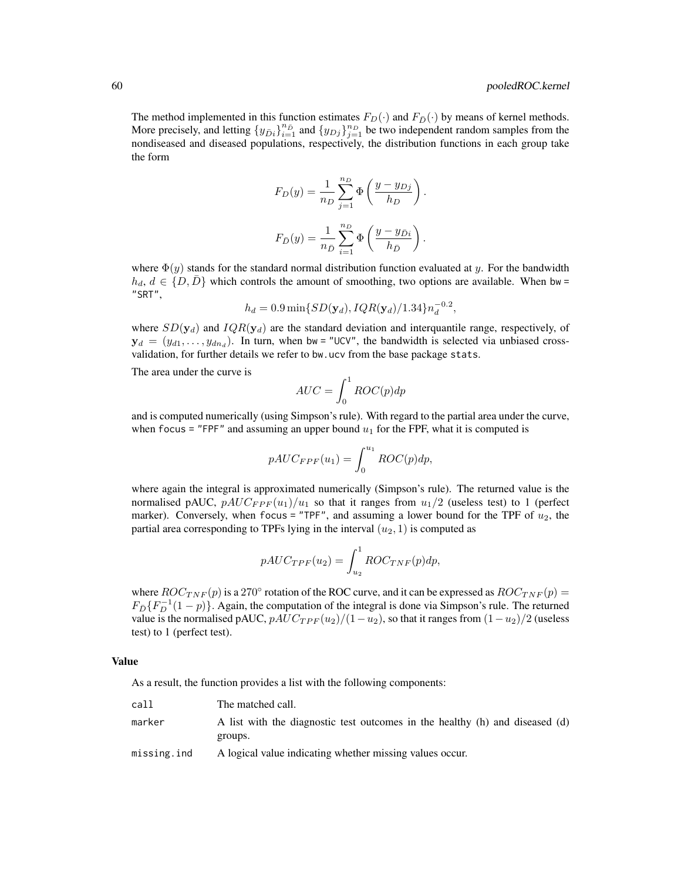The method implemented in this function estimates  $F_D(\cdot)$  and  $F_{\bar{D}}(\cdot)$  by means of kernel methods. More precisely, and letting  $\{y_{\bar{D}i}\}_{i=1}^{n_{\bar{D}}}$  and  $\{y_{Dj}\}_{j=1}^{n_{D}}$  be two independent random samples from the nondiseased and diseased populations, respectively, the distribution functions in each group take the form

$$
F_D(y) = \frac{1}{n_D} \sum_{j=1}^{n_D} \Phi\left(\frac{y - y_{Dj}}{h_D}\right).
$$
  

$$
F_{\bar{D}}(y) = \frac{1}{n_{\bar{D}}} \sum_{i=1}^{n_D} \Phi\left(\frac{y - y_{\bar{D}i}}{h_{\bar{D}}}\right).
$$

where  $\Phi(y)$  stands for the standard normal distribution function evaluated at y. For the bandwidth  $h_d, d \in \{D, D\}$  which controls the amount of smoothing, two options are available. When bw = "SRT",

$$
h_d = 0.9 \min\{SD(\mathbf{y}_d), IQR(\mathbf{y}_d)/1.34\} n_d^{-0.2},
$$

where  $SD(y_d)$  and  $IQR(y_d)$  are the standard deviation and interquantile range, respectively, of  $y_d = (y_{d1}, \dots, y_{dn_d})$ . In turn, when bw = "UCV", the bandwidth is selected via unbiased crossvalidation, for further details we refer to bw.ucv from the base package stats.

The area under the curve is

$$
AUC = \int_0^1 ROC(p)dp
$$

and is computed numerically (using Simpson's rule). With regard to the partial area under the curve, when focus = "FPF" and assuming an upper bound  $u_1$  for the FPF, what it is computed is

$$
pAUC_{FPF}(u_1) = \int_0^{u_1} ROC(p)dp,
$$

where again the integral is approximated numerically (Simpson's rule). The returned value is the normalised pAUC,  $pAUC_{FPF}(u_1)/u_1$  so that it ranges from  $u_1/2$  (useless test) to 1 (perfect marker). Conversely, when focus = "TPF", and assuming a lower bound for the TPF of  $u_2$ , the partial area corresponding to TPFs lying in the interval  $(u_2, 1)$  is computed as

$$
pAUC_{TPF}(u_2) = \int_{u_2}^{1} ROC_{TNF}(p)dp,
$$

where  $ROC_{TNF}(p)$  is a 270° rotation of the ROC curve, and it can be expressed as  $ROC_{TNF}(p)$  =  $F_{\bar{D}}\{F_D^{-1}(1-p)\}\)$ . Again, the computation of the integral is done via Simpson's rule. The returned value is the normalised pAUC,  $pAUC_{TPF}(u_2)/(1-u_2)$ , so that it ranges from  $(1-u_2)/2$  (useless test) to 1 (perfect test).

#### Value

As a result, the function provides a list with the following components:

| call        | The matched call.                                                                       |
|-------------|-----------------------------------------------------------------------------------------|
| marker      | A list with the diagnostic test outcomes in the healthy (h) and diseased (d)<br>groups. |
| missing.ind | A logical value indicating whether missing values occur.                                |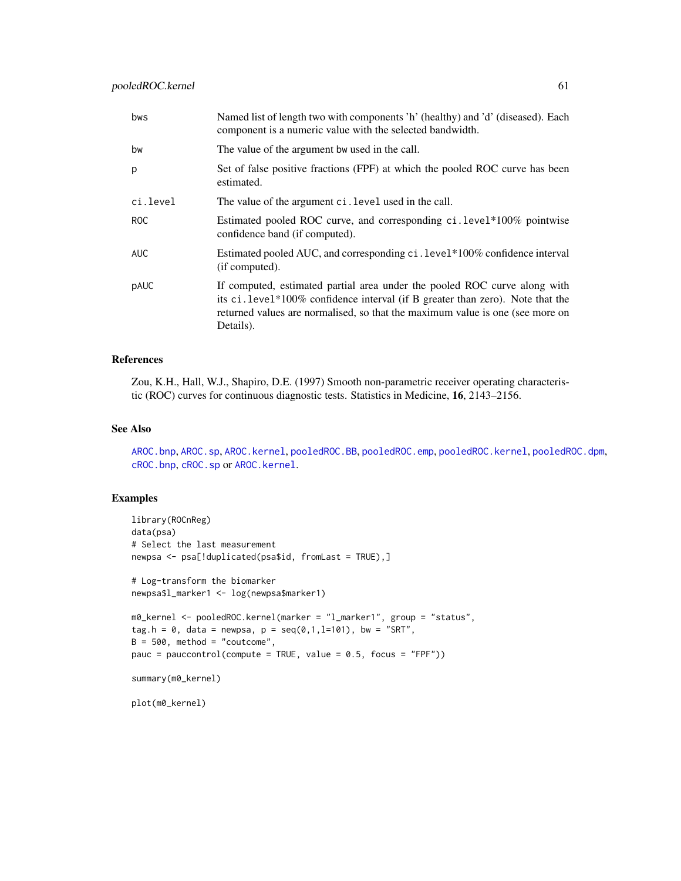| bws      | Named list of length two with components 'h' (healthy) and 'd' (diseased). Each<br>component is a numeric value with the selected bandwidth.                                                                                                              |
|----------|-----------------------------------------------------------------------------------------------------------------------------------------------------------------------------------------------------------------------------------------------------------|
| bw       | The value of the argument bw used in the call.                                                                                                                                                                                                            |
| p        | Set of false positive fractions (FPF) at which the pooled ROC curve has been<br>estimated.                                                                                                                                                                |
| ci.level | The value of the argument ci. level used in the call.                                                                                                                                                                                                     |
| ROC.     | Estimated pooled ROC curve, and corresponding ci.level*100% pointwise<br>confidence band (if computed).                                                                                                                                                   |
| AUC      | Estimated pooled AUC, and corresponding ci. level*100% confidence interval<br>(if computed).                                                                                                                                                              |
| pAUC     | If computed, estimated partial area under the pooled ROC curve along with<br>its ci. level*100% confidence interval (if B greater than zero). Note that the<br>returned values are normalised, so that the maximum value is one (see more on<br>Details). |

## References

Zou, K.H., Hall, W.J., Shapiro, D.E. (1997) Smooth non-parametric receiver operating characteristic (ROC) curves for continuous diagnostic tests. Statistics in Medicine, 16, 2143–2156.

# See Also

[AROC.bnp](#page-3-0), [AROC.sp](#page-12-0), [AROC.kernel](#page-8-0), [pooledROC.BB](#page-47-0), [pooledROC.emp](#page-54-0), [pooledROC.kernel](#page-57-0), [pooledROC.dpm](#page-50-0), [cROC.bnp](#page-23-0), [cROC.sp](#page-33-0) or [AROC.kernel](#page-8-0).

#### Examples

```
library(ROCnReg)
data(psa)
# Select the last measurement
newpsa <- psa[!duplicated(psa$id, fromLast = TRUE),]
# Log-transform the biomarker
newpsa$l_marker1 <- log(newpsa$marker1)
m0_kernel <- pooledROC.kernel(marker = "l_marker1", group = "status",
tag.h = 0, data = newpsa, p = \text{seq}(0,1,1=101), bw = "SRT",
B = 500, method = "coutcome",
pauc = pauccontrol(compute = TRUE, value = 0.5, focus = "FPF"))
summary(m0_kernel)
plot(m0_kernel)
```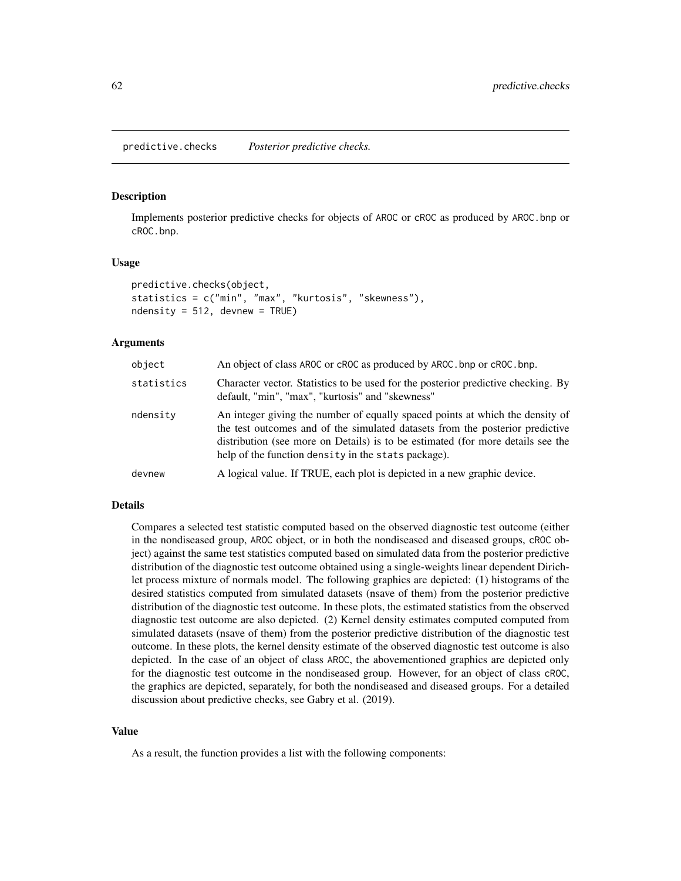Implements posterior predictive checks for objects of AROC or cROC as produced by AROC.bnp or cROC.bnp.

#### Usage

```
predictive.checks(object,
statistics = c("min", "max", "kurtosis", "skewness"),
ndensity = 512, devnew = TRUE)
```
#### Arguments

| object     | An object of class AROC or cROC as produced by AROC. bnp or cROC. bnp.                                                                                                                                                                                                                                   |
|------------|----------------------------------------------------------------------------------------------------------------------------------------------------------------------------------------------------------------------------------------------------------------------------------------------------------|
| statistics | Character vector. Statistics to be used for the posterior predictive checking. By<br>default, "min", "max", "kurtosis" and "skewness"                                                                                                                                                                    |
| ndensity   | An integer giving the number of equally spaced points at which the density of<br>the test outcomes and of the simulated datasets from the posterior predictive<br>distribution (see more on Details) is to be estimated (for more details see the<br>help of the function density in the stats package). |
| devnew     | A logical value. If TRUE, each plot is depicted in a new graphic device.                                                                                                                                                                                                                                 |

#### Details

Compares a selected test statistic computed based on the observed diagnostic test outcome (either in the nondiseased group, AROC object, or in both the nondiseased and diseased groups, cROC object) against the same test statistics computed based on simulated data from the posterior predictive distribution of the diagnostic test outcome obtained using a single-weights linear dependent Dirichlet process mixture of normals model. The following graphics are depicted: (1) histograms of the desired statistics computed from simulated datasets (nsave of them) from the posterior predictive distribution of the diagnostic test outcome. In these plots, the estimated statistics from the observed diagnostic test outcome are also depicted. (2) Kernel density estimates computed computed from simulated datasets (nsave of them) from the posterior predictive distribution of the diagnostic test outcome. In these plots, the kernel density estimate of the observed diagnostic test outcome is also depicted. In the case of an object of class AROC, the abovementioned graphics are depicted only for the diagnostic test outcome in the nondiseased group. However, for an object of class cROC, the graphics are depicted, separately, for both the nondiseased and diseased groups. For a detailed discussion about predictive checks, see Gabry et al. (2019).

#### Value

As a result, the function provides a list with the following components: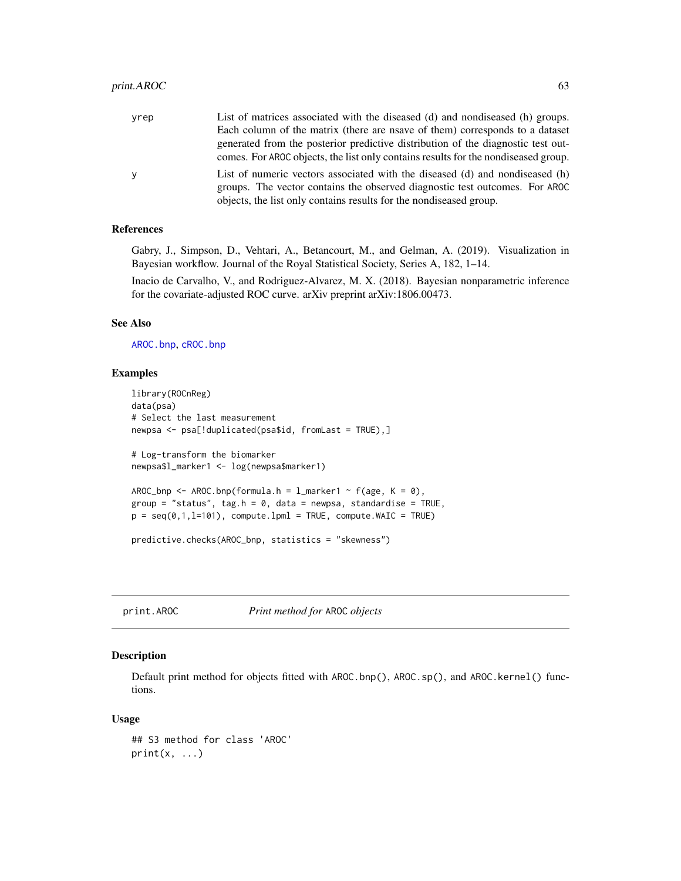| yrep | List of matrices associated with the diseased (d) and nondiseased (h) groups.      |
|------|------------------------------------------------------------------------------------|
|      | Each column of the matrix (there are nsave of them) corresponds to a dataset       |
|      | generated from the posterior predictive distribution of the diagnostic test out-   |
|      | comes. For AROC objects, the list only contains results for the nondiseased group. |
| V    | List of numeric vectors associated with the diseased (d) and nondiseased (h)       |
|      | groups. The vector contains the observed diagnostic test outcomes. For AROC        |
|      | objects, the list only contains results for the nondiseased group.                 |

## References

Gabry, J., Simpson, D., Vehtari, A., Betancourt, M., and Gelman, A. (2019). Visualization in Bayesian workflow. Journal of the Royal Statistical Society, Series A, 182, 1–14.

Inacio de Carvalho, V., and Rodriguez-Alvarez, M. X. (2018). Bayesian nonparametric inference for the covariate-adjusted ROC curve. arXiv preprint arXiv:1806.00473.

# See Also

[AROC.bnp](#page-3-0), [cROC.bnp](#page-23-0)

# Examples

```
library(ROCnReg)
data(psa)
# Select the last measurement
newpsa <- psa[!duplicated(psa$id, fromLast = TRUE),]
# Log-transform the biomarker
newpsa$l_marker1 <- log(newpsa$marker1)
AROC_bnp <- AROC.bnp(formula.h = l_marker1 ~ f(age, K = 0),
group = "status", tag.h = \theta, data = newpsa, standardise = TRUE,
p = seq(0, 1, l=101), compute.lpml = TRUE, compute.WAIC = TRUE)
predictive.checks(AROC_bnp, statistics = "skewness")
```
print.AROC *Print method for* AROC *objects*

#### Description

Default print method for objects fitted with AROC.bnp(), AROC.sp(), and AROC.kernel() functions.

#### Usage

```
## S3 method for class 'AROC'
print(x, \ldots)
```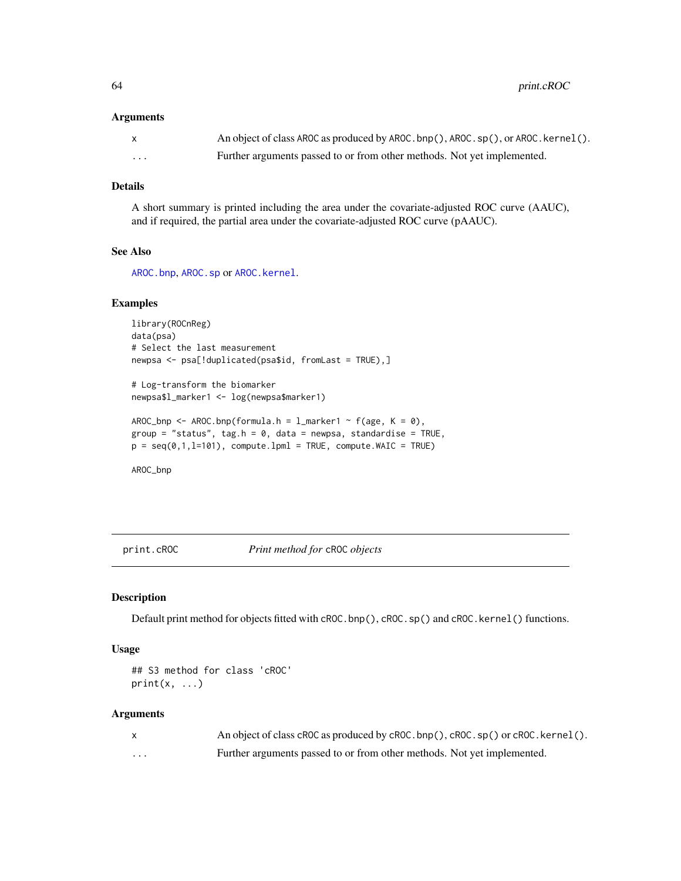64 print.cROC

#### Arguments

| $\mathsf{x}$ | An object of class AROC as produced by AROC. bnp(), AROC. sp(), or AROC. kernel(). |
|--------------|------------------------------------------------------------------------------------|
| .            | Further arguments passed to or from other methods. Not yet implemented.            |

# Details

A short summary is printed including the area under the covariate-adjusted ROC curve (AAUC), and if required, the partial area under the covariate-adjusted ROC curve (pAAUC).

#### See Also

[AROC.bnp](#page-3-0), [AROC.sp](#page-12-0) or [AROC.kernel](#page-8-0).

#### Examples

```
library(ROCnReg)
data(psa)
# Select the last measurement
newpsa <- psa[!duplicated(psa$id, fromLast = TRUE),]
```

```
# Log-transform the biomarker
newpsa$l_marker1 <- log(newpsa$marker1)
```

```
AROC_bnp <- AROC.bnp(formula.h = l_marker1 ~ f(age, K = 0),
group = "status", tag.h = 0, data = newpsa, standardise = TRUE,
p = seq(0, 1, l=101), compute.lpml = TRUE, compute.WAIC = TRUE)
```
AROC\_bnp

print.cROC *Print method for* cROC *objects*

#### Description

Default print method for objects fitted with cROC.bnp(), cROC.sp() and cROC.kernel() functions.

#### Usage

```
## S3 method for class 'cROC'
print(x, \ldots)
```
#### Arguments

|         | An object of class cROC as produced by cROC. bnp(), cROC. sp() or cROC. kernel(). |
|---------|-----------------------------------------------------------------------------------|
| $\cdot$ | Further arguments passed to or from other methods. Not yet implemented.           |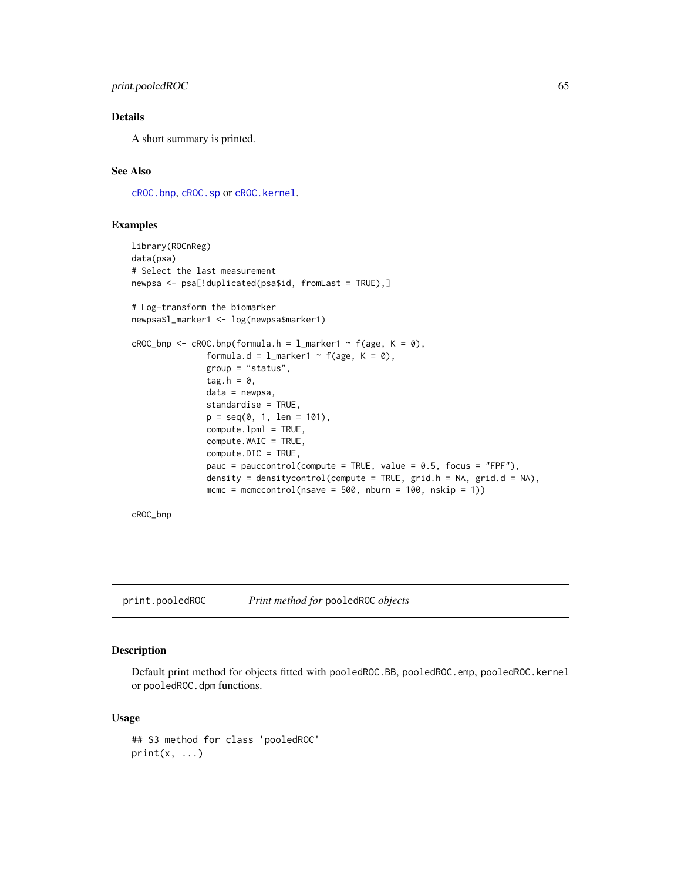# print.pooledROC 65

# Details

A short summary is printed.

# See Also

[cROC.bnp](#page-23-0), [cROC.sp](#page-33-0) or [cROC.kernel](#page-29-0).

#### Examples

```
library(ROCnReg)
data(psa)
# Select the last measurement
newpsa <- psa[!duplicated(psa$id, fromLast = TRUE),]
# Log-transform the biomarker
newpsa$l_marker1 <- log(newpsa$marker1)
cROC\_bnp \leftarrow cROC.bnp(formula.h = 1_matrix + 1 \right) f(age, K = 0),
               formula.d = l_marker1 ~ f(age, K = 0),
               group = "status",
               tag.h = \theta,
               data = newpsa,
               standardise = TRUE,
               p = seq(0, 1, len = 101),
               compute.lpml = TRUE,
               compute.WAIC = TRUE,
               compute.DIC = TRUE,
               pauc = pauccontrol(compute = TRUE, value = 0.5, focus = "FPF"),
               density = densitycontrol(compute = TRUE, grid.h = NA, grid.d = NA),
               mcmc = mcmccontrol(nsave = 500, nburn = 100, nskip = 1))
```
cROC\_bnp

print.pooledROC *Print method for* pooledROC *objects*

#### Description

Default print method for objects fitted with pooledROC.BB, pooledROC.emp, pooledROC.kernel or pooledROC.dpm functions.

#### Usage

```
## S3 method for class 'pooledROC'
print(x, \ldots)
```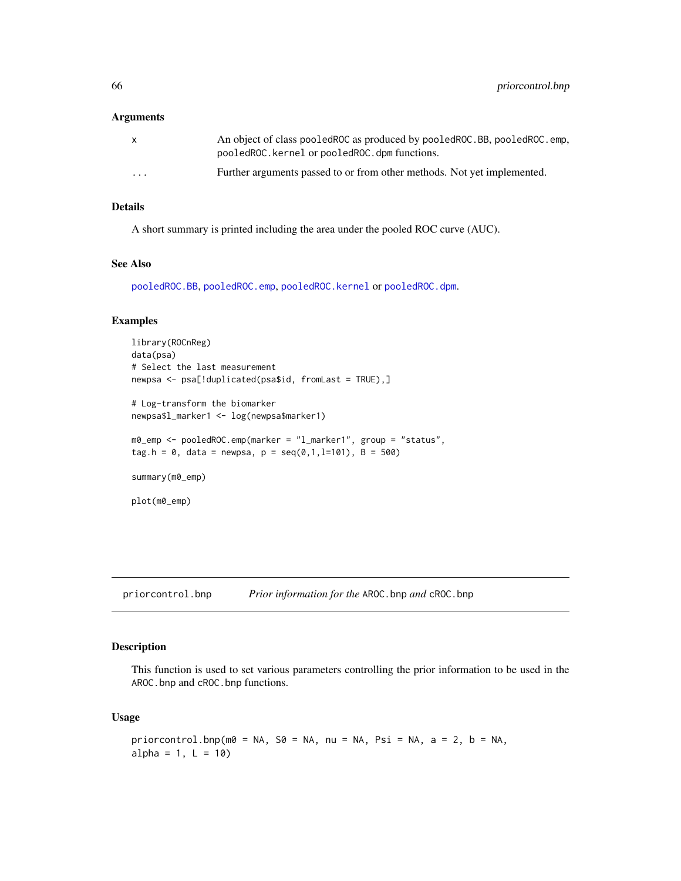#### Arguments

| $\mathsf{x}$            | An object of class pooled ROC as produced by pooled ROC. BB, pooled ROC. emp.<br>pooledROC.kernel or pooledROC.dpm functions. |
|-------------------------|-------------------------------------------------------------------------------------------------------------------------------|
| $\cdot$ $\cdot$ $\cdot$ | Further arguments passed to or from other methods. Not yet implemented.                                                       |

# Details

A short summary is printed including the area under the pooled ROC curve (AUC).

# See Also

[pooledROC.BB](#page-47-0), [pooledROC.emp](#page-54-0), [pooledROC.kernel](#page-57-0) or [pooledROC.dpm](#page-50-0).

# Examples

```
library(ROCnReg)
data(psa)
# Select the last measurement
newpsa <- psa[!duplicated(psa$id, fromLast = TRUE),]
# Log-transform the biomarker
newpsa$l_marker1 <- log(newpsa$marker1)
m0_emp <- pooledROC.emp(marker = "l_marker1", group = "status",
tag.h = 0, data = newpsa, p = \text{seq}(0,1,1=101), B = 500)
summary(m0_emp)
plot(m0_emp)
```
priorcontrol.bnp *Prior information for the* AROC.bnp *and* cROC.bnp

#### Description

This function is used to set various parameters controlling the prior information to be used in the AROC.bnp and cROC.bnp functions.

#### Usage

```
priorcontrol.bnp(m0 = NA, S0 = NA, nu = NA, Psi = NA, a = 2, b = NA,
alpha = 1, L = 10)
```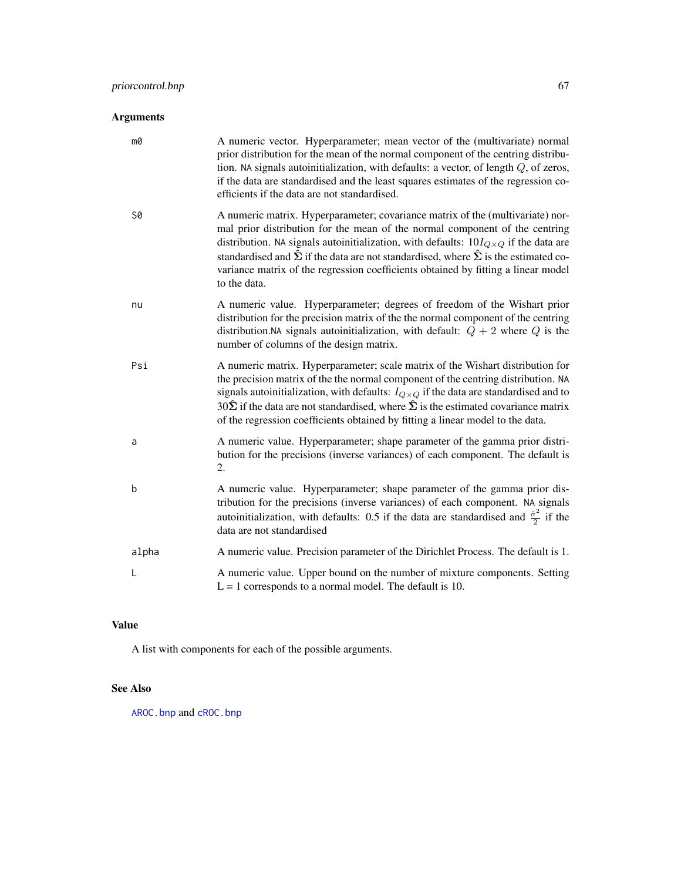# Arguments

| mØ    | A numeric vector. Hyperparameter; mean vector of the (multivariate) normal<br>prior distribution for the mean of the normal component of the centring distribu-<br>tion. NA signals autoinitialization, with defaults: a vector, of length $Q$ , of zeros,<br>if the data are standardised and the least squares estimates of the regression co-<br>efficients if the data are not standardised.                                                                                   |
|-------|------------------------------------------------------------------------------------------------------------------------------------------------------------------------------------------------------------------------------------------------------------------------------------------------------------------------------------------------------------------------------------------------------------------------------------------------------------------------------------|
| S0    | A numeric matrix. Hyperparameter; covariance matrix of the (multivariate) nor-<br>mal prior distribution for the mean of the normal component of the centring<br>distribution. NA signals autoinitialization, with defaults: $10I_{Q\times Q}$ if the data are<br>standardised and $\hat{\Sigma}$ if the data are not standardised, where $\hat{\Sigma}$ is the estimated co-<br>variance matrix of the regression coefficients obtained by fitting a linear model<br>to the data. |
| nu    | A numeric value. Hyperparameter; degrees of freedom of the Wishart prior<br>distribution for the precision matrix of the the normal component of the centring<br>distribution. NA signals autoinitialization, with default: $Q + 2$ where Q is the<br>number of columns of the design matrix.                                                                                                                                                                                      |
| Psi   | A numeric matrix. Hyperparameter; scale matrix of the Wishart distribution for<br>the precision matrix of the the normal component of the centring distribution. NA<br>signals autoinitialization, with defaults: $I_{Q\times Q}$ if the data are standardised and to<br>$30\hat{\Sigma}$ if the data are not standardised, where $\hat{\Sigma}$ is the estimated covariance matrix<br>of the regression coefficients obtained by fitting a linear model to the data.              |
| a     | A numeric value. Hyperparameter; shape parameter of the gamma prior distri-<br>bution for the precisions (inverse variances) of each component. The default is<br>2.                                                                                                                                                                                                                                                                                                               |
| b     | A numeric value. Hyperparameter; shape parameter of the gamma prior dis-<br>tribution for the precisions (inverse variances) of each component. NA signals<br>autoinitialization, with defaults: 0.5 if the data are standardised and $\frac{\hat{\sigma}^2}{2}$ if the<br>data are not standardised                                                                                                                                                                               |
| alpha | A numeric value. Precision parameter of the Dirichlet Process. The default is 1.                                                                                                                                                                                                                                                                                                                                                                                                   |
| L     | A numeric value. Upper bound on the number of mixture components. Setting<br>$L = 1$ corresponds to a normal model. The default is 10.                                                                                                                                                                                                                                                                                                                                             |

# Value

A list with components for each of the possible arguments.

# See Also

[AROC.bnp](#page-3-0) and [cROC.bnp](#page-23-0)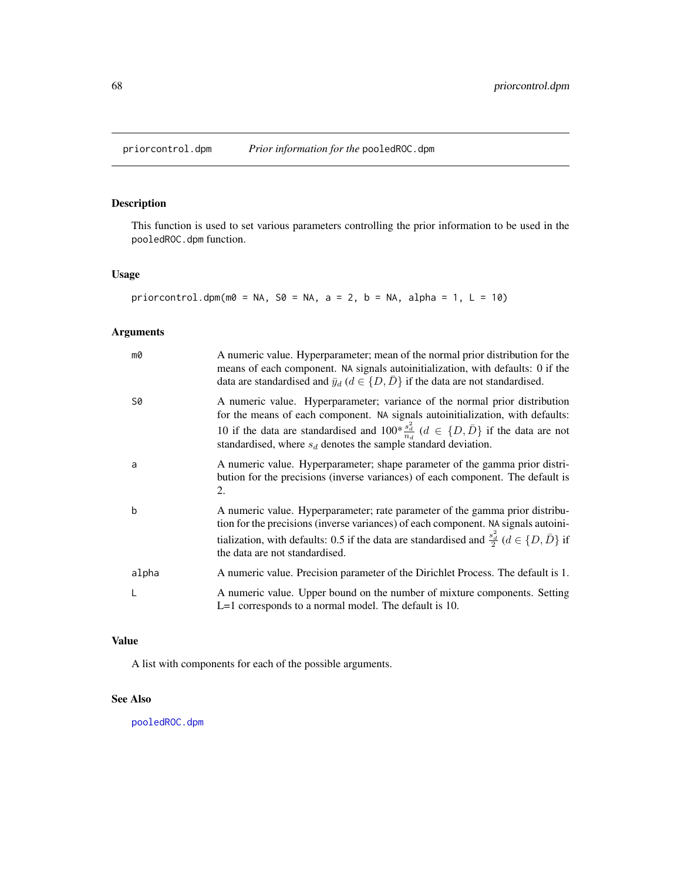<span id="page-67-0"></span>

This function is used to set various parameters controlling the prior information to be used in the pooledROC.dpm function.

# Usage

priorcontrol.dpm(m0 = NA, S0 = NA, a = 2, b = NA, alpha = 1, L = 10)

# Arguments

| m0    | A numeric value. Hyperparameter; mean of the normal prior distribution for the<br>means of each component. NA signals autoinitialization, with defaults: 0 if the<br>data are standardised and $\bar{y}_d$ ( $d \in \{D, \bar{D}\}\$ if the data are not standardised.                                                                          |
|-------|-------------------------------------------------------------------------------------------------------------------------------------------------------------------------------------------------------------------------------------------------------------------------------------------------------------------------------------------------|
| S0    | A numeric value. Hyperparameter; variance of the normal prior distribution<br>for the means of each component. NA signals autoinitialization, with defaults:<br>10 if the data are standardised and $100 * \frac{s_d^2}{n_d}$ ( $d \in \{D, \bar{D}\}\$ if the data are not<br>standardised, where $s_d$ denotes the sample standard deviation. |
| a     | A numeric value. Hyperparameter; shape parameter of the gamma prior distri-<br>bution for the precisions (inverse variances) of each component. The default is<br>2.                                                                                                                                                                            |
| b     | A numeric value. Hyperparameter; rate parameter of the gamma prior distribu-<br>tion for the precisions (inverse variances) of each component. NA signals autoini-<br>tialization, with defaults: 0.5 if the data are standardised and $\frac{s_d^2}{2}$ ( $d \in \{D, \bar{D}\}\$ if<br>the data are not standardised.                         |
| alpha | A numeric value. Precision parameter of the Dirichlet Process. The default is 1.                                                                                                                                                                                                                                                                |
|       | A numeric value. Upper bound on the number of mixture components. Setting<br>$L=1$ corresponds to a normal model. The default is 10.                                                                                                                                                                                                            |

#### Value

A list with components for each of the possible arguments.

## See Also

[pooledROC.dpm](#page-50-0)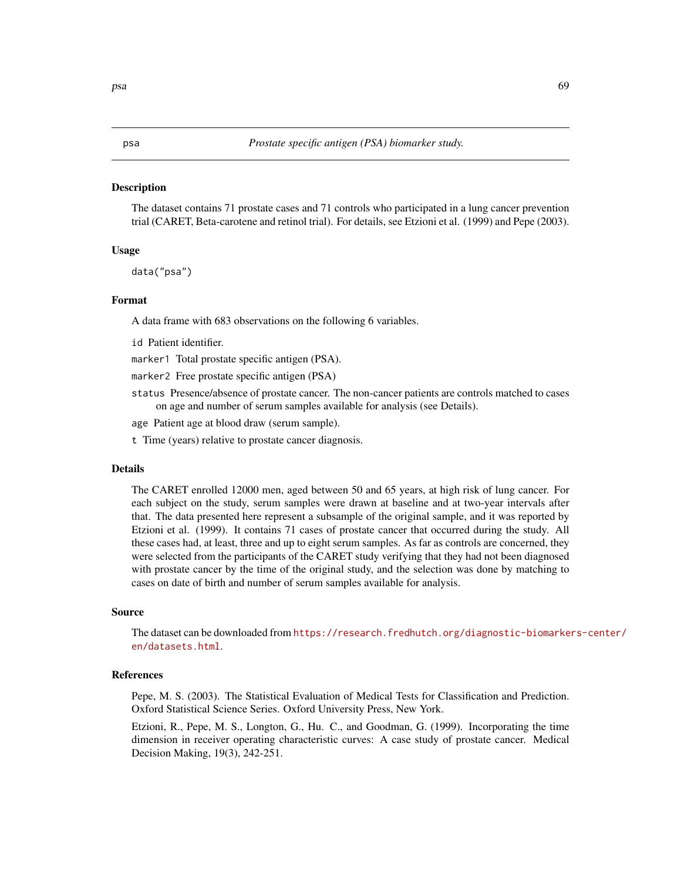The dataset contains 71 prostate cases and 71 controls who participated in a lung cancer prevention trial (CARET, Beta-carotene and retinol trial). For details, see Etzioni et al. (1999) and Pepe (2003).

#### Usage

data("psa")

## Format

A data frame with 683 observations on the following 6 variables.

id Patient identifier.

marker1 Total prostate specific antigen (PSA).

marker2 Free prostate specific antigen (PSA)

- status Presence/absence of prostate cancer. The non-cancer patients are controls matched to cases on age and number of serum samples available for analysis (see Details).
- age Patient age at blood draw (serum sample).
- t Time (years) relative to prostate cancer diagnosis.

#### Details

The CARET enrolled 12000 men, aged between 50 and 65 years, at high risk of lung cancer. For each subject on the study, serum samples were drawn at baseline and at two-year intervals after that. The data presented here represent a subsample of the original sample, and it was reported by Etzioni et al. (1999). It contains 71 cases of prostate cancer that occurred during the study. All these cases had, at least, three and up to eight serum samples. As far as controls are concerned, they were selected from the participants of the CARET study verifying that they had not been diagnosed with prostate cancer by the time of the original study, and the selection was done by matching to cases on date of birth and number of serum samples available for analysis.

#### Source

The dataset can be downloaded from [https://research.fredhutch.org/diagnostic-biomarke](https://research.fredhutch.org/diagnostic-biomarkers-center/en/datasets.html)rs-center/ [en/datasets.html](https://research.fredhutch.org/diagnostic-biomarkers-center/en/datasets.html).

#### References

Pepe, M. S. (2003). The Statistical Evaluation of Medical Tests for Classification and Prediction. Oxford Statistical Science Series. Oxford University Press, New York.

Etzioni, R., Pepe, M. S., Longton, G., Hu. C., and Goodman, G. (1999). Incorporating the time dimension in receiver operating characteristic curves: A case study of prostate cancer. Medical Decision Making, 19(3), 242-251.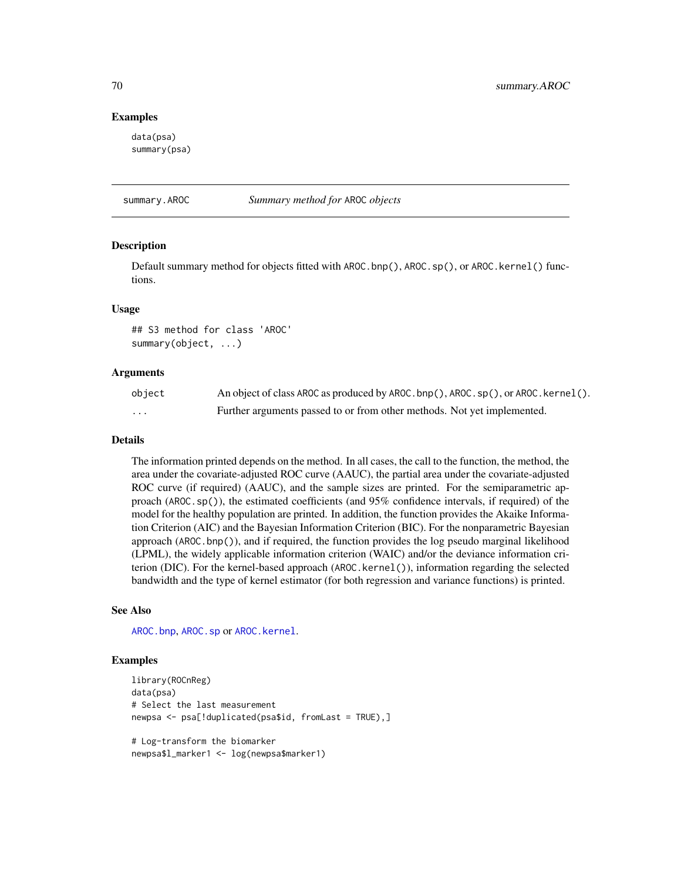#### Examples

data(psa) summary(psa)

summary.AROC *Summary method for* AROC *objects*

#### Description

Default summary method for objects fitted with AROC.bnp(), AROC.sp(), or AROC.kernel() functions.

## Usage

## S3 method for class 'AROC' summary(object, ...)

#### Arguments

| object | An object of class AROC as produced by AROC.bnp(), AROC.sp(), or AROC.kernel(). |
|--------|---------------------------------------------------------------------------------|
| .      | Further arguments passed to or from other methods. Not yet implemented.         |

#### Details

The information printed depends on the method. In all cases, the call to the function, the method, the area under the covariate-adjusted ROC curve (AAUC), the partial area under the covariate-adjusted ROC curve (if required) (AAUC), and the sample sizes are printed. For the semiparametric approach (AROC.sp()), the estimated coefficients (and 95% confidence intervals, if required) of the model for the healthy population are printed. In addition, the function provides the Akaike Information Criterion (AIC) and the Bayesian Information Criterion (BIC). For the nonparametric Bayesian approach (AROC.bnp()), and if required, the function provides the log pseudo marginal likelihood (LPML), the widely applicable information criterion (WAIC) and/or the deviance information criterion (DIC). For the kernel-based approach (AROC.kernel()), information regarding the selected bandwidth and the type of kernel estimator (for both regression and variance functions) is printed.

#### See Also

[AROC.bnp](#page-3-0), [AROC.sp](#page-12-0) or [AROC.kernel](#page-8-0).

## Examples

```
library(ROCnReg)
data(psa)
# Select the last measurement
newpsa <- psa[!duplicated(psa$id, fromLast = TRUE),]
# Log-transform the biomarker
newpsa$l_marker1 <- log(newpsa$marker1)
```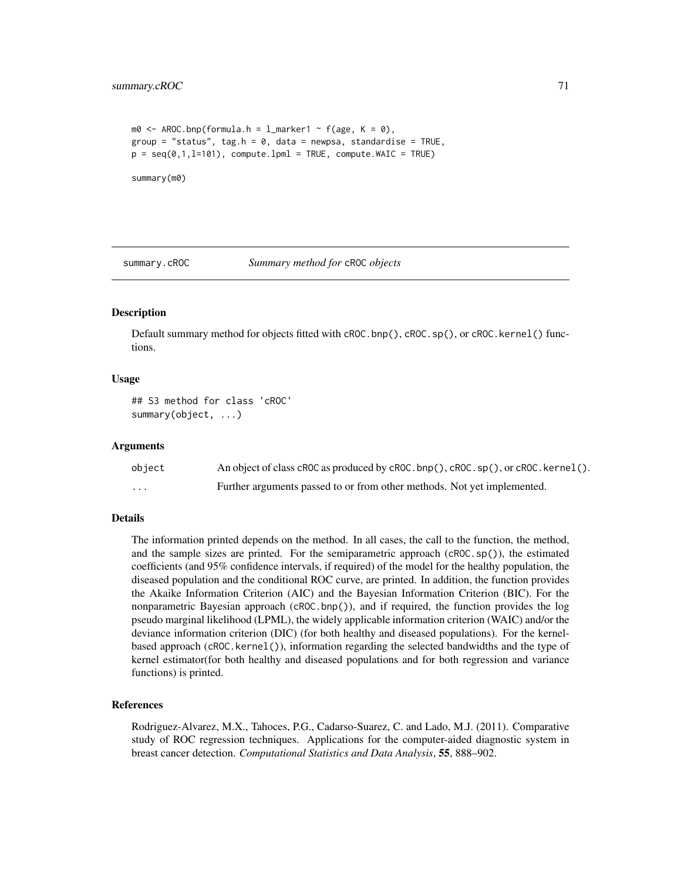```
m0 \le - AROC.bnp(formula.h = l_marker1 \sim f(age, K = 0),
group = "status", tag.h = 0, data = newpsa, standardise = TRUE,
p = \text{seq}(0, 1, 1=101), compute.lpml = TRUE, compute.WAIC = TRUE)
summary(m0)
```
summary.cROC *Summary method for* cROC *objects*

#### **Description**

Default summary method for objects fitted with cROC.bnp(), cROC.sp(), or cROC.kernel() functions.

#### Usage

```
## S3 method for class 'cROC'
summary(object, ...)
```
#### Arguments

| object  | An object of class cROC as produced by cROC.bnp(), cROC.sp(), or cROC.kernel(). |
|---------|---------------------------------------------------------------------------------|
| $\cdot$ | Further arguments passed to or from other methods. Not yet implemented.         |

#### Details

The information printed depends on the method. In all cases, the call to the function, the method, and the sample sizes are printed. For the semiparametric approach (cROC.sp()), the estimated coefficients (and 95% confidence intervals, if required) of the model for the healthy population, the diseased population and the conditional ROC curve, are printed. In addition, the function provides the Akaike Information Criterion (AIC) and the Bayesian Information Criterion (BIC). For the nonparametric Bayesian approach (cROC.bnp()), and if required, the function provides the log pseudo marginal likelihood (LPML), the widely applicable information criterion (WAIC) and/or the deviance information criterion (DIC) (for both healthy and diseased populations). For the kernelbased approach (cROC.kernel()), information regarding the selected bandwidths and the type of kernel estimator(for both healthy and diseased populations and for both regression and variance functions) is printed.

#### References

Rodriguez-Alvarez, M.X., Tahoces, P.G., Cadarso-Suarez, C. and Lado, M.J. (2011). Comparative study of ROC regression techniques. Applications for the computer-aided diagnostic system in breast cancer detection. *Computational Statistics and Data Analysis*, 55, 888–902.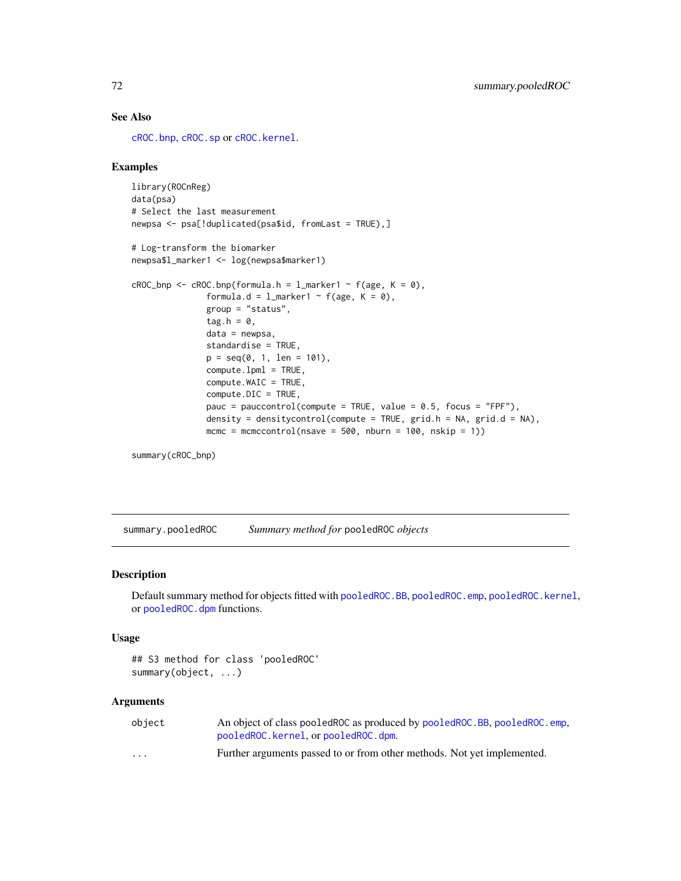# See Also

[cROC.bnp](#page-23-0), [cROC.sp](#page-33-0) or [cROC.kernel](#page-29-0).

#### Examples

```
library(ROCnReg)
data(psa)
# Select the last measurement
newpsa <- psa[!duplicated(psa$id, fromLast = TRUE),]
# Log-transform the biomarker
newpsa$l_marker1 <- log(newpsa$marker1)
cROC\_bnp \leftarrow cROC.bnp(formula.h = 1_matrix + f(age, K = 0),formula.d = l_marker1 ~ f(age, K = 0),
               group = "status",
               tag.h = \theta,
               data = newpsa,
               standardise = TRUE,
               p = seq(0, 1, len = 101),compute.lpml = TRUE,
               compute.WAIC = TRUE,
               compute.DIC = TRUE,
               pauc = pauccontrol(compute = TRUE, value = 0.5, focus = "FPF"),
               density = densitycontrol(compute = TRUE, grid.h = NA, grid.d = NA),
               mcmc = mcmccontrol(nsave = 500, nburn = 100, nskip = 1))
```
summary(cROC\_bnp)

summary.pooledROC *Summary method for* pooledROC *objects*

# Description

Default summary method for objects fitted with [pooledROC.BB](#page-47-0), [pooledROC.emp](#page-54-0), [pooledROC.kernel](#page-57-0), or [pooledROC.dpm](#page-50-0) functions.

#### Usage

```
## S3 method for class 'pooledROC'
summary(object, ...)
```
#### Arguments

| object   | An object of class pooled ROC as produced by pooled ROC. BB, pooled ROC. emp. |
|----------|-------------------------------------------------------------------------------|
|          | pooledROC.kernel.orpooledROC.dpm.                                             |
| $\cdots$ | Further arguments passed to or from other methods. Not yet implemented.       |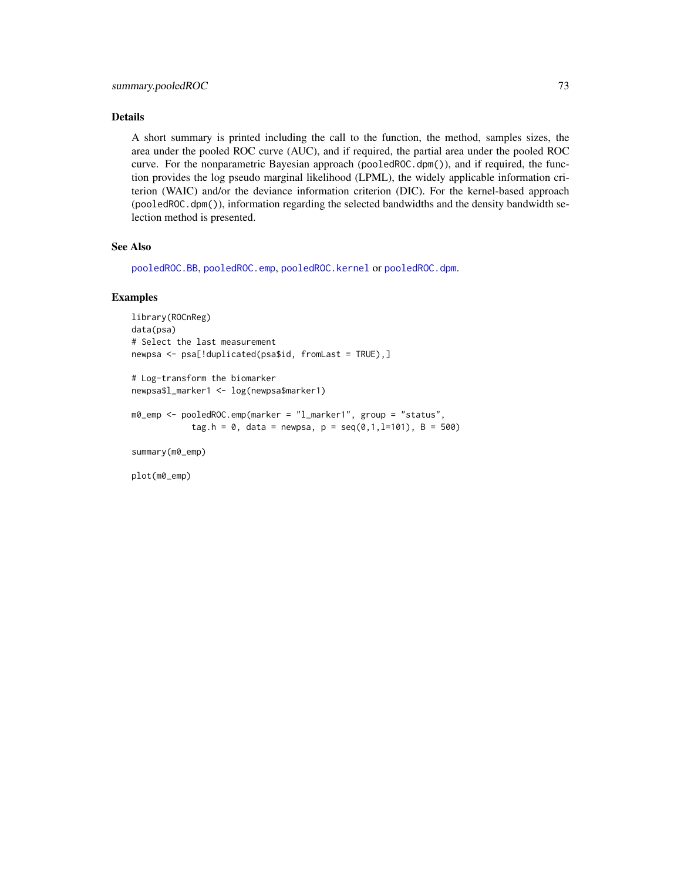## <span id="page-72-0"></span>Details

A short summary is printed including the call to the function, the method, samples sizes, the area under the pooled ROC curve (AUC), and if required, the partial area under the pooled ROC curve. For the nonparametric Bayesian approach (pooledROC.dpm()), and if required, the function provides the log pseudo marginal likelihood (LPML), the widely applicable information criterion (WAIC) and/or the deviance information criterion (DIC). For the kernel-based approach (pooledROC.dpm()), information regarding the selected bandwidths and the density bandwidth selection method is presented.

## See Also

[pooledROC.BB](#page-47-0), [pooledROC.emp](#page-54-0), [pooledROC.kernel](#page-57-0) or [pooledROC.dpm](#page-50-0).

## Examples

```
library(ROCnReg)
data(psa)
# Select the last measurement
newpsa <- psa[!duplicated(psa$id, fromLast = TRUE),]
```

```
# Log-transform the biomarker
newpsa$l_marker1 <- log(newpsa$marker1)
```

```
m0_emp <- pooledROC.emp(marker = "l_marker1", group = "status",
            tag.h = 0, data = newpsa, p = seq(0, 1, l=101), B = 500)
```
summary(m0\_emp)

plot(m0\_emp)